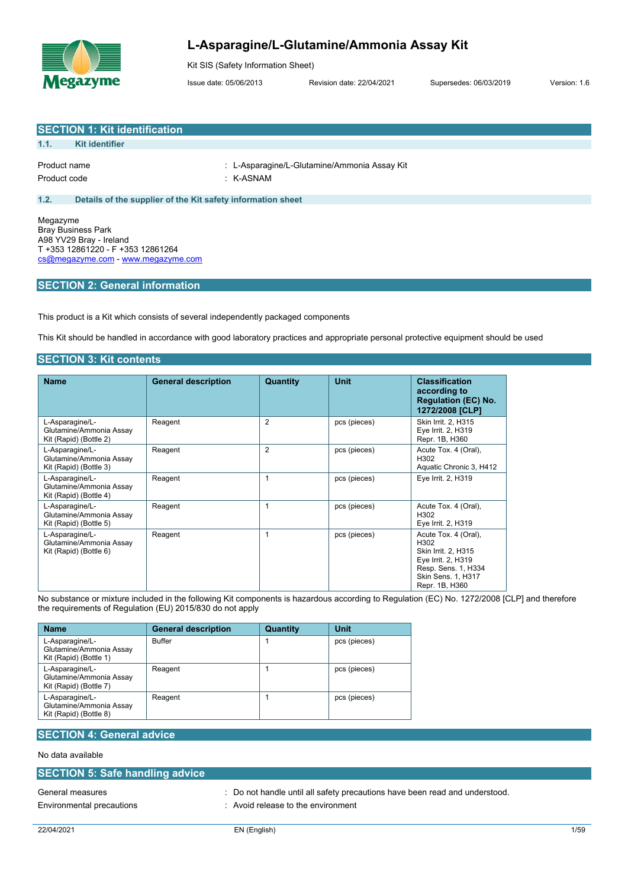

# **L-Asparagine/L-Glutamine/Ammonia Assay Kit**

Kit SIS (Safety Information Sheet)

Issue date: 05/06/2013 Revision date: 22/04/2021 Supersedes: 06/03/2019 Version: 1.6

|                                                                                                    | <b>SECTION 1: Kit identification</b>                        |                                              |  |  |  |
|----------------------------------------------------------------------------------------------------|-------------------------------------------------------------|----------------------------------------------|--|--|--|
| 1.1.                                                                                               | <b>Kit identifier</b>                                       |                                              |  |  |  |
| Product name                                                                                       |                                                             | : L-Asparagine/L-Glutamine/Ammonia Assay Kit |  |  |  |
| Product code                                                                                       |                                                             | : K-ASNAM                                    |  |  |  |
| 1.2.                                                                                               | Details of the supplier of the Kit safety information sheet |                                              |  |  |  |
| Megazyme                                                                                           | <b>Bray Business Park</b>                                   |                                              |  |  |  |
| A98 YV29 Bray - Ireland<br>T +353 12861220 - F +353 12861264<br>cs@megazyme.com - www.megazyme.com |                                                             |                                              |  |  |  |
|                                                                                                    |                                                             |                                              |  |  |  |

### **SECTION 2: General information**

This product is a Kit which consists of several independently packaged components

This Kit should be handled in accordance with good laboratory practices and appropriate personal protective equipment should be used

#### **SECTION 3: Kit contents**

| <b>Name</b>                                                          | <b>General description</b> | Quantity       | <b>Unit</b>  | <b>Classification</b><br>according to<br><b>Regulation (EC) No.</b><br>1272/2008 [CLP]                                                   |
|----------------------------------------------------------------------|----------------------------|----------------|--------------|------------------------------------------------------------------------------------------------------------------------------------------|
| L-Asparagine/L-<br>Glutamine/Ammonia Assay<br>Kit (Rapid) (Bottle 2) | Reagent                    | $\overline{2}$ | pcs (pieces) | Skin Irrit. 2, H315<br>Eye Irrit. 2, H319<br>Repr. 1B, H360                                                                              |
| L-Asparagine/L-<br>Glutamine/Ammonia Assay<br>Kit (Rapid) (Bottle 3) | Reagent                    | $\overline{2}$ | pcs (pieces) | Acute Tox. 4 (Oral),<br>H <sub>302</sub><br>Aquatic Chronic 3, H412                                                                      |
| L-Asparagine/L-<br>Glutamine/Ammonia Assay<br>Kit (Rapid) (Bottle 4) | Reagent                    | 1              | pcs (pieces) | Eye Irrit. 2, H319                                                                                                                       |
| L-Asparagine/L-<br>Glutamine/Ammonia Assay<br>Kit (Rapid) (Bottle 5) | Reagent                    |                | pcs (pieces) | Acute Tox. 4 (Oral),<br>H <sub>302</sub><br>Eye Irrit. 2, H319                                                                           |
| L-Asparagine/L-<br>Glutamine/Ammonia Assay<br>Kit (Rapid) (Bottle 6) | Reagent                    | 1              | pcs (pieces) | Acute Tox. 4 (Oral),<br>H302<br>Skin Irrit. 2, H315<br>Eye Irrit. 2, H319<br>Resp. Sens. 1, H334<br>Skin Sens. 1, H317<br>Repr. 1B, H360 |

No substance or mixture included in the following Kit components is hazardous according to Regulation (EC) No. 1272/2008 [CLP] and therefore the requirements of Regulation (EU) 2015/830 do not apply

| <b>Name</b>                                                          | <b>General description</b> | Quantity | Unit         |
|----------------------------------------------------------------------|----------------------------|----------|--------------|
| L-Asparagine/L-<br>Glutamine/Ammonia Assay<br>Kit (Rapid) (Bottle 1) | <b>Buffer</b>              |          | pcs (pieces) |
| L-Asparagine/L-<br>Glutamine/Ammonia Assay<br>Kit (Rapid) (Bottle 7) | Reagent                    |          | pcs (pieces) |
| L-Asparagine/L-<br>Glutamine/Ammonia Assay<br>Kit (Rapid) (Bottle 8) | Reagent                    |          | pcs (pieces) |

# **SECTION 4: General advice**

No data available

|  |  | <b>SECTION 5: Safe handling advice</b> |
|--|--|----------------------------------------|
|  |  |                                        |

Environmental precautions : Avoid release to the environment

General measures **in the same of the same of the same of the same of the same of the same of the same of the same of the same of the same of the same of the same of the same of the same of the same of the same of the same**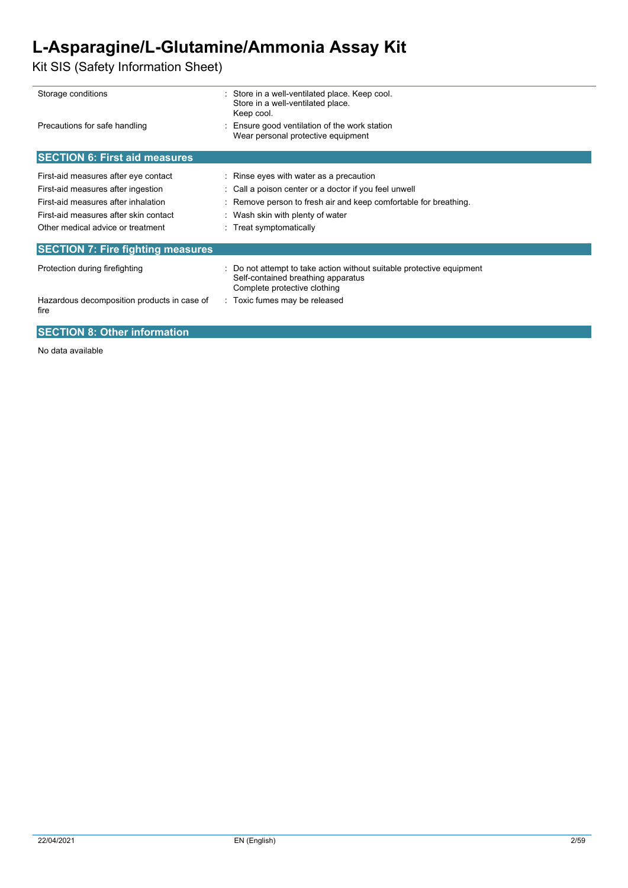# **L-Asparagine/L-Glutamine/Ammonia Assay Kit**

Kit SIS (Safety Information Sheet)

| Storage conditions                                                                                                                                                                              | : Store in a well-ventilated place. Keep cool.<br>Store in a well-ventilated place.<br>Keep cool.                                                                                                                                   |
|-------------------------------------------------------------------------------------------------------------------------------------------------------------------------------------------------|-------------------------------------------------------------------------------------------------------------------------------------------------------------------------------------------------------------------------------------|
| Precautions for safe handling                                                                                                                                                                   | Ensure good ventilation of the work station<br>Wear personal protective equipment                                                                                                                                                   |
| <b>SECTION 6: First aid measures</b>                                                                                                                                                            |                                                                                                                                                                                                                                     |
| First-aid measures after eye contact<br>First-aid measures after ingestion<br>First-aid measures after inhalation<br>First-aid measures after skin contact<br>Other medical advice or treatment | : Rinse eyes with water as a precaution<br>: Call a poison center or a doctor if you feel unwell<br>: Remove person to fresh air and keep comfortable for breathing.<br>: Wash skin with plenty of water<br>: Treat symptomatically |
| <b>SECTION 7: Fire fighting measures</b>                                                                                                                                                        |                                                                                                                                                                                                                                     |
| Protection during firefighting                                                                                                                                                                  | : Do not attempt to take action without suitable protective equipment<br>Self-contained breathing apparatus<br>Complete protective clothing                                                                                         |
| Hazardous decomposition products in case of<br>fire                                                                                                                                             | : Toxic fumes may be released                                                                                                                                                                                                       |
| <b>SECTION 8: Other information</b>                                                                                                                                                             |                                                                                                                                                                                                                                     |

No data available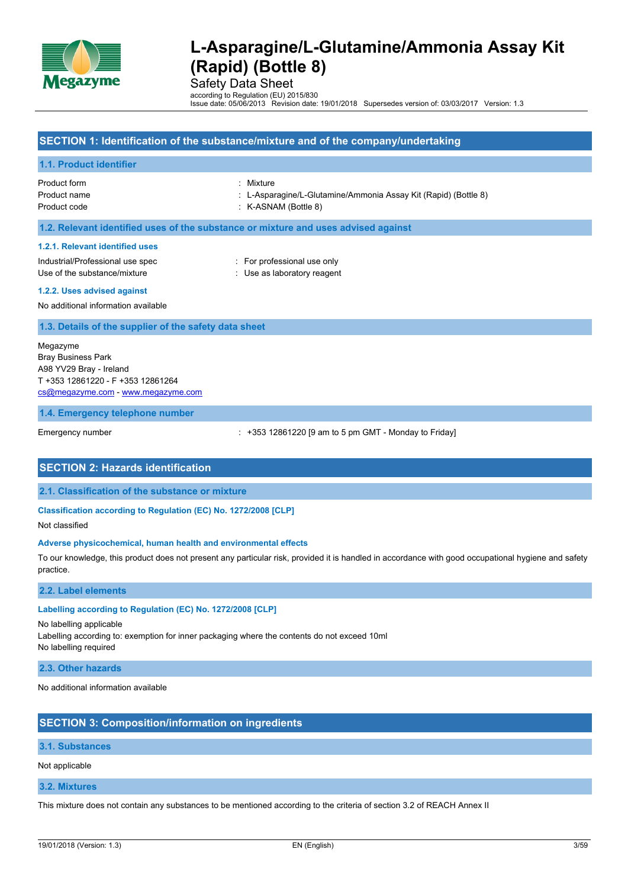

Safety Data Sheet

according to Regulation (EU) 2015/830 Issue date: 05/06/2013 Revision date: 19/01/2018 Supersedes version of: 03/03/2017 Version: 1.3

### **SECTION 1: Identification of the substance/mixture and of the company/undertaking**

#### **1.1. Product identifier**

Product form : Mixture

Product name : L-Asparagine/L-Glutamine/Ammonia Assay Kit (Rapid) (Bottle 8)

Product code : K-ASNAM (Bottle 8)

#### **1.2. Relevant identified uses of the substance or mixture and uses advised against**

#### **1.2.1. Relevant identified uses**

Industrial/Professional use spec : For professional use only Use of the substance/mixture in the substance/mixture in the substance of the substance in the substance of the substance of the substance of the substance of the substance of the substance of the substance of the substanc

#### **1.2.2. Uses advised against**

No additional information available

#### **1.3. Details of the supplier of the safety data sheet**

Megazyme Bray Business Park A98 YV29 Bray - Ireland T +353 12861220 - F +353 12861264 [cs@megazyme.com](mailto:cs@megazyme.com) - <www.megazyme.com>

#### **1.4. Emergency telephone number**

Emergency number : +353 12861220 [9 am to 5 pm GMT - Monday to Friday]

#### **SECTION 2: Hazards identification**

**2.1. Classification of the substance or mixture**

#### **Classification according to Regulation (EC) No. 1272/2008 [CLP]**

Not classified

#### **Adverse physicochemical, human health and environmental effects**

To our knowledge, this product does not present any particular risk, provided it is handled in accordance with good occupational hygiene and safety practice.

#### **2.2. Label elements**

#### **Labelling according to Regulation (EC) No. 1272/2008 [CLP]**

No labelling applicable

Labelling according to: exemption for inner packaging where the contents do not exceed 10ml No labelling required

#### **2.3. Other hazards**

No additional information available

### **SECTION 3: Composition/information on ingredients**

#### **3.1. Substances**

Not applicable

#### **3.2. Mixtures**

This mixture does not contain any substances to be mentioned according to the criteria of section 3.2 of REACH Annex II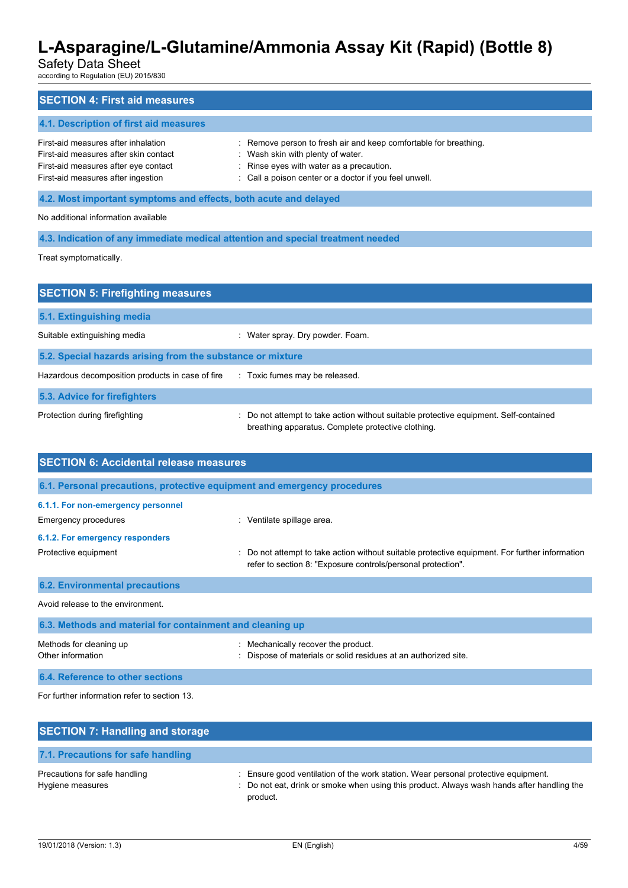# Safety Data Sheet

according to Regulation (EU) 2015/830

| <b>SECTION 4: First aid measures</b>                                                                                                                       |                                                                                                                                                                                                             |  |  |  |  |
|------------------------------------------------------------------------------------------------------------------------------------------------------------|-------------------------------------------------------------------------------------------------------------------------------------------------------------------------------------------------------------|--|--|--|--|
| 4.1. Description of first aid measures                                                                                                                     |                                                                                                                                                                                                             |  |  |  |  |
| First-aid measures after inhalation<br>First-aid measures after skin contact<br>First-aid measures after eye contact<br>First-aid measures after ingestion | : Remove person to fresh air and keep comfortable for breathing.<br>: Wash skin with plenty of water.<br>: Rinse eyes with water as a precaution.<br>: Call a poison center or a doctor if you feel unwell. |  |  |  |  |
| 4.2. Most important symptoms and effects, both acute and delayed                                                                                           |                                                                                                                                                                                                             |  |  |  |  |
| No additional information available                                                                                                                        |                                                                                                                                                                                                             |  |  |  |  |
| 4.3. Indication of any immediate medical attention and special treatment needed                                                                            |                                                                                                                                                                                                             |  |  |  |  |
| Treat symptomatically.                                                                                                                                     |                                                                                                                                                                                                             |  |  |  |  |

| <b>SECTION 5: Firefighting measures</b>                                            |                                                                                                                                             |  |  |  |  |
|------------------------------------------------------------------------------------|---------------------------------------------------------------------------------------------------------------------------------------------|--|--|--|--|
| 5.1. Extinguishing media                                                           |                                                                                                                                             |  |  |  |  |
| Suitable extinguishing media                                                       | Water spray. Dry powder. Foam.<br>÷                                                                                                         |  |  |  |  |
| 5.2. Special hazards arising from the substance or mixture                         |                                                                                                                                             |  |  |  |  |
| Hazardous decomposition products in case of fire<br>: Toxic fumes may be released. |                                                                                                                                             |  |  |  |  |
| 5.3. Advice for firefighters                                                       |                                                                                                                                             |  |  |  |  |
| Protection during firefighting                                                     | : Do not attempt to take action without suitable protective equipment. Self-contained<br>breathing apparatus. Complete protective clothing. |  |  |  |  |

| <b>SECTION 6: Accidental release measures</b>                            |                                                                                                                                                              |  |  |  |
|--------------------------------------------------------------------------|--------------------------------------------------------------------------------------------------------------------------------------------------------------|--|--|--|
| 6.1. Personal precautions, protective equipment and emergency procedures |                                                                                                                                                              |  |  |  |
| 6.1.1. For non-emergency personnel                                       |                                                                                                                                                              |  |  |  |
| Emergency procedures                                                     | : Ventilate spillage area.                                                                                                                                   |  |  |  |
| 6.1.2. For emergency responders                                          |                                                                                                                                                              |  |  |  |
| Protective equipment                                                     | Do not attempt to take action without suitable protective equipment. For further information<br>refer to section 8: "Exposure controls/personal protection". |  |  |  |
| <b>6.2. Environmental precautions</b>                                    |                                                                                                                                                              |  |  |  |
| Avoid release to the environment.                                        |                                                                                                                                                              |  |  |  |
| 6.3. Methods and material for containment and cleaning up                |                                                                                                                                                              |  |  |  |
| Methods for cleaning up<br>Other information                             | Mechanically recover the product.<br>Dispose of materials or solid residues at an authorized site.                                                           |  |  |  |
| 6.4. Reference to other sections                                         |                                                                                                                                                              |  |  |  |

For further information refer to section 13.

| <b>SECTION 7: Handling and storage</b>            |                                                                                                                                                                                              |  |  |  |  |
|---------------------------------------------------|----------------------------------------------------------------------------------------------------------------------------------------------------------------------------------------------|--|--|--|--|
| 7.1. Precautions for safe handling                |                                                                                                                                                                                              |  |  |  |  |
| Precautions for safe handling<br>Hygiene measures | : Ensure good ventilation of the work station. Wear personal protective equipment.<br>: Do not eat, drink or smoke when using this product. Always wash hands after handling the<br>product. |  |  |  |  |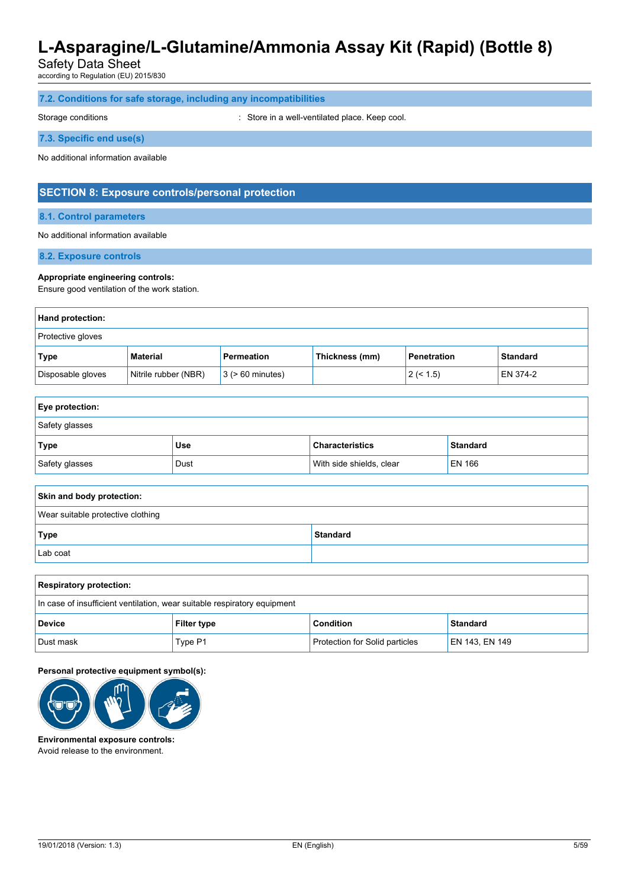Safety Data Sheet

according to Regulation (EU) 2015/830

|  |  |  |  |  |  | 7.2. Conditions for safe storage, including any incompatibilities |  |
|--|--|--|--|--|--|-------------------------------------------------------------------|--|
|--|--|--|--|--|--|-------------------------------------------------------------------|--|

Storage conditions **Storage conditions** : Store in a well-ventilated place. Keep cool.

**7.3. Specific end use(s)**

No additional information available

### **SECTION 8: Exposure controls/personal protection**

**8.1. Control parameters**

No additional information available

**8.2. Exposure controls**

#### **Appropriate engineering controls:**

Ensure good ventilation of the work station.

| Hand protection:         |                      |                       |                |                    |                 |  |
|--------------------------|----------------------|-----------------------|----------------|--------------------|-----------------|--|
| <b>Protective gloves</b> |                      |                       |                |                    |                 |  |
| Type                     | Material             | Permeation            | Thickness (mm) | <b>Penetration</b> | <b>Standard</b> |  |
| Disposable gloves        | Nitrile rubber (NBR) | $3$ ( $> 60$ minutes) |                | 2 (< 1.5)          | EN 374-2        |  |

| <b>Eye protection:</b> |      |                          |                 |  |  |
|------------------------|------|--------------------------|-----------------|--|--|
| Safety glasses         |      |                          |                 |  |  |
| Type                   | Use  | <b>Characteristics</b>   | <b>Standard</b> |  |  |
| Safety glasses         | Dust | With side shields, clear | EN 166          |  |  |

| Skin and body protection:         |                 |
|-----------------------------------|-----------------|
| Wear suitable protective clothing |                 |
| Type                              | <b>Standard</b> |
| Lab coat                          |                 |

| <b>Respiratory protection:</b>                                           |                    |                                       |                |
|--------------------------------------------------------------------------|--------------------|---------------------------------------|----------------|
| In case of insufficient ventilation, wear suitable respiratory equipment |                    |                                       |                |
| <b>Device</b>                                                            | <b>Filter type</b> | <b>Condition</b>                      | Standard       |
| Dust mask                                                                | Type P1            | <b>Protection for Solid particles</b> | EN 143, EN 149 |

**Personal protective equipment symbol(s):**



**Environmental exposure controls:** Avoid release to the environment.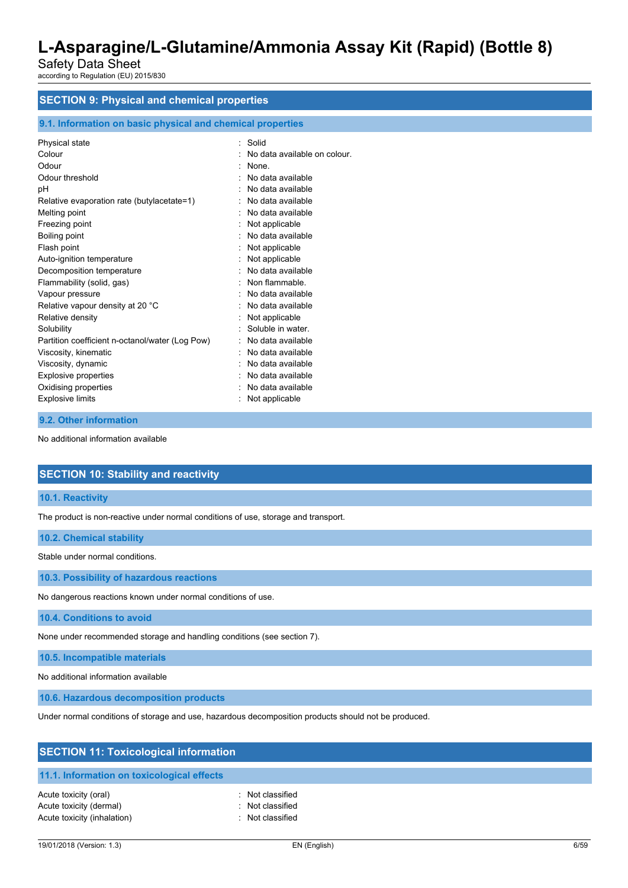Safety Data Sheet according to Regulation (EU) 2015/830

# **SECTION 9: Physical and chemical properties**

#### **9.1. Information on basic physical and chemical properties**

| Physical state                                  | Solid                        |
|-------------------------------------------------|------------------------------|
| Colour                                          | No data available on colour. |
| Odour                                           | None                         |
| Odour threshold                                 | No data available            |
| рH                                              | No data available            |
| Relative evaporation rate (butylacetate=1)      | No data available            |
| Melting point                                   | No data available            |
| Freezing point                                  | Not applicable               |
| Boiling point                                   | : No data available          |
| Flash point                                     | Not applicable               |
| Auto-ignition temperature                       | Not applicable               |
| Decomposition temperature                       | No data available            |
| Flammability (solid, gas)                       | Non flammable.               |
| Vapour pressure                                 | No data available            |
| Relative vapour density at 20 °C                | No data available            |
| Relative density                                | Not applicable               |
| Solubility                                      | Soluble in water.            |
| Partition coefficient n-octanol/water (Log Pow) | No data available            |
| Viscosity, kinematic                            | No data available            |
| Viscosity, dynamic                              | No data available            |
| <b>Explosive properties</b>                     | No data available            |
| Oxidising properties                            | No data available            |
| <b>Explosive limits</b>                         | Not applicable               |
|                                                 |                              |

#### **9.2. Other information**

No additional information available

### **SECTION 10: Stability and reactivity**

#### **10.1. Reactivity**

The product is non-reactive under normal conditions of use, storage and transport.

#### **10.2. Chemical stability**

Stable under normal conditions.

**10.3. Possibility of hazardous reactions**

No dangerous reactions known under normal conditions of use.

**10.4. Conditions to avoid**

None under recommended storage and handling conditions (see section 7).

**10.5. Incompatible materials**

No additional information available

**10.6. Hazardous decomposition products**

Under normal conditions of storage and use, hazardous decomposition products should not be produced.

| <b>SECTION 11: Toxicological information</b> |                  |  |  |
|----------------------------------------------|------------------|--|--|
| 11.1. Information on toxicological effects   |                  |  |  |
| Acute toxicity (oral)                        | : Not classified |  |  |
| Acute toxicity (dermal)                      | : Not classified |  |  |
| Acute toxicity (inhalation)                  | Not classified   |  |  |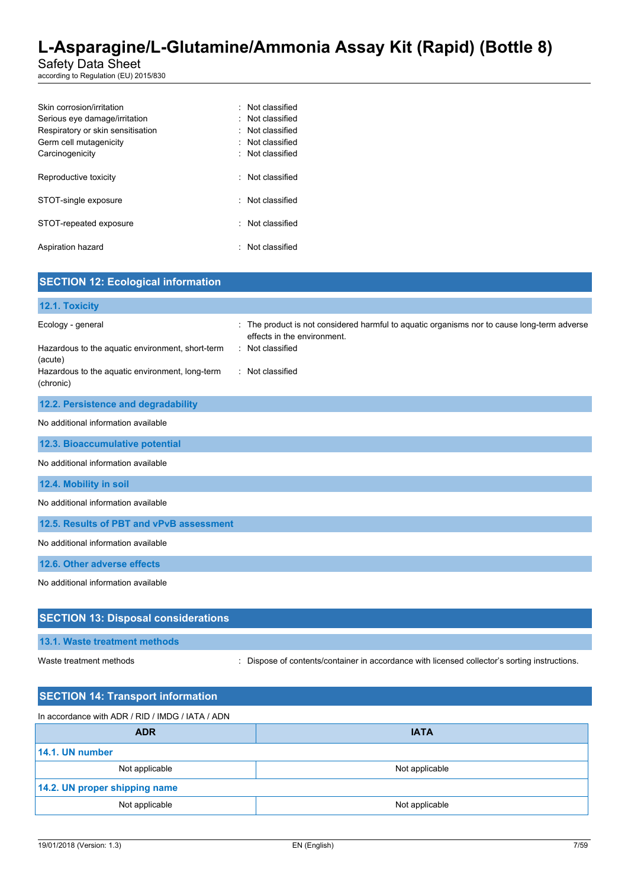Safety Data Sheet

according to Regulation (EU) 2015/830

| Skin corrosion/irritation         | · Not classified |
|-----------------------------------|------------------|
| Serious eye damage/irritation     | Not classified   |
| Respiratory or skin sensitisation | Not classified   |
| Germ cell mutagenicity            | Not classified   |
| Carcinogenicity                   | Not classified   |
|                                   |                  |
| Reproductive toxicity             | Not classified   |
|                                   |                  |
| STOT-single exposure              | : Not classified |
|                                   |                  |
| STOT-repeated exposure            | Not classified   |
|                                   |                  |
| Aspiration hazard                 | Not classified   |
|                                   |                  |

| <b>SECTION 12: Ecological information</b>                                                                                                        |                                                                                                                                                                    |
|--------------------------------------------------------------------------------------------------------------------------------------------------|--------------------------------------------------------------------------------------------------------------------------------------------------------------------|
| 12.1. Toxicity                                                                                                                                   |                                                                                                                                                                    |
| Ecology - general<br>Hazardous to the aquatic environment, short-term<br>(acute)<br>Hazardous to the aquatic environment, long-term<br>(chronic) | : The product is not considered harmful to aquatic organisms nor to cause long-term adverse<br>effects in the environment.<br>: Not classified<br>: Not classified |
| 12.2. Persistence and degradability                                                                                                              |                                                                                                                                                                    |
| No additional information available                                                                                                              |                                                                                                                                                                    |
| 12.3. Bioaccumulative potential                                                                                                                  |                                                                                                                                                                    |
| No additional information available                                                                                                              |                                                                                                                                                                    |
| 12.4. Mobility in soil                                                                                                                           |                                                                                                                                                                    |
| No additional information available                                                                                                              |                                                                                                                                                                    |
| 12.5. Results of PBT and vPvB assessment                                                                                                         |                                                                                                                                                                    |
| No additional information available                                                                                                              |                                                                                                                                                                    |
| 12.6. Other adverse effects                                                                                                                      |                                                                                                                                                                    |
| No additional information available                                                                                                              |                                                                                                                                                                    |
| <b>SECTION 13: Disposal considerations</b>                                                                                                       |                                                                                                                                                                    |
| 13.1. Waste treatment methods                                                                                                                    |                                                                                                                                                                    |

Waste treatment methods : Dispose of contents/container in accordance with licensed collector's sorting instructions.

| <b>IATA</b>    |
|----------------|
|                |
| Not applicable |
|                |
| Not applicable |
|                |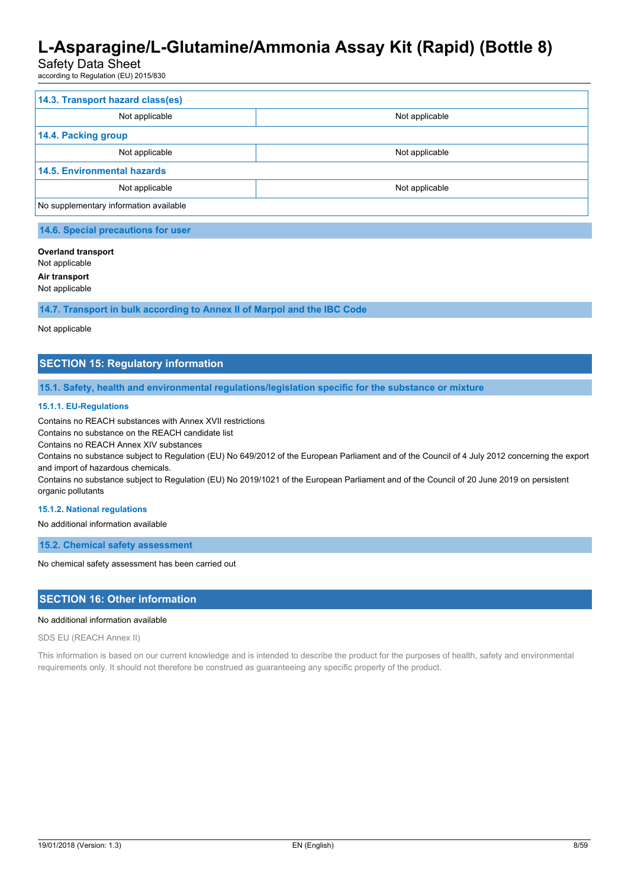### Safety Data Sheet

according to Regulation (EU) 2015/830

| 14.3. Transport hazard class(es)       |                |
|----------------------------------------|----------------|
| Not applicable                         | Not applicable |
| 14.4. Packing group                    |                |
| Not applicable                         | Not applicable |
| <b>14.5. Environmental hazards</b>     |                |
| Not applicable                         | Not applicable |
| No supplementary information available |                |

### **Overland transport**

Not applicable

**Air transport**

Not applicable

**14.7. Transport in bulk according to Annex II of Marpol and the IBC Code**

#### Not applicable

### **SECTION 15: Regulatory information**

**15.1. Safety, health and environmental regulations/legislation specific for the substance or mixture**

#### **15.1.1. EU-Regulations**

Contains no REACH substances with Annex XVII restrictions

Contains no substance on the REACH candidate list

Contains no REACH Annex XIV substances

Contains no substance subject to Regulation (EU) No 649/2012 of the European Parliament and of the Council of 4 July 2012 concerning the export and import of hazardous chemicals.

Contains no substance subject to Regulation (EU) No 2019/1021 of the European Parliament and of the Council of 20 June 2019 on persistent organic pollutants

#### **15.1.2. National regulations**

No additional information available

**15.2. Chemical safety assessment**

No chemical safety assessment has been carried out

#### **SECTION 16: Other information**

#### No additional information available

SDS EU (REACH Annex II)

This information is based on our current knowledge and is intended to describe the product for the purposes of health, safety and environmental requirements only. It should not therefore be construed as guaranteeing any specific property of the product.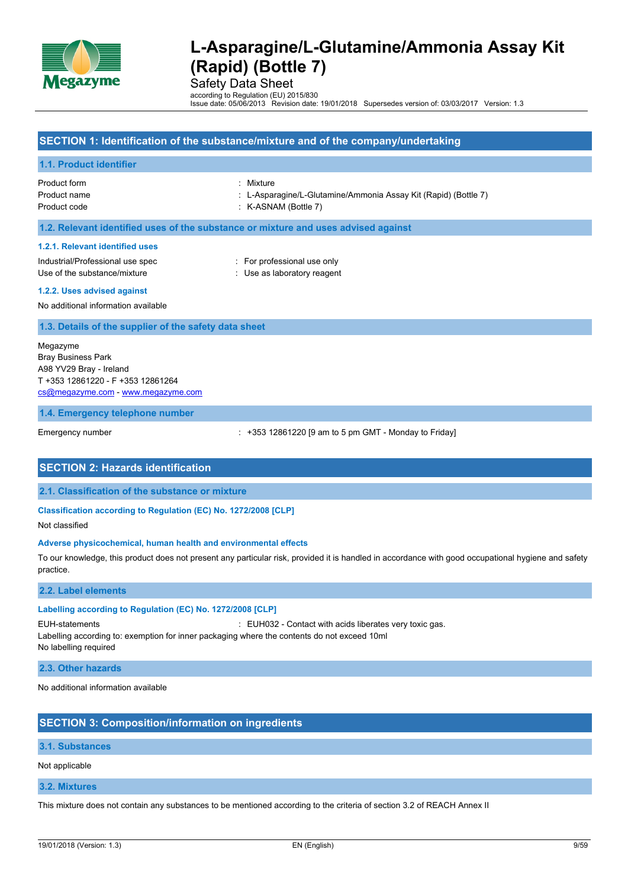

Safety Data Sheet

according to Regulation (EU) 2015/830 Issue date: 05/06/2013 Revision date: 19/01/2018 Supersedes version of: 03/03/2017 Version: 1.3

### **SECTION 1: Identification of the substance/mixture and of the company/undertaking**

#### **1.1. Product identifier**

Product form : Mixture

Product name : L-Asparagine/L-Glutamine/Ammonia Assay Kit (Rapid) (Bottle 7)

Product code : K-ASNAM (Bottle 7)

**1.2. Relevant identified uses of the substance or mixture and uses advised against**

#### **1.2.1. Relevant identified uses**

Industrial/Professional use spec : For professional use only Use of the substance/mixture in the substance/mixture in the substance of the substance in the substance of the substance of the substance of the substance of the substance of the substance of the substance of the substanc

**1.2.2. Uses advised against**

No additional information available

#### **1.3. Details of the supplier of the safety data sheet**

Megazyme Bray Business Park A98 YV29 Bray - Ireland T +353 12861220 - F +353 12861264 [cs@megazyme.com](mailto:cs@megazyme.com) - <www.megazyme.com>

#### **1.4. Emergency telephone number**

Emergency number : +353 12861220 [9 am to 5 pm GMT - Monday to Friday]

### **SECTION 2: Hazards identification**

**2.1. Classification of the substance or mixture**

**Classification according to Regulation (EC) No. 1272/2008 [CLP]**

Not classified

#### **Adverse physicochemical, human health and environmental effects**

To our knowledge, this product does not present any particular risk, provided it is handled in accordance with good occupational hygiene and safety practice.

#### **2.2. Label elements**

#### **Labelling according to Regulation (EC) No. 1272/2008 [CLP]**

EUH-statements : EUH032 - Contact with acids liberates very toxic gas.

Labelling according to: exemption for inner packaging where the contents do not exceed 10ml No labelling required

#### **2.3. Other hazards**

No additional information available

### **SECTION 3: Composition/information on ingredients**

#### **3.1. Substances**

Not applicable

#### **3.2. Mixtures**

This mixture does not contain any substances to be mentioned according to the criteria of section 3.2 of REACH Annex II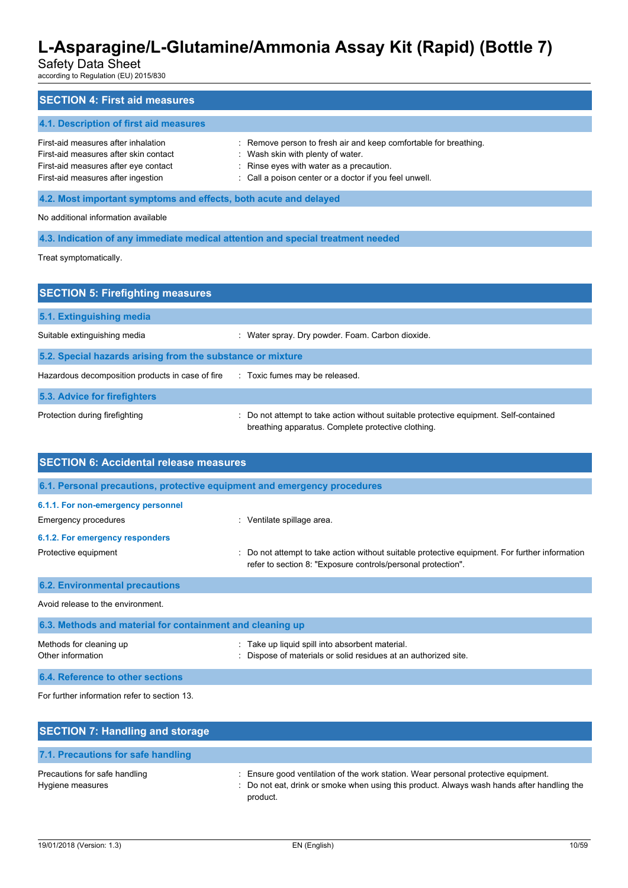# Safety Data Sheet

according to Regulation (EU) 2015/830

| <b>SECTION 4: First aid measures</b>                                                                                                                       |                                                                                                                                                                                                             |  |
|------------------------------------------------------------------------------------------------------------------------------------------------------------|-------------------------------------------------------------------------------------------------------------------------------------------------------------------------------------------------------------|--|
| 4.1. Description of first aid measures                                                                                                                     |                                                                                                                                                                                                             |  |
| First-aid measures after inhalation<br>First-aid measures after skin contact<br>First-aid measures after eye contact<br>First-aid measures after ingestion | : Remove person to fresh air and keep comfortable for breathing.<br>: Wash skin with plenty of water.<br>: Rinse eyes with water as a precaution.<br>: Call a poison center or a doctor if you feel unwell. |  |
| 4.2. Most important symptoms and effects, both acute and delayed                                                                                           |                                                                                                                                                                                                             |  |
| No additional information available                                                                                                                        |                                                                                                                                                                                                             |  |
| 4.3. Indication of any immediate medical attention and special treatment needed                                                                            |                                                                                                                                                                                                             |  |
| Treat symptomatically.                                                                                                                                     |                                                                                                                                                                                                             |  |
|                                                                                                                                                            |                                                                                                                                                                                                             |  |
| <b>SECTION 5: Firefighting measures</b>                                                                                                                    |                                                                                                                                                                                                             |  |

| 5.1. Extinguishing media                                   |                                                                                                                                             |
|------------------------------------------------------------|---------------------------------------------------------------------------------------------------------------------------------------------|
| Suitable extinguishing media                               | Water spray. Dry powder. Foam. Carbon dioxide.                                                                                              |
| 5.2. Special hazards arising from the substance or mixture |                                                                                                                                             |
| Hazardous decomposition products in case of fire           | : Toxic fumes may be released.                                                                                                              |
| 5.3. Advice for firefighters                               |                                                                                                                                             |
| Protection during firefighting                             | : Do not attempt to take action without suitable protective equipment. Self-contained<br>breathing apparatus. Complete protective clothing. |

| <b>SECTION 6: Accidental release measures</b>                            |                                                                                                                                                              |  |  |
|--------------------------------------------------------------------------|--------------------------------------------------------------------------------------------------------------------------------------------------------------|--|--|
| 6.1. Personal precautions, protective equipment and emergency procedures |                                                                                                                                                              |  |  |
| 6.1.1. For non-emergency personnel                                       |                                                                                                                                                              |  |  |
| Emergency procedures                                                     | : Ventilate spillage area.                                                                                                                                   |  |  |
| 6.1.2. For emergency responders                                          |                                                                                                                                                              |  |  |
| Protective equipment                                                     | Do not attempt to take action without suitable protective equipment. For further information<br>refer to section 8: "Exposure controls/personal protection". |  |  |
| <b>6.2. Environmental precautions</b>                                    |                                                                                                                                                              |  |  |
| Avoid release to the environment.                                        |                                                                                                                                                              |  |  |
| 6.3. Methods and material for containment and cleaning up                |                                                                                                                                                              |  |  |
| Methods for cleaning up<br>Other information                             | Take up liquid spill into absorbent material.<br>Dispose of materials or solid residues at an authorized site.                                               |  |  |

**6.4. Reference to other sections**

For further information refer to section 13.

| <b>SECTION 7: Handling and storage</b>            |                                                                                                                                                                                              |
|---------------------------------------------------|----------------------------------------------------------------------------------------------------------------------------------------------------------------------------------------------|
| 7.1. Precautions for safe handling                |                                                                                                                                                                                              |
| Precautions for safe handling<br>Hygiene measures | : Ensure good ventilation of the work station. Wear personal protective equipment.<br>: Do not eat, drink or smoke when using this product. Always wash hands after handling the<br>product. |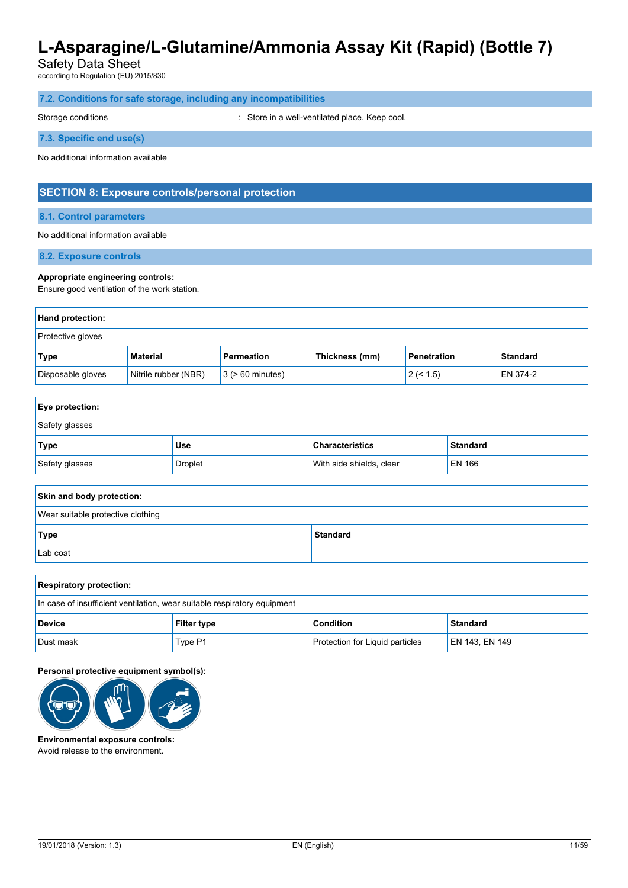Safety Data Sheet

according to Regulation (EU) 2015/830

| 7.2. Conditions for safe storage, including any incompatibilities |  |
|-------------------------------------------------------------------|--|
|-------------------------------------------------------------------|--|

Storage conditions **Storage conditions** : Store in a well-ventilated place. Keep cool.

**7.3. Specific end use(s)**

No additional information available

### **SECTION 8: Exposure controls/personal protection**

**8.1. Control parameters**

No additional information available

**8.2. Exposure controls**

#### **Appropriate engineering controls:**

Ensure good ventilation of the work station.

| <b>Hand protection:</b> |                      |                       |                |                    |                 |
|-------------------------|----------------------|-----------------------|----------------|--------------------|-----------------|
| Protective gloves       |                      |                       |                |                    |                 |
| Type                    | Material             | Permeation            | Thickness (mm) | <b>Penetration</b> | <b>Standard</b> |
| Disposable gloves       | Nitrile rubber (NBR) | $3$ ( $> 60$ minutes) |                | 2 (< 1.5)          | EN 374-2        |

| <b>Eye protection:</b> |         |                          |                 |
|------------------------|---------|--------------------------|-----------------|
| Safety glasses         |         |                          |                 |
| Type                   | Use     | <b>Characteristics</b>   | <b>Standard</b> |
| Safety glasses         | Droplet | With side shields, clear | EN 166          |

| Skin and body protection:         |                 |
|-----------------------------------|-----------------|
| Wear suitable protective clothing |                 |
| Type                              | <b>Standard</b> |
| Lab coat                          |                 |

| <b>Respiratory protection:</b>                                           |                    |                                 |                 |
|--------------------------------------------------------------------------|--------------------|---------------------------------|-----------------|
| In case of insufficient ventilation, wear suitable respiratory equipment |                    |                                 |                 |
| <b>Device</b>                                                            | <b>Filter type</b> | Condition                       | <b>Standard</b> |
| Dust mask                                                                | Type P1            | Protection for Liquid particles | EN 143, EN 149  |

#### **Personal protective equipment symbol(s):**



**Environmental exposure controls:** Avoid release to the environment.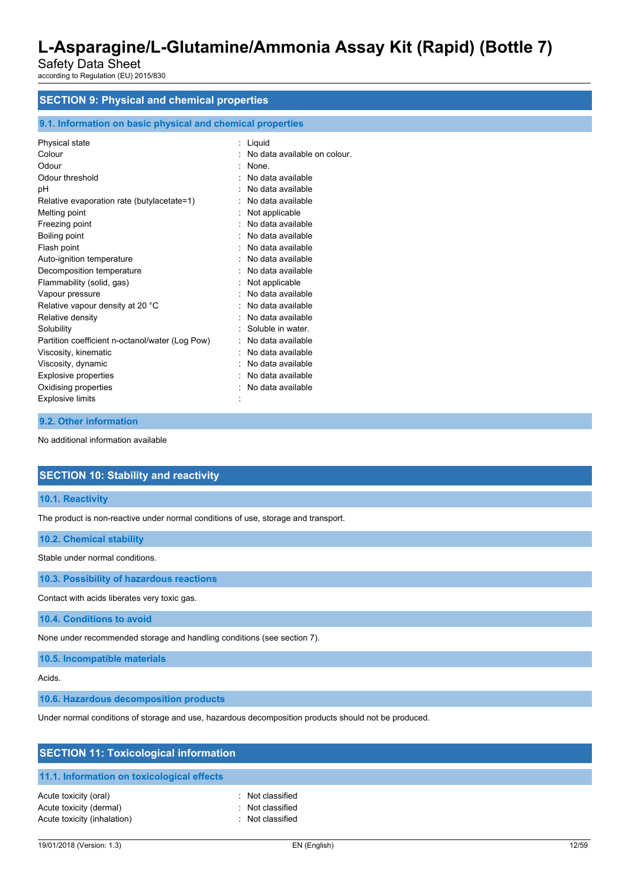Safety Data Sheet according to Regulation (EU) 2015/830

# **SECTION 9: Physical and chemical properties**

#### **9.1. Information on basic physical and chemical properties**

| Physical state                                  | Liquid                       |
|-------------------------------------------------|------------------------------|
| Colour                                          | No data available on colour. |
| Odour                                           | None.                        |
| Odour threshold                                 | No data available            |
| рH                                              | No data available            |
| Relative evaporation rate (butylacetate=1)      | No data available            |
| Melting point                                   | Not applicable               |
| Freezing point                                  | No data available            |
| Boiling point                                   | No data available            |
| Flash point                                     | No data available            |
| Auto-ignition temperature                       | No data available            |
| Decomposition temperature                       | No data available            |
| Flammability (solid, gas)                       | Not applicable               |
| Vapour pressure                                 | No data available            |
| Relative vapour density at 20 °C                | No data available            |
| Relative density                                | No data available            |
| Solubility                                      | Soluble in water.            |
| Partition coefficient n-octanol/water (Log Pow) | No data available            |
| Viscosity, kinematic                            | No data available            |
| Viscosity, dynamic                              | No data available            |
| <b>Explosive properties</b>                     | No data available            |
| Oxidising properties                            | No data available            |
| <b>Explosive limits</b>                         |                              |
|                                                 |                              |

#### **9.2. Other information**

No additional information available

### **SECTION 10: Stability and reactivity**

**10.1. Reactivity**

The product is non-reactive under normal conditions of use, storage and transport.

#### **10.2. Chemical stability**

Stable under normal conditions.

**10.3. Possibility of hazardous reactions**

Contact with acids liberates very toxic gas.

**10.4. Conditions to avoid**

None under recommended storage and handling conditions (see section 7).

**10.5. Incompatible materials**

Acids.

**10.6. Hazardous decomposition products**

Under normal conditions of storage and use, hazardous decomposition products should not be produced.

| <b>SECTION 11: Toxicological information</b> |                  |  |  |
|----------------------------------------------|------------------|--|--|
| 11.1. Information on toxicological effects   |                  |  |  |
| Acute toxicity (oral)                        | : Not classified |  |  |
| Acute toxicity (dermal)                      | : Not classified |  |  |
| Acute toxicity (inhalation)                  | : Not classified |  |  |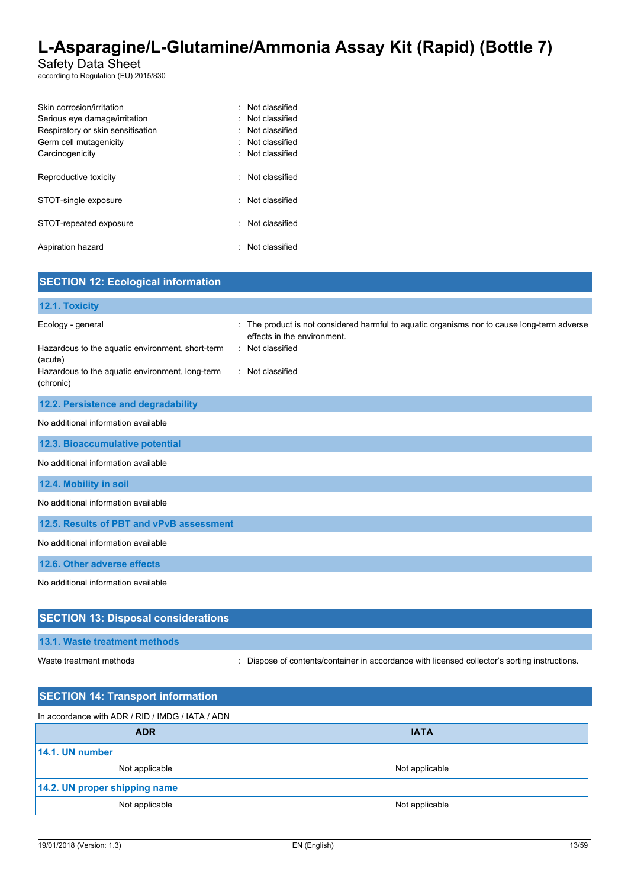Safety Data Sheet

according to Regulation (EU) 2015/830

| Skin corrosion/irritation         | · Not classified |
|-----------------------------------|------------------|
| Serious eye damage/irritation     | Not classified   |
| Respiratory or skin sensitisation | Not classified   |
| Germ cell mutagenicity            | : Not classified |
| Carcinogenicity                   | Not classified   |
|                                   |                  |
| Reproductive toxicity             | Not classified   |
|                                   |                  |
| STOT-single exposure              | : Not classified |
|                                   |                  |
| STOT-repeated exposure            | Not classified   |
|                                   |                  |
| Aspiration hazard                 | Not classified   |
|                                   |                  |

| <b>SECTION 12: Ecological information</b>                                                                                                        |                                                                                                                                                                  |
|--------------------------------------------------------------------------------------------------------------------------------------------------|------------------------------------------------------------------------------------------------------------------------------------------------------------------|
| 12.1. Toxicity                                                                                                                                   |                                                                                                                                                                  |
| Ecology - general<br>Hazardous to the aquatic environment, short-term<br>(acute)<br>Hazardous to the aquatic environment, long-term<br>(chronic) | The product is not considered harmful to aquatic organisms nor to cause long-term adverse<br>effects in the environment.<br>: Not classified<br>: Not classified |
| 12.2. Persistence and degradability                                                                                                              |                                                                                                                                                                  |
| No additional information available                                                                                                              |                                                                                                                                                                  |
| 12.3. Bioaccumulative potential                                                                                                                  |                                                                                                                                                                  |
| No additional information available                                                                                                              |                                                                                                                                                                  |
| 12.4. Mobility in soil                                                                                                                           |                                                                                                                                                                  |
| No additional information available                                                                                                              |                                                                                                                                                                  |
| 12.5. Results of PBT and vPvB assessment                                                                                                         |                                                                                                                                                                  |
| No additional information available                                                                                                              |                                                                                                                                                                  |
| 12.6. Other adverse effects                                                                                                                      |                                                                                                                                                                  |
| No additional information available                                                                                                              |                                                                                                                                                                  |
| <b>SECTION 13: Disposal considerations</b>                                                                                                       |                                                                                                                                                                  |
| 13.1. Waste treatment methods                                                                                                                    |                                                                                                                                                                  |

Waste treatment methods : Dispose of contents/container in accordance with licensed collector's sorting instructions.

| <b>SECTION 14: Transport information</b>         |                |
|--------------------------------------------------|----------------|
| In accordance with ADR / RID / IMDG / IATA / ADN |                |
| <b>ADR</b>                                       | <b>IATA</b>    |
| 14.1. UN number                                  |                |
| Not applicable                                   | Not applicable |
| 14.2. UN proper shipping name                    |                |
| Not applicable                                   | Not applicable |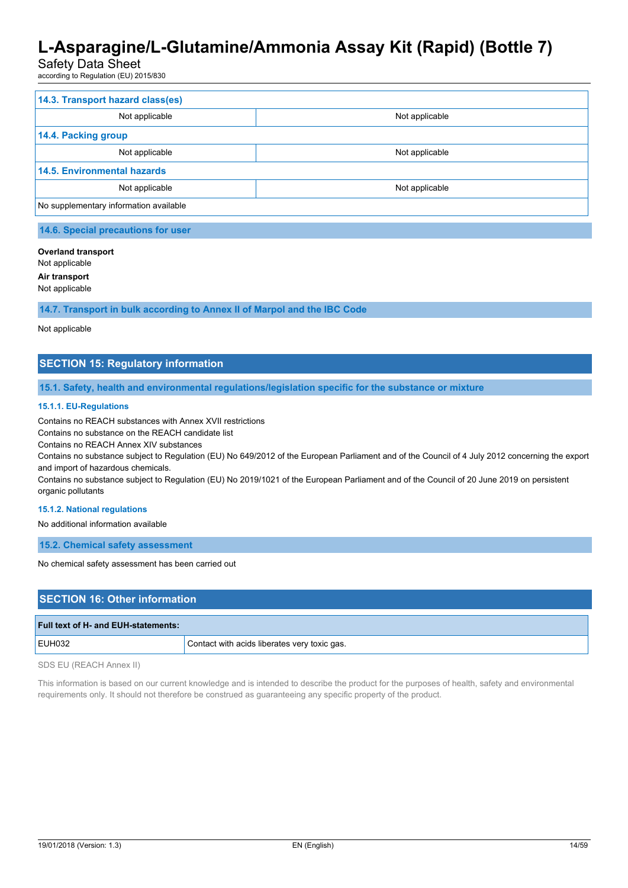### Safety Data Sheet

according to Regulation (EU) 2015/830

| 14.3. Transport hazard class(es)       |                |
|----------------------------------------|----------------|
| Not applicable                         | Not applicable |
| 14.4. Packing group                    |                |
| Not applicable                         | Not applicable |
| <b>14.5. Environmental hazards</b>     |                |
| Not applicable                         | Not applicable |
| No supplementary information available |                |

#### **Overland transport**

Not applicable

**Air transport**

Not applicable

**14.7. Transport in bulk according to Annex II of Marpol and the IBC Code**

#### Not applicable

### **SECTION 15: Regulatory information**

**15.1. Safety, health and environmental regulations/legislation specific for the substance or mixture**

#### **15.1.1. EU-Regulations**

Contains no REACH substances with Annex XVII restrictions

Contains no substance on the REACH candidate list

Contains no REACH Annex XIV substances

Contains no substance subject to Regulation (EU) No 649/2012 of the European Parliament and of the Council of 4 July 2012 concerning the export and import of hazardous chemicals.

Contains no substance subject to Regulation (EU) No 2019/1021 of the European Parliament and of the Council of 20 June 2019 on persistent organic pollutants

#### **15.1.2. National regulations**

No additional information available

**15.2. Chemical safety assessment**

No chemical safety assessment has been carried out

### **SECTION 16: Other information**

| Full text of H- and EUH-statements: |                                              |
|-------------------------------------|----------------------------------------------|
| <b>EUH032</b>                       | Contact with acids liberates very toxic gas. |
|                                     |                                              |

SDS EU (REACH Annex II)

This information is based on our current knowledge and is intended to describe the product for the purposes of health, safety and environmental requirements only. It should not therefore be construed as guaranteeing any specific property of the product.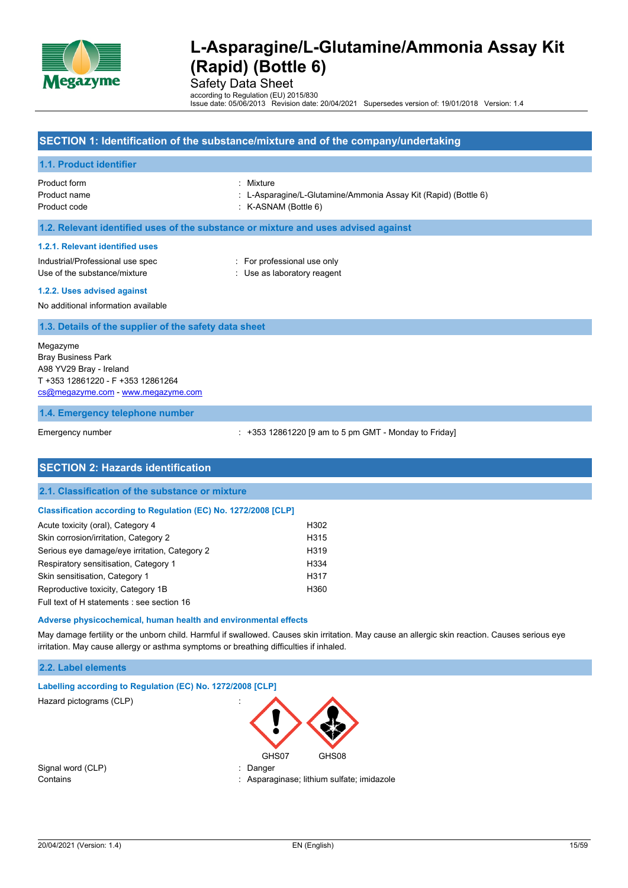

Safety Data Sheet

according to Regulation (EU) 2015/830 Issue date: 05/06/2013 Revision date: 20/04/2021 Supersedes version of: 19/01/2018 Version: 1.4

#### **SECTION 1: Identification of the substance/mixture and of the company/undertaking**

#### **1.1. Product identifier**

Product form : Mixture : Mixture : Mixture : Mixture : Mixture : Mixture : Mixture : Mixture : Mixture : Mixture : Mixture : Mixture : Mixture : Mixture : Mixture : Mixture : Mixture : Mixture : Mixture : Mixture : Mixture Product code : K-ASNAM (Bottle 6)

Product name : L-Asparagine/L-Glutamine/Ammonia Assay Kit (Rapid) (Bottle 6)

**1.2. Relevant identified uses of the substance or mixture and uses advised against**

#### **1.2.1. Relevant identified uses**

Industrial/Professional use spec : For professional use only Use of the substance/mixture in the substance/mixture in the substance of the substance in the substance of the substance of the substance of the substance of the substance of the substance of the substance of the substanc

**1.2.2. Uses advised against**

No additional information available

#### **1.3. Details of the supplier of the safety data sheet**

Megazyme Bray Business Park A98 YV29 Bray - Ireland T +353 12861220 - F +353 12861264 [cs@megazyme.com](mailto:cs@megazyme.com) - <www.megazyme.com>

#### **1.4. Emergency telephone number**

Emergency number : +353 12861220 [9 am to 5 pm GMT - Monday to Friday]

| <b>SECTION 2: Hazards identification</b>                        |      |  |
|-----------------------------------------------------------------|------|--|
|                                                                 |      |  |
| 2.1. Classification of the substance or mixture                 |      |  |
| Classification according to Regulation (EC) No. 1272/2008 [CLP] |      |  |
| Acute toxicity (oral), Category 4                               | H302 |  |
| Skin corrosion/irritation, Category 2                           | H315 |  |
| Serious eye damage/eye irritation, Category 2                   | H319 |  |
| Respiratory sensitisation, Category 1                           | H334 |  |
| Skin sensitisation, Category 1                                  | H317 |  |
| Reproductive toxicity, Category 1B                              | H360 |  |
| Full text of H statements : see section 16                      |      |  |

#### **Adverse physicochemical, human health and environmental effects**

May damage fertility or the unborn child. Harmful if swallowed. Causes skin irritation. May cause an allergic skin reaction. Causes serious eye irritation. May cause allergy or asthma symptoms or breathing difficulties if inhaled.

#### **2.2. Label elements**

| Labelling according to Regulation (EC) No. 1272/2008 [CLP] |                                          |  |
|------------------------------------------------------------|------------------------------------------|--|
| Hazard pictograms (CLP)                                    | $\cdot$<br>$\cdot$                       |  |
|                                                            | GHS07<br>GHS08                           |  |
| Signal word (CLP)                                          | Danger<br>÷.                             |  |
| Contains                                                   | Asparaginase; lithium sulfate; imidazole |  |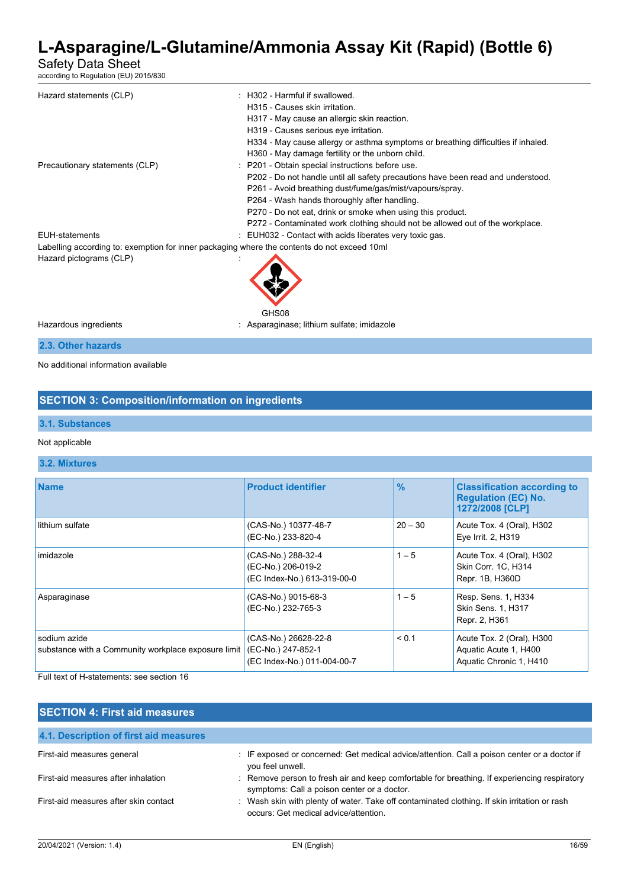Safety Data Sheet

according to Regulation (EU) 2015/830

| Hazard statements (CLP)                                                                     | : H302 - Harmful if swallowed.                                                    |
|---------------------------------------------------------------------------------------------|-----------------------------------------------------------------------------------|
|                                                                                             | H315 - Causes skin irritation.                                                    |
|                                                                                             | H317 - May cause an allergic skin reaction.                                       |
|                                                                                             | H319 - Causes serious eye irritation.                                             |
|                                                                                             | H334 - May cause allergy or asthma symptoms or breathing difficulties if inhaled. |
|                                                                                             | H360 - May damage fertility or the unborn child.                                  |
| Precautionary statements (CLP)                                                              | : P201 - Obtain special instructions before use.                                  |
|                                                                                             | P202 - Do not handle until all safety precautions have been read and understood.  |
|                                                                                             | P261 - Avoid breathing dust/fume/gas/mist/vapours/spray.                          |
|                                                                                             | P264 - Wash hands thoroughly after handling.                                      |
|                                                                                             | P270 - Do not eat, drink or smoke when using this product.                        |
|                                                                                             | P272 - Contaminated work clothing should not be allowed out of the workplace.     |
| <b>EUH-statements</b>                                                                       | : EUH032 - Contact with acids liberates very toxic gas.                           |
| Labelling according to: exemption for inner packaging where the contents do not exceed 10ml |                                                                                   |
| Hazard pictograms (CLP)                                                                     |                                                                                   |
|                                                                                             | GHS08                                                                             |
| Hazardous ingredients                                                                       | : Asparaginase; lithium sulfate; imidazole                                        |
| 2.3. Other hazards                                                                          |                                                                                   |

No additional information available

### **SECTION 3: Composition/information on ingredients**

#### **3.1. Substances**

Not applicable

#### **3.2. Mixtures**

| <b>Name</b>                                                         | <b>Product identifier</b>                                                 | $\frac{9}{6}$ | <b>Classification according to</b><br><b>Regulation (EC) No.</b><br>1272/2008 [CLP] |
|---------------------------------------------------------------------|---------------------------------------------------------------------------|---------------|-------------------------------------------------------------------------------------|
| lithium sulfate                                                     | (CAS-No.) 10377-48-7<br>(EC-No.) 233-820-4                                | $20 - 30$     | Acute Tox. 4 (Oral), H302<br>Eve Irrit. 2, H319                                     |
| imidazole                                                           | (CAS-No.) 288-32-4<br>(EC-No.) 206-019-2<br>(EC Index-No.) 613-319-00-0   | $1 - 5$       | Acute Tox. 4 (Oral), H302<br>Skin Corr. 1C, H314<br>Repr. 1B, H360D                 |
| Asparaginase                                                        | (CAS-No.) 9015-68-3<br>(EC-No.) 232-765-3                                 | $1 - 5$       | Resp. Sens. 1, H334<br><b>Skin Sens. 1, H317</b><br>Repr. 2, H361                   |
| sodium azide<br>substance with a Community workplace exposure limit | (CAS-No.) 26628-22-8<br>(EC-No.) 247-852-1<br>(EC Index-No.) 011-004-00-7 | < 0.1         | Acute Tox. 2 (Oral), H300<br>Aquatic Acute 1, H400<br>Aquatic Chronic 1, H410       |

Full text of H-statements: see section 16

### **SECTION 4: First aid measures**

| 4.1. Description of first aid measures |                                                                                                                                           |
|----------------------------------------|-------------------------------------------------------------------------------------------------------------------------------------------|
| First-aid measures general             | IF exposed or concerned: Get medical advice/attention. Call a poison center or a doctor if<br>you feel unwell.                            |
| First-aid measures after inhalation    | Remove person to fresh air and keep comfortable for breathing. If experiencing respiratory<br>symptoms: Call a poison center or a doctor. |
| First-aid measures after skin contact  | : Wash skin with plenty of water. Take off contaminated clothing. If skin irritation or rash<br>occurs: Get medical advice/attention.     |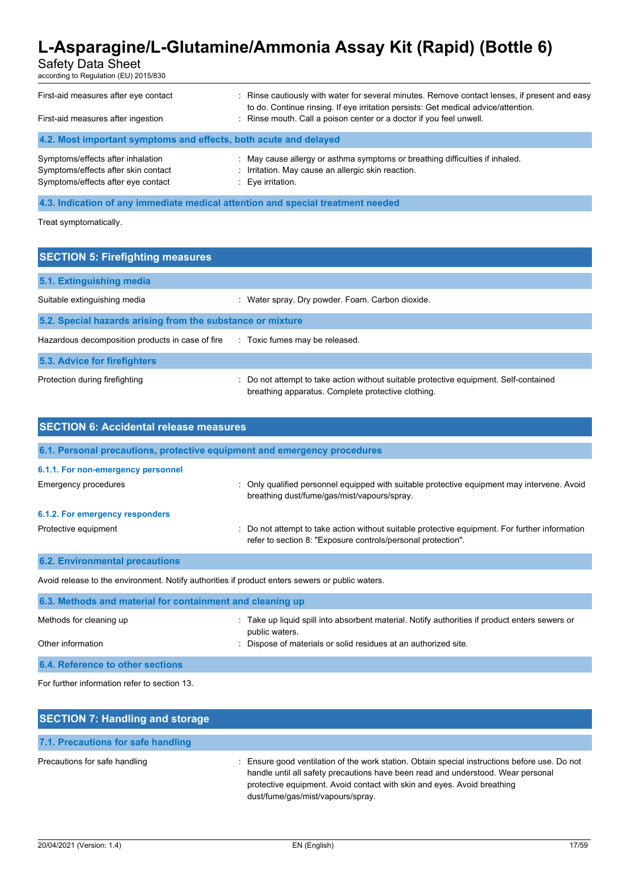Safety Data Sheet

according to Regulation (EU) 2015/830

| First-aid measures after eye contact<br>First-aid measures after ingestion                                     | : Rinse cautiously with water for several minutes. Remove contact lenses, if present and easy<br>to do. Continue rinsing. If eye irritation persists: Get medical advice/attention.<br>: Rinse mouth. Call a poison center or a doctor if you feel unwell. |
|----------------------------------------------------------------------------------------------------------------|------------------------------------------------------------------------------------------------------------------------------------------------------------------------------------------------------------------------------------------------------------|
| 4.2. Most important symptoms and effects, both acute and delayed                                               |                                                                                                                                                                                                                                                            |
| Symptoms/effects after inhalation<br>Symptoms/effects after skin contact<br>Symptoms/effects after eye contact | : May cause allergy or asthma symptoms or breathing difficulties if inhaled.<br>: Irritation. May cause an allergic skin reaction.<br>: Eye irritation.                                                                                                    |

#### **4.3. Indication of any immediate medical attention and special treatment needed**

Treat symptomatically.

| <b>SECTION 5: Firefighting measures</b>                    |                                                                                                                                             |
|------------------------------------------------------------|---------------------------------------------------------------------------------------------------------------------------------------------|
| 5.1. Extinguishing media                                   |                                                                                                                                             |
| Suitable extinguishing media                               | : Water spray. Dry powder. Foam. Carbon dioxide.                                                                                            |
| 5.2. Special hazards arising from the substance or mixture |                                                                                                                                             |
| Hazardous decomposition products in case of fire           | : Toxic fumes may be released.                                                                                                              |
| 5.3. Advice for firefighters                               |                                                                                                                                             |
| Protection during firefighting                             | : Do not attempt to take action without suitable protective equipment. Self-contained<br>breathing apparatus. Complete protective clothing. |

| <b>SECTION 6: Accidental release measures</b>                            |                                                                                                                                                                |  |
|--------------------------------------------------------------------------|----------------------------------------------------------------------------------------------------------------------------------------------------------------|--|
| 6.1. Personal precautions, protective equipment and emergency procedures |                                                                                                                                                                |  |
| 6.1.1. For non-emergency personnel                                       |                                                                                                                                                                |  |
| Emergency procedures                                                     | : Only qualified personnel equipped with suitable protective equipment may intervene. Avoid<br>breathing dust/fume/gas/mist/vapours/spray.                     |  |
| 6.1.2. For emergency responders                                          |                                                                                                                                                                |  |
| Protective equipment                                                     | : Do not attempt to take action without suitable protective equipment. For further information<br>refer to section 8: "Exposure controls/personal protection". |  |
| <b>6.2. Environmental precautions</b>                                    |                                                                                                                                                                |  |

Avoid release to the environment. Notify authorities if product enters sewers or public waters.

| 6.3. Methods and material for containment and cleaning up |                                                                                                                |  |
|-----------------------------------------------------------|----------------------------------------------------------------------------------------------------------------|--|
| Methods for cleaning up                                   | Take up liquid spill into absorbent material. Notify authorities if product enters sewers or<br>public waters. |  |
| Other information                                         | Dispose of materials or solid residues at an authorized site.                                                  |  |
| 6.4. Reference to other sections                          |                                                                                                                |  |
|                                                           |                                                                                                                |  |

For further information refer to section 13.

| <b>SECTION 7: Handling and storage</b> |                                                                                                                                                                                                                                                                                                 |
|----------------------------------------|-------------------------------------------------------------------------------------------------------------------------------------------------------------------------------------------------------------------------------------------------------------------------------------------------|
| 7.1. Precautions for safe handling     |                                                                                                                                                                                                                                                                                                 |
| Precautions for safe handling          | Ensure good ventilation of the work station. Obtain special instructions before use. Do not<br>handle until all safety precautions have been read and understood. Wear personal<br>protective equipment. Avoid contact with skin and eyes. Avoid breathing<br>dust/fume/gas/mist/vapours/spray. |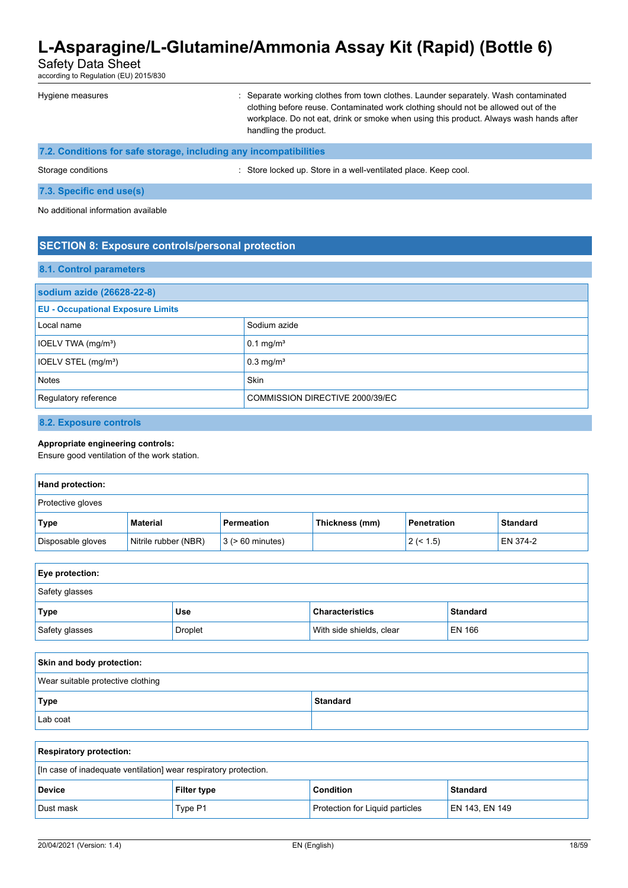Safety Data Sheet

according to Regulation (EU) 2015/830

| Hygiene measures                                                  | : Separate working clothes from town clothes. Launder separately. Wash contaminated<br>clothing before reuse. Contaminated work clothing should not be allowed out of the<br>workplace. Do not eat, drink or smoke when using this product. Always wash hands after<br>handling the product. |
|-------------------------------------------------------------------|----------------------------------------------------------------------------------------------------------------------------------------------------------------------------------------------------------------------------------------------------------------------------------------------|
| 7.2. Conditions for safe storage, including any incompatibilities |                                                                                                                                                                                                                                                                                              |

Storage conditions : Store locked up. Store in a well-ventilated place. Keep cool.

#### **7.3. Specific end use(s)**

No additional information available

### **SECTION 8: Exposure controls/personal protection**

#### **8.1. Control parameters**

| sodium azide (26628-22-8)                |                                 |  |
|------------------------------------------|---------------------------------|--|
| <b>EU - Occupational Exposure Limits</b> |                                 |  |
| Local name                               | Sodium azide                    |  |
| IOELV TWA (mg/m <sup>3</sup> )           | $0.1 \text{ mg/m}^3$            |  |
| IOELV STEL (mg/m <sup>3</sup> )          | $0.3$ mg/m <sup>3</sup>         |  |
| Notes                                    | <b>Skin</b>                     |  |
| Regulatory reference                     | COMMISSION DIRECTIVE 2000/39/EC |  |

### **8.2. Exposure controls**

#### **Appropriate engineering controls:**

Ensure good ventilation of the work station.

| Hand protection:  |                      |                       |                |                    |                 |
|-------------------|----------------------|-----------------------|----------------|--------------------|-----------------|
| Protective gloves |                      |                       |                |                    |                 |
| Type              | <b>Material</b>      | Permeation            | Thickness (mm) | <b>Penetration</b> | <b>Standard</b> |
| Disposable gloves | Nitrile rubber (NBR) | $3$ ( $> 60$ minutes) |                | 2 (< 1.5)          | EN 374-2        |

| Eye protection: |                |                          |                 |
|-----------------|----------------|--------------------------|-----------------|
| Safety glasses  |                |                          |                 |
| Type            | <b>Use</b>     | <b>Characteristics</b>   | <b>Standard</b> |
| Safety glasses  | <b>Droplet</b> | With side shields, clear | <b>EN 166</b>   |

| Skin and body protection:         |                 |  |
|-----------------------------------|-----------------|--|
| Wear suitable protective clothing |                 |  |
| Type                              | <b>Standard</b> |  |
| Lab coat                          |                 |  |

| <b>Respiratory protection:</b>                                   |                    |                                        |                 |
|------------------------------------------------------------------|--------------------|----------------------------------------|-----------------|
| [In case of inadequate ventilation] wear respiratory protection. |                    |                                        |                 |
| <b>Device</b>                                                    | <b>Filter type</b> | <b>Condition</b>                       | <b>Standard</b> |
| Dust mask                                                        | Type P1            | <b>Protection for Liquid particles</b> | EN 143, EN 149  |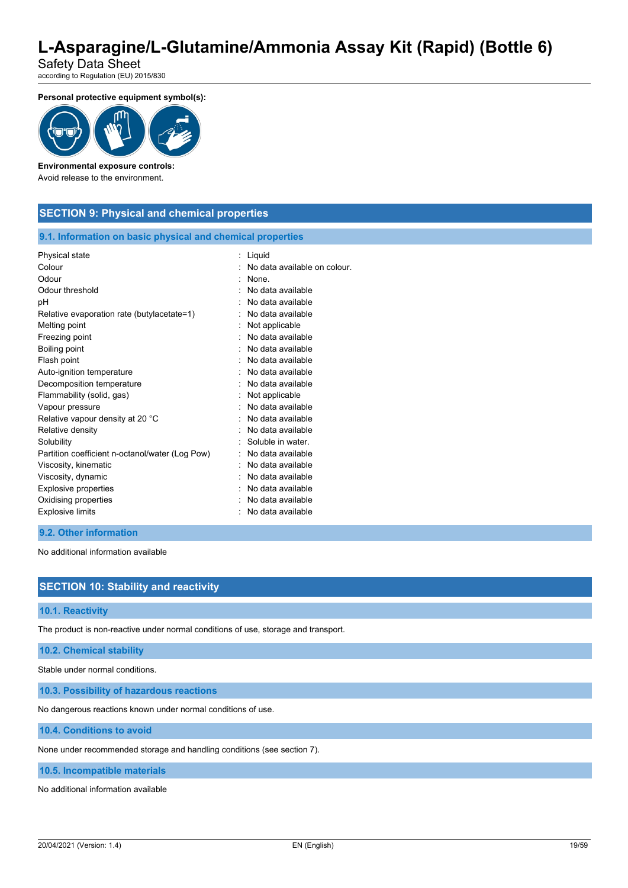Safety Data Sheet according to Regulation (EU) 2015/830

**Personal protective equipment symbol(s):**



### **Environmental exposure controls:**

Avoid release to the environment.

### **SECTION 9: Physical and chemical properties**

#### **9.1. Information on basic physical and chemical properties**

| Colour<br>No data available on colour.<br>Odour<br>None.<br>Odour threshold<br>No data available<br>pH<br>No data available |  |
|-----------------------------------------------------------------------------------------------------------------------------|--|
|                                                                                                                             |  |
|                                                                                                                             |  |
|                                                                                                                             |  |
|                                                                                                                             |  |
| No data available<br>Relative evaporation rate (butylacetate=1)                                                             |  |
| Melting point<br>Not applicable                                                                                             |  |
| No data available<br>Freezing point                                                                                         |  |
| Boiling point<br>No data available                                                                                          |  |
| Flash point<br>No data available                                                                                            |  |
| No data available<br>Auto-ignition temperature                                                                              |  |
| No data available<br>Decomposition temperature                                                                              |  |
| Flammability (solid, gas)<br>Not applicable                                                                                 |  |
| No data available<br>Vapour pressure                                                                                        |  |
| No data available<br>Relative vapour density at 20 °C                                                                       |  |
| Relative density<br>No data available                                                                                       |  |
| Soluble in water.<br>Solubility                                                                                             |  |
| No data available<br>Partition coefficient n-octanol/water (Log Pow)                                                        |  |
| Viscosity, kinematic<br>No data available                                                                                   |  |
| No data available<br>Viscosity, dynamic                                                                                     |  |
| <b>Explosive properties</b><br>No data available                                                                            |  |
| Oxidising properties<br>No data available                                                                                   |  |
| <b>Explosive limits</b><br>No data available                                                                                |  |

### **9.2. Other information**

No additional information available

### **SECTION 10: Stability and reactivity**

#### **10.1. Reactivity**

The product is non-reactive under normal conditions of use, storage and transport.

#### **10.2. Chemical stability**

Stable under normal conditions.

**10.3. Possibility of hazardous reactions**

No dangerous reactions known under normal conditions of use.

**10.4. Conditions to avoid**

None under recommended storage and handling conditions (see section 7).

#### **10.5. Incompatible materials**

No additional information available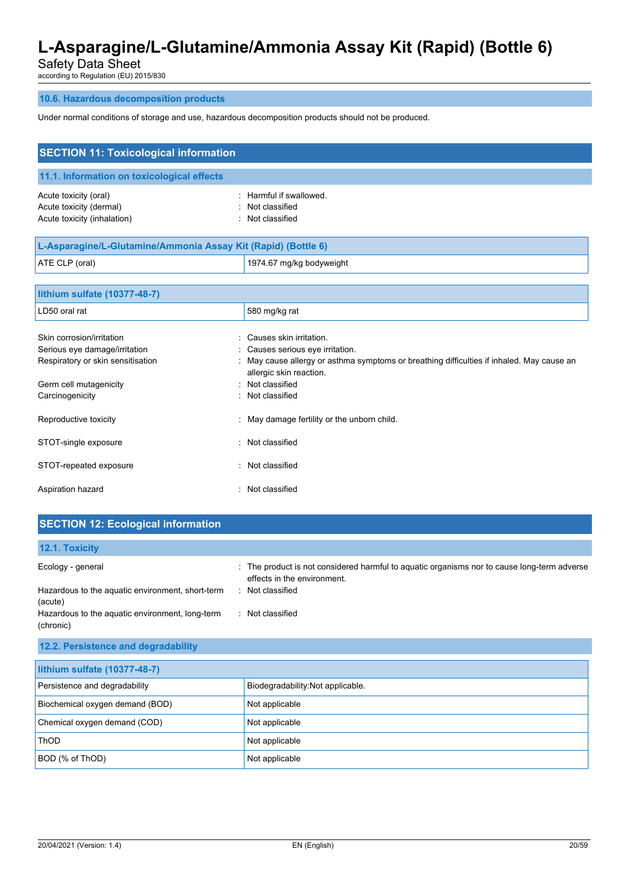Safety Data Sheet

according to Regulation (EU) 2015/830

### **10.6. Hazardous decomposition products**

Under normal conditions of storage and use, hazardous decomposition products should not be produced.

| <b>SECTION 11: Toxicological information</b>                                                                              |                                                                                                                                                                                                   |  |  |
|---------------------------------------------------------------------------------------------------------------------------|---------------------------------------------------------------------------------------------------------------------------------------------------------------------------------------------------|--|--|
| 11.1. Information on toxicological effects                                                                                |                                                                                                                                                                                                   |  |  |
| Acute toxicity (oral)<br>Acute toxicity (dermal)<br>Acute toxicity (inhalation)                                           | Harmful if swallowed.<br>Not classified<br>Not classified                                                                                                                                         |  |  |
| L-Asparagine/L-Glutamine/Ammonia Assay Kit (Rapid) (Bottle 6)                                                             |                                                                                                                                                                                                   |  |  |
| ATE CLP (oral)                                                                                                            | 1974.67 mg/kg bodyweight                                                                                                                                                                          |  |  |
| lithium sulfate (10377-48-7)                                                                                              |                                                                                                                                                                                                   |  |  |
| LD50 oral rat                                                                                                             | 580 mg/kg rat                                                                                                                                                                                     |  |  |
| Skin corrosion/irritation<br>Serious eye damage/irritation<br>Respiratory or skin sensitisation<br>Germ cell mutagenicity | Causes skin irritation.<br>Causes serious eye irritation.<br>May cause allergy or asthma symptoms or breathing difficulties if inhaled. May cause an<br>allergic skin reaction.<br>Not classified |  |  |
| Carcinogenicity                                                                                                           | Not classified                                                                                                                                                                                    |  |  |
| Reproductive toxicity                                                                                                     | May damage fertility or the unborn child.                                                                                                                                                         |  |  |
| STOT-single exposure                                                                                                      | Not classified                                                                                                                                                                                    |  |  |
| STOT-repeated exposure                                                                                                    | Not classified                                                                                                                                                                                    |  |  |
| Aspiration hazard                                                                                                         | Not classified                                                                                                                                                                                    |  |  |

# **SECTION 12: Ecological information**

| <b>12.1. Toxicity</b>                                        |                                                                                                                            |
|--------------------------------------------------------------|----------------------------------------------------------------------------------------------------------------------------|
| Ecology - general                                            | : The product is not considered harmful to aquatic organisms nor to cause long-term adverse<br>effects in the environment. |
| Hazardous to the aquatic environment, short-term<br>(acute)  | Not classified                                                                                                             |
| Hazardous to the aquatic environment, long-term<br>(chronic) | Not classified                                                                                                             |

### **12.2. Persistence and degradability**

| lithium sulfate (10377-48-7)    |                                   |  |
|---------------------------------|-----------------------------------|--|
| Persistence and degradability   | Biodegradability: Not applicable. |  |
| Biochemical oxygen demand (BOD) | Not applicable                    |  |
| Chemical oxygen demand (COD)    | Not applicable                    |  |
| <b>ThOD</b>                     | Not applicable                    |  |
| BOD (% of ThOD)                 | Not applicable                    |  |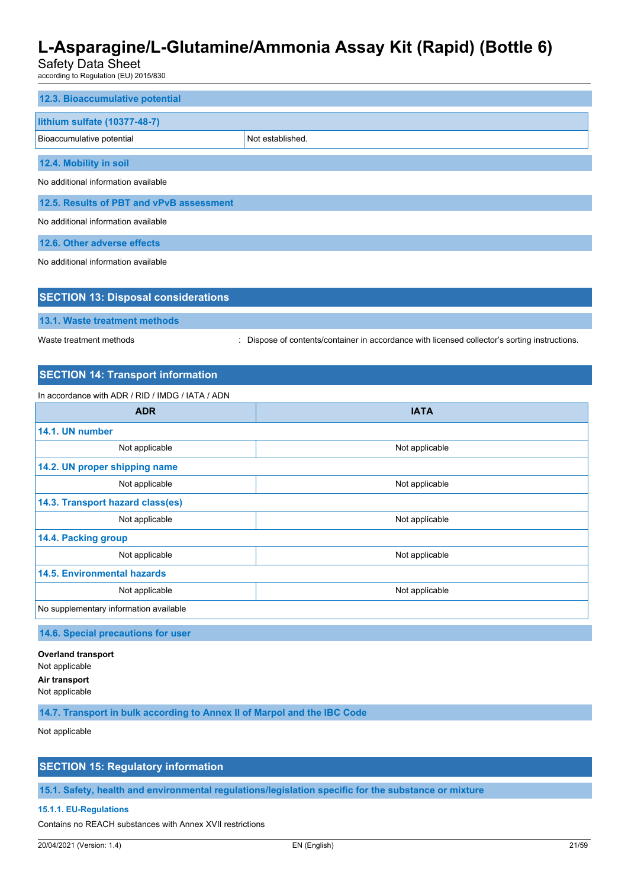Safety Data Sheet

according to Regulation (EU) 2015/830

| 12.3. Bioaccumulative potential               |  |  |
|-----------------------------------------------|--|--|
| lithium sulfate (10377-48-7)                  |  |  |
| Not established.<br>Bioaccumulative potential |  |  |
| 12.4. Mobility in soil                        |  |  |
| No additional information available           |  |  |
| 12.5. Results of PBT and vPvB assessment      |  |  |
| No additional information available           |  |  |
| 12.6. Other adverse effects                   |  |  |
| No additional information available           |  |  |

| <b>SECTION 13: Disposal considerations</b> |                                                                                             |  |
|--------------------------------------------|---------------------------------------------------------------------------------------------|--|
| 13.1. Waste treatment methods              |                                                                                             |  |
| Waste treatment methods                    | Dispose of contents/container in accordance with licensed collector's sorting instructions. |  |

# **SECTION 14: Transport information**

In accordance with ADR / RID / IMDG / IATA / ADN

| <b>ADR</b>                             | <b>IATA</b>    |  |
|----------------------------------------|----------------|--|
| 14.1. UN number                        |                |  |
| Not applicable                         | Not applicable |  |
| 14.2. UN proper shipping name          |                |  |
| Not applicable                         | Not applicable |  |
| 14.3. Transport hazard class(es)       |                |  |
| Not applicable                         | Not applicable |  |
| 14.4. Packing group                    |                |  |
| Not applicable                         | Not applicable |  |
| <b>14.5. Environmental hazards</b>     |                |  |
| Not applicable                         | Not applicable |  |
| No supplementary information available |                |  |

**14.6. Special precautions for user**

**Overland transport** Not applicable **Air transport** Not applicable

**14.7. Transport in bulk according to Annex II of Marpol and the IBC Code**

Not applicable

# **SECTION 15: Regulatory information**

**15.1. Safety, health and environmental regulations/legislation specific for the substance or mixture**

#### **15.1.1. EU-Regulations**

Contains no REACH substances with Annex XVII restrictions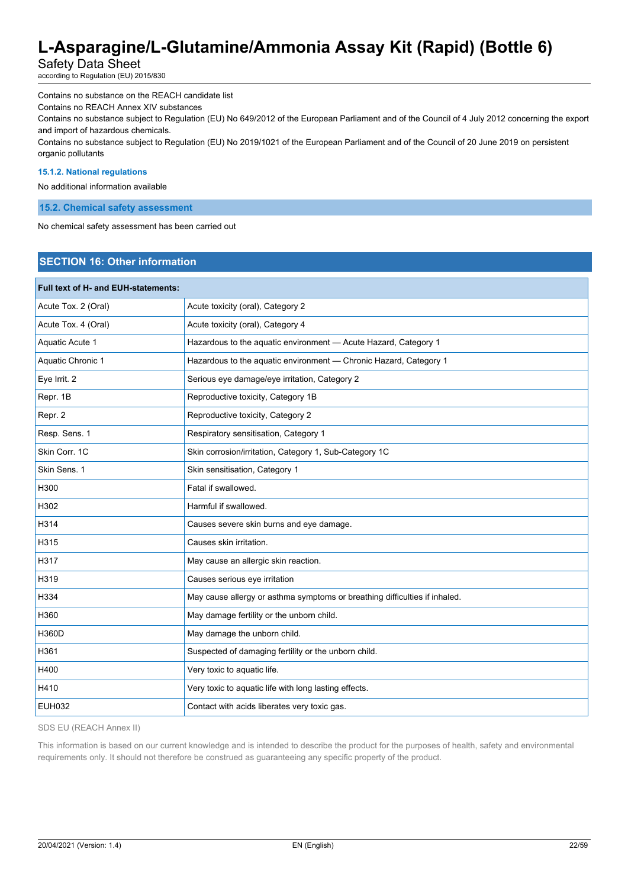Safety Data Sheet

according to Regulation (EU) 2015/830

Contains no substance on the REACH candidate list

Contains no REACH Annex XIV substances

Contains no substance subject to Regulation (EU) No 649/2012 of the European Parliament and of the Council of 4 July 2012 concerning the export and import of hazardous chemicals.

Contains no substance subject to Regulation (EU) No 2019/1021 of the European Parliament and of the Council of 20 June 2019 on persistent organic pollutants

#### **15.1.2. National regulations**

No additional information available

#### **15.2. Chemical safety assessment**

No chemical safety assessment has been carried out

# **SECTION 16: Other information**

| Full text of H- and EUH-statements: |                                                                            |
|-------------------------------------|----------------------------------------------------------------------------|
| Acute Tox. 2 (Oral)                 | Acute toxicity (oral), Category 2                                          |
| Acute Tox. 4 (Oral)                 | Acute toxicity (oral), Category 4                                          |
| Aquatic Acute 1                     | Hazardous to the aquatic environment - Acute Hazard, Category 1            |
| Aquatic Chronic 1                   | Hazardous to the aquatic environment - Chronic Hazard, Category 1          |
| Eye Irrit. 2                        | Serious eye damage/eye irritation, Category 2                              |
| Repr. 1B                            | Reproductive toxicity, Category 1B                                         |
| Repr. 2                             | Reproductive toxicity, Category 2                                          |
| Resp. Sens. 1                       | Respiratory sensitisation, Category 1                                      |
| Skin Corr. 1C                       | Skin corrosion/irritation, Category 1, Sub-Category 1C                     |
| Skin Sens. 1                        | Skin sensitisation, Category 1                                             |
| H300                                | Fatal if swallowed.                                                        |
| H302                                | Harmful if swallowed.                                                      |
| H314                                | Causes severe skin burns and eye damage.                                   |
| H315                                | Causes skin irritation.                                                    |
| H317                                | May cause an allergic skin reaction.                                       |
| H319                                | Causes serious eye irritation                                              |
| H334                                | May cause allergy or asthma symptoms or breathing difficulties if inhaled. |
| H360                                | May damage fertility or the unborn child.                                  |
| H360D                               | May damage the unborn child.                                               |
| H361                                | Suspected of damaging fertility or the unborn child.                       |
| H400                                | Very toxic to aquatic life.                                                |
| H410                                | Very toxic to aquatic life with long lasting effects.                      |
| <b>EUH032</b>                       | Contact with acids liberates very toxic gas.                               |

SDS EU (REACH Annex II)

This information is based on our current knowledge and is intended to describe the product for the purposes of health, safety and environmental requirements only. It should not therefore be construed as guaranteeing any specific property of the product.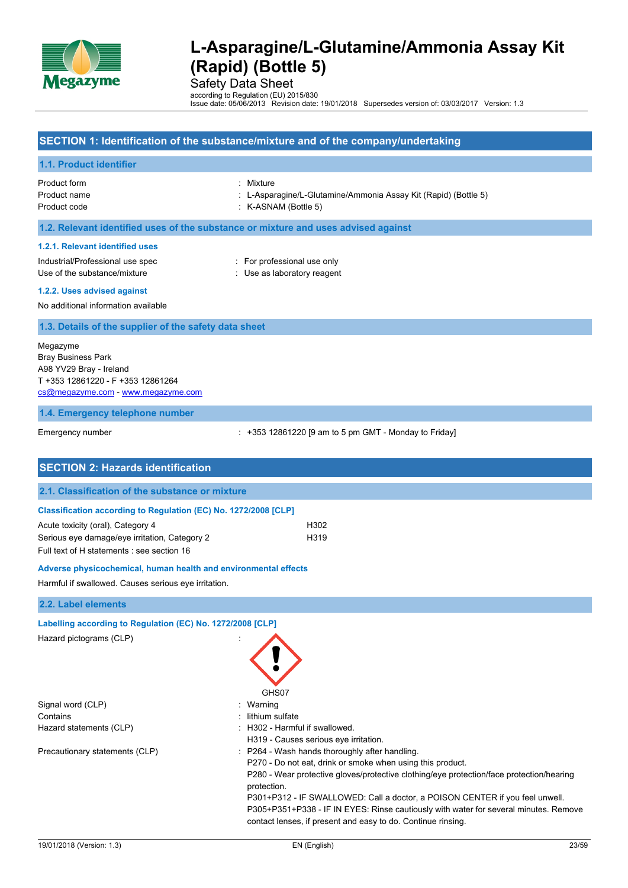

Safety Data Sheet

according to Regulation (EU) 2015/830 Issue date: 05/06/2013 Revision date: 19/01/2018 Supersedes version of: 03/03/2017 Version: 1.3

### **SECTION 1: Identification of the substance/mixture and of the company/undertaking**

#### **1.1. Product identifier**

Product form : Mixture

- Product name : L-Asparagine/L-Glutamine/Ammonia Assay Kit (Rapid) (Bottle 5)
- Product code : K-ASNAM (Bottle 5)

#### **1.2. Relevant identified uses of the substance or mixture and uses advised against**

#### **1.2.1. Relevant identified uses**

Industrial/Professional use spec : For professional use only Use of the substance/mixture in the substance/mixture in the substance of the substance of the substance of the substance of the substance of the substance of the substance of the substance of the substance of the substanc

**1.2.2. Uses advised against**

No additional information available

#### **1.3. Details of the supplier of the safety data sheet**

Megazyme Bray Business Park A98 YV29 Bray - Ireland T +353 12861220 - F +353 12861264 [cs@megazyme.com](mailto:cs@megazyme.com) - <www.megazyme.com>

#### **1.4. Emergency telephone number**

Emergency number : +353 12861220 [9 am to 5 pm GMT - Monday to Friday]

| <b>SECTION 2: Hazards identification</b>                        |                                                                                                                                                                                                                                                                                                         |
|-----------------------------------------------------------------|---------------------------------------------------------------------------------------------------------------------------------------------------------------------------------------------------------------------------------------------------------------------------------------------------------|
| 2.1. Classification of the substance or mixture                 |                                                                                                                                                                                                                                                                                                         |
| Classification according to Regulation (EC) No. 1272/2008 [CLP] |                                                                                                                                                                                                                                                                                                         |
| Acute toxicity (oral), Category 4                               | H302                                                                                                                                                                                                                                                                                                    |
| Serious eye damage/eye irritation, Category 2                   | H319                                                                                                                                                                                                                                                                                                    |
| Full text of H statements : see section 16                      |                                                                                                                                                                                                                                                                                                         |
| Adverse physicochemical, human health and environmental effects |                                                                                                                                                                                                                                                                                                         |
| Harmful if swallowed. Causes serious eye irritation.            |                                                                                                                                                                                                                                                                                                         |
| 2.2. Label elements                                             |                                                                                                                                                                                                                                                                                                         |
| Labelling according to Regulation (EC) No. 1272/2008 [CLP]      |                                                                                                                                                                                                                                                                                                         |
| Hazard pictograms (CLP)                                         | GHS07                                                                                                                                                                                                                                                                                                   |
| Signal word (CLP)                                               | Warning                                                                                                                                                                                                                                                                                                 |
| Contains                                                        | lithium sulfate                                                                                                                                                                                                                                                                                         |
| Hazard statements (CLP)                                         | : H302 - Harmful if swallowed.<br>H319 - Causes serious eye irritation.                                                                                                                                                                                                                                 |
| Precautionary statements (CLP)                                  | : P264 - Wash hands thoroughly after handling.<br>P270 - Do not eat, drink or smoke when using this product.<br>P280 - Wear protective gloves/protective clothing/eye protection/face protection/hearing<br>protection.<br>P301+P312 - IF SWALLOWED: Call a doctor, a POISON CENTER if you feel unwell. |
|                                                                 | P305+P351+P338 - IF IN EYES: Rinse cautiously with water for several minutes. Remove<br>contact lenses, if present and easy to do. Continue rinsing.                                                                                                                                                    |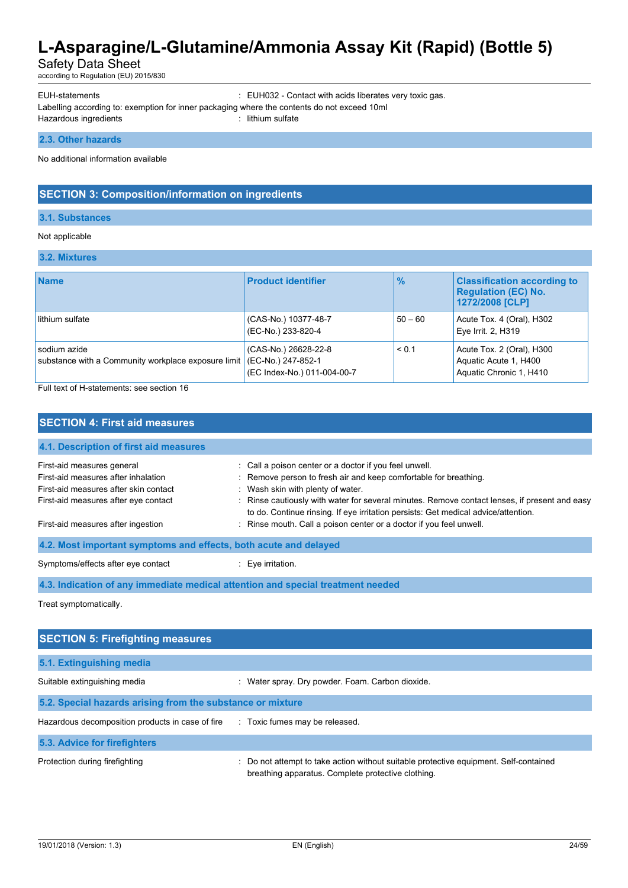Safety Data Sheet

according to Regulation (EU) 2015/830

EUH-statements : EUH032 - Contact with acids liberates very toxic gas.

Labelling according to: exemption for inner packaging where the contents do not exceed 10ml

Hazardous ingredients in the state of the sulfate in the sulfate in the sulfate in the sulfate in the sulfate

#### **2.3. Other hazards**

No additional information available

### **SECTION 3: Composition/information on ingredients**

#### **3.1. Substances**

#### Not applicable

#### **3.2. Mixtures**

| <b>Name</b>                                                         | <b>Product identifier</b>                                                 | $\frac{9}{6}$ | <b>Classification according to</b><br><b>Regulation (EC) No.</b><br>1272/2008 [CLP] |
|---------------------------------------------------------------------|---------------------------------------------------------------------------|---------------|-------------------------------------------------------------------------------------|
| lithium sulfate                                                     | (CAS-No.) 10377-48-7<br>(EC-No.) 233-820-4                                | $50 - 60$     | Acute Tox. 4 (Oral), H302<br>Eye Irrit. 2, H319                                     |
| sodium azide<br>substance with a Community workplace exposure limit | (CAS-No.) 26628-22-8<br>(EC-No.) 247-852-1<br>(EC Index-No.) 011-004-00-7 | < 0.1         | Acute Tox. 2 (Oral), H300<br>Aquatic Acute 1, H400<br>Aquatic Chronic 1, H410       |

Full text of H-statements: see section 16

# **SECTION 4: First aid measures 4.1. Description of first aid measures** First-aid measures general in the state of call a poison center or a doctor if you feel unwell. First-aid measures after inhalation : Remove person to fresh air and keep comfortable for breathing. First-aid measures after skin contact : Wash skin with plenty of water. First-aid measures after eye contact : Rinse cautiously with water for several minutes. Remove contact lenses, if present and easy to do. Continue rinsing. If eye irritation persists: Get medical advice/attention. First-aid measures after ingestion : Rinse mouth. Call a poison center or a doctor if you feel unwell. **4.2. Most important symptoms and effects, both acute and delayed** Symptoms/effects after eye contact : Eye irritation. **4.3. Indication of any immediate medical attention and special treatment needed**

Treat symptomatically.

| <b>SECTION 5: Firefighting measures</b>                                       |                                                                                                                                           |  |
|-------------------------------------------------------------------------------|-------------------------------------------------------------------------------------------------------------------------------------------|--|
| 5.1. Extinguishing media                                                      |                                                                                                                                           |  |
| Suitable extinguishing media                                                  | : Water spray. Dry powder. Foam. Carbon dioxide.                                                                                          |  |
| 5.2. Special hazards arising from the substance or mixture                    |                                                                                                                                           |  |
| Hazardous decomposition products in case of fire Toxic fumes may be released. |                                                                                                                                           |  |
| 5.3. Advice for firefighters                                                  |                                                                                                                                           |  |
| Protection during firefighting                                                | Do not attempt to take action without suitable protective equipment. Self-contained<br>breathing apparatus. Complete protective clothing. |  |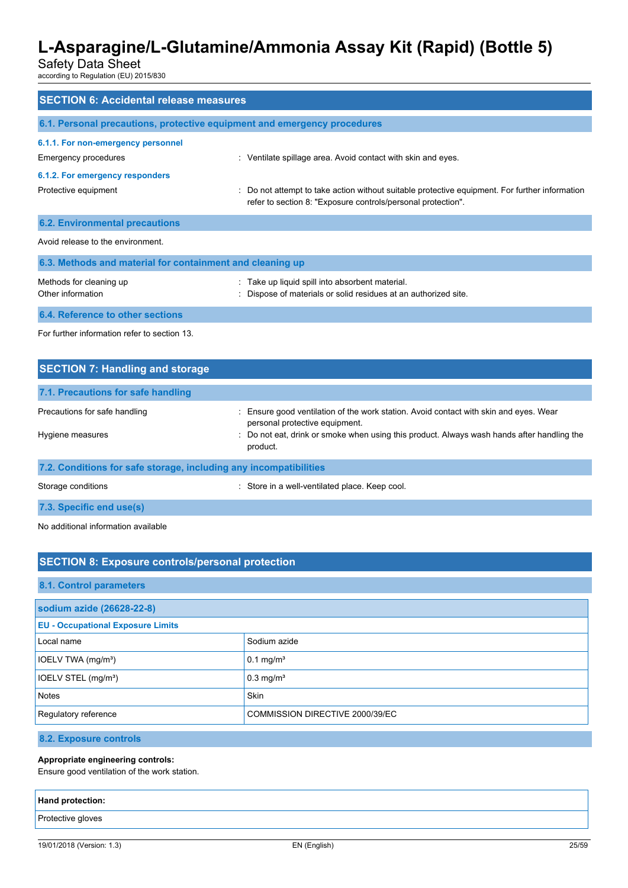Safety Data Sheet

according to Regulation (EU) 2015/830

| <b>SECTION 6: Accidental release measures</b>                            |                                                                                                                                                                |  |
|--------------------------------------------------------------------------|----------------------------------------------------------------------------------------------------------------------------------------------------------------|--|
| 6.1. Personal precautions, protective equipment and emergency procedures |                                                                                                                                                                |  |
| 6.1.1. For non-emergency personnel<br>Emergency procedures               | : Ventilate spillage area. Avoid contact with skin and eyes.                                                                                                   |  |
| 6.1.2. For emergency responders                                          |                                                                                                                                                                |  |
| Protective equipment                                                     | : Do not attempt to take action without suitable protective equipment. For further information<br>refer to section 8: "Exposure controls/personal protection". |  |
| <b>6.2. Environmental precautions</b>                                    |                                                                                                                                                                |  |
| Avoid release to the environment.                                        |                                                                                                                                                                |  |
| 6.3. Methods and material for containment and cleaning up                |                                                                                                                                                                |  |
| Methods for cleaning up<br>Other information                             | : Take up liquid spill into absorbent material.<br>: Dispose of materials or solid residues at an authorized site.                                             |  |
| 6.4. Reference to other sections                                         |                                                                                                                                                                |  |
| For further information refer to section 13                              |                                                                                                                                                                |  |

| <b>SECTION 7: Handling and storage</b>                            |                                                                                                                         |
|-------------------------------------------------------------------|-------------------------------------------------------------------------------------------------------------------------|
| 7.1. Precautions for safe handling                                |                                                                                                                         |
| Precautions for safe handling                                     | : Ensure good ventilation of the work station. Avoid contact with skin and eyes. Wear<br>personal protective equipment. |
| Hygiene measures                                                  | : Do not eat, drink or smoke when using this product. Always wash hands after handling the<br>product.                  |
| 7.2. Conditions for safe storage, including any incompatibilities |                                                                                                                         |
| Storage conditions                                                | : Store in a well-ventilated place. Keep cool.                                                                          |
| 7.3. Specific end use(s)                                          |                                                                                                                         |

No additional information available

# **SECTION 8: Exposure controls/personal protection**

### **8.1. Control parameters**

| sodium azide (26628-22-8)                               |                         |  |
|---------------------------------------------------------|-------------------------|--|
| <b>EU - Occupational Exposure Limits</b>                |                         |  |
| Local name                                              | Sodium azide            |  |
| IOELV TWA (mg/m <sup>3</sup> )                          | $0.1 \text{ mg/m}^3$    |  |
| IOELV STEL (mg/m <sup>3</sup> )                         | $0.3$ mg/m <sup>3</sup> |  |
| Notes                                                   | <b>Skin</b>             |  |
| Regulatory reference<br>COMMISSION DIRECTIVE 2000/39/EC |                         |  |

#### **8.2. Exposure controls**

#### **Appropriate engineering controls:**

Ensure good ventilation of the work station.

# **Hand protection:** Protective gloves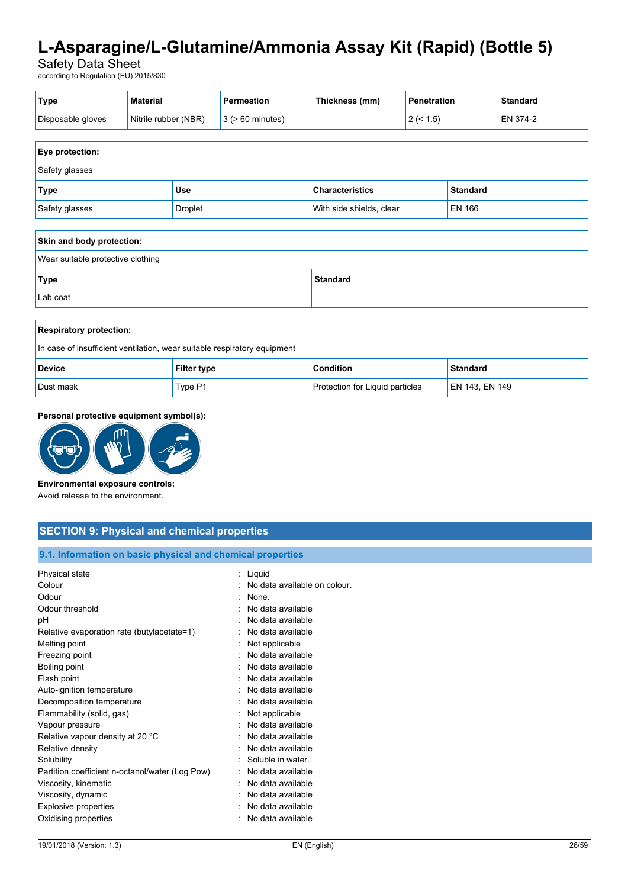Safety Data Sheet

according to Regulation (EU) 2015/830

| ' Type            | Material             | Permeation                  | Thickness (mm) | <b>Penetration</b> | <b>Standard</b> |
|-------------------|----------------------|-----------------------------|----------------|--------------------|-----------------|
| Disposable gloves | Nitrile rubber (NBR) | $\vert$ 3 ( $>$ 60 minutes) |                | $2($ < 1.5)        | EN 374-2        |

| <b>Eye protection:</b> |            |                          |                 |
|------------------------|------------|--------------------------|-----------------|
| Safety glasses         |            |                          |                 |
| Type                   | <b>Use</b> | <b>Characteristics</b>   | <b>Standard</b> |
| Safety glasses         | Droplet    | With side shields, clear | EN 166          |

| Skin and body protection:         |                 |  |
|-----------------------------------|-----------------|--|
| Wear suitable protective clothing |                 |  |
| Type                              | <b>Standard</b> |  |
| Lab coat                          |                 |  |

| <b>Respiratory protection:</b>                                           |                    |                                 |                 |
|--------------------------------------------------------------------------|--------------------|---------------------------------|-----------------|
| In case of insufficient ventilation, wear suitable respiratory equipment |                    |                                 |                 |
| <b>Device</b>                                                            | <b>Filter type</b> | <b>Condition</b>                | <b>Standard</b> |
| Dust mask                                                                | Type P1            | Protection for Liquid particles | EN 143, EN 149  |

#### **Personal protective equipment symbol(s):**



#### **Environmental exposure controls:**

Avoid release to the environment.

### **SECTION 9: Physical and chemical properties**

#### **9.1. Information on basic physical and chemical properties**

| No data available on colour. |
|------------------------------|
|                              |
|                              |
|                              |
|                              |
|                              |
|                              |
|                              |
|                              |
|                              |
|                              |
|                              |
|                              |
|                              |
|                              |
|                              |
|                              |
|                              |
|                              |
|                              |
|                              |
|                              |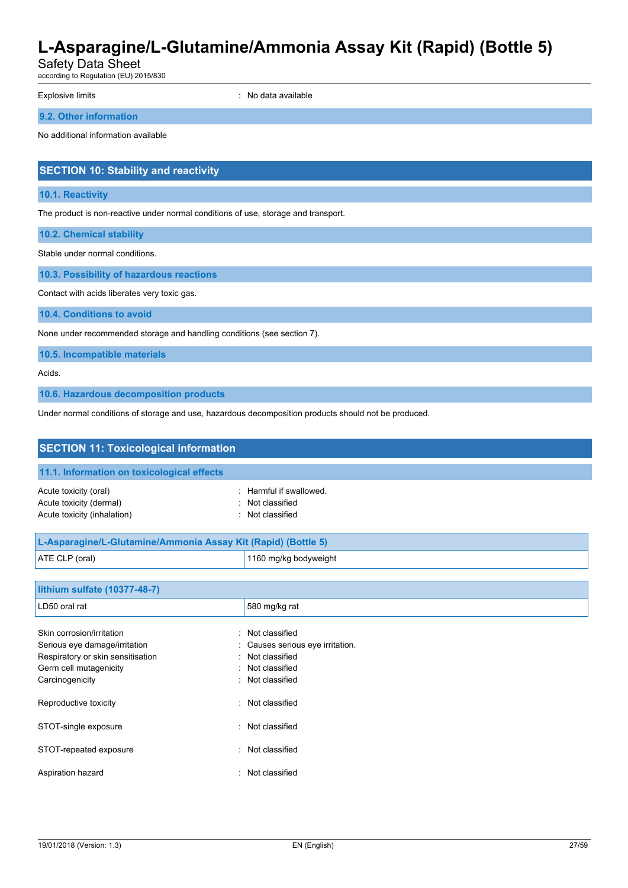Safety Data Sheet

according to Regulation (EU) 2015/830

Explosive limits **Explosive Limits Explosive Limits Explosive Limits Explosive Limits EXPLOSIVE 2018** 

**9.2. Other information**

No additional information available

# **SECTION 10: Stability and reactivity**

#### **10.1. Reactivity**

The product is non-reactive under normal conditions of use, storage and transport.

**10.2. Chemical stability**

Stable under normal conditions.

**10.3. Possibility of hazardous reactions**

Contact with acids liberates very toxic gas.

**10.4. Conditions to avoid**

None under recommended storage and handling conditions (see section 7).

**10.5. Incompatible materials**

Acids.

**10.6. Hazardous decomposition products**

Under normal conditions of storage and use, hazardous decomposition products should not be produced.

| <b>SECTION 11: Toxicological information</b>                                                                                    |                                                                                      |
|---------------------------------------------------------------------------------------------------------------------------------|--------------------------------------------------------------------------------------|
| 11.1. Information on toxicological effects                                                                                      |                                                                                      |
| Acute toxicity (oral)<br>Acute toxicity (dermal)<br>Acute toxicity (inhalation)                                                 | Harmful if swallowed.<br>Not classified<br>Not classified                            |
| L-Asparagine/L-Glutamine/Ammonia Assay Kit (Rapid) (Bottle 5)                                                                   |                                                                                      |
| ATE CLP (oral)                                                                                                                  | 1160 mg/kg bodyweight                                                                |
| lithium sulfate (10377-48-7)                                                                                                    |                                                                                      |
| LD50 oral rat                                                                                                                   | 580 mg/kg rat                                                                        |
| Skin corrosion/irritation<br>٠.<br>Serious eye damage/irritation<br>Respiratory or skin sensitisation<br>Germ cell mutagenicity | Not classified<br>Causes serious eye irritation.<br>Not classified<br>Not classified |

| Carcinogenicity        | : Not classified |
|------------------------|------------------|
| Reproductive toxicity  | : Not classified |
| STOT-single exposure   | : Not classified |
| STOT-repeated exposure | : Not classified |
| Aspiration hazard      | : Not classified |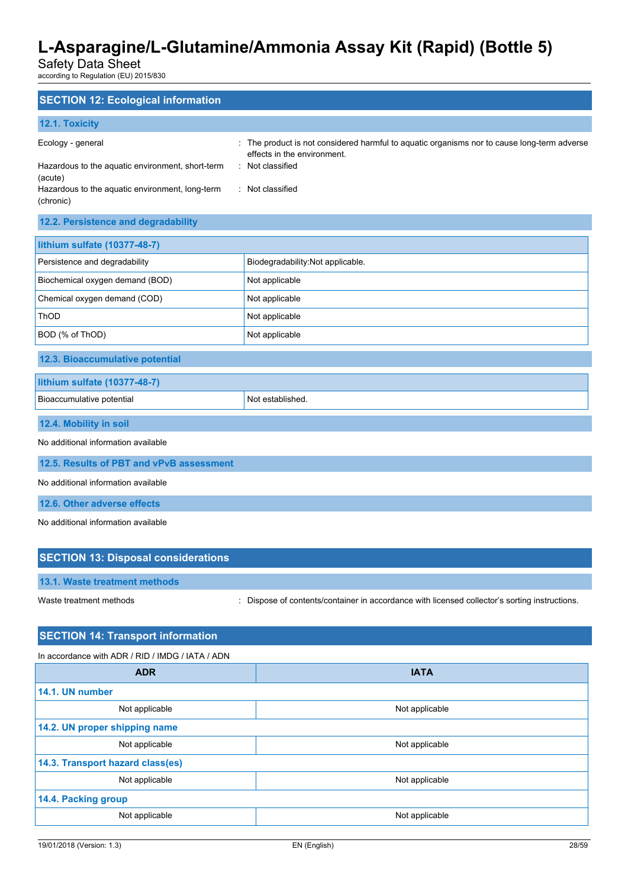Safety Data Sheet

according to Regulation (EU) 2015/830

# **SECTION 12: Ecological information 12.1. Toxicity** Ecology - general states of the product is not considered harmful to aquatic organisms nor to cause long-term adverse effects in the environment. Hazardous to the aquatic environment, short-term (acute) : Not classified Hazardous to the aquatic environment, long-term (chronic) : Not classified **12.2. Persistence and degradability lithium sulfate (10377-48-7)** Persistence and degradability **Biodegradability:Not applicable.** Biochemical oxygen demand (BOD) Not applicable Chemical oxygen demand (COD) Not applicable ThOD Not applicable BOD (% of ThOD) Not applicable **12.3. Bioaccumulative potential**

| lithium sulfate (10377-48-7) |                  |
|------------------------------|------------------|
| Bioaccumulative potential    | Not established. |
|                              |                  |

```
12.4. Mobility in soil
```
No additional information available

**12.5. Results of PBT and vPvB assessment**

No additional information available

**12.6. Other adverse effects**

No additional information available

| <b>SECTION 13: Disposal considerations</b> |                                                                                               |
|--------------------------------------------|-----------------------------------------------------------------------------------------------|
| 13.1. Waste treatment methods              |                                                                                               |
| Waste treatment methods                    | : Dispose of contents/container in accordance with licensed collector's sorting instructions. |

# **SECTION 14: Transport information** In accordance with ADR / RID / IMDG / IATA / ADN **ADR IATA 14.1. UN number** Not applicable **Not applicable** Not applicable **14.2. UN proper shipping name** Not applicable Not applicable Not applicable **14.3. Transport hazard class(es)** Not applicable Not applicable Not applicable **14.4. Packing group** Not applicable Not applicable Not applicable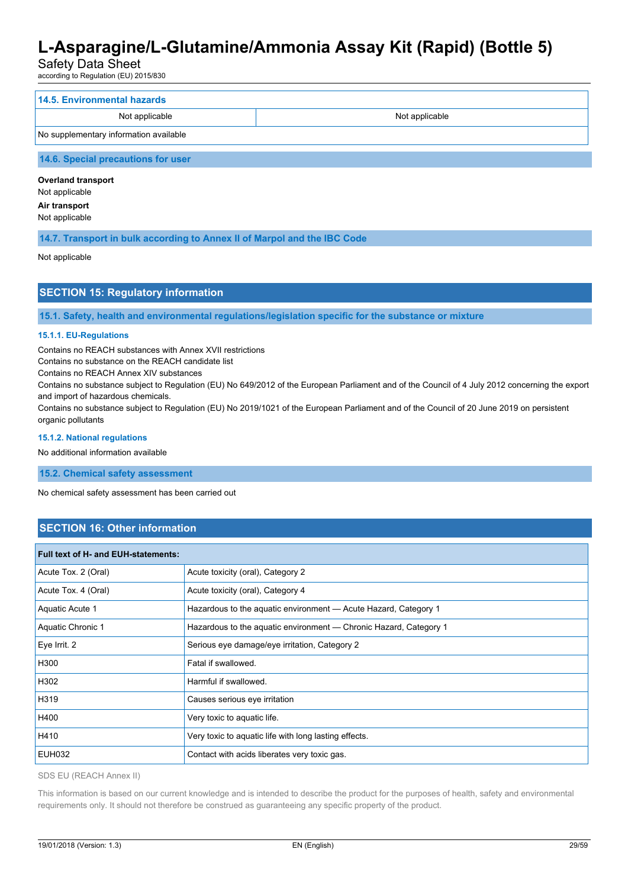Safety Data Sheet

according to Regulation (EU) 2015/830

| 14.5. Environmental hazards            |                |
|----------------------------------------|----------------|
| Not applicable                         | Not applicable |
| No supplementary information available |                |
|                                        |                |

### **14.6. Special precautions for user**

**Overland transport** Not applicable **Air transport** Not applicable

**14.7. Transport in bulk according to Annex II of Marpol and the IBC Code**

Not applicable

# **SECTION 15: Regulatory information**

**15.1. Safety, health and environmental regulations/legislation specific for the substance or mixture**

### **15.1.1. EU-Regulations**

Contains no REACH substances with Annex XVII restrictions

Contains no substance on the REACH candidate list

Contains no REACH Annex XIV substances

Contains no substance subject to Regulation (EU) No 649/2012 of the European Parliament and of the Council of 4 July 2012 concerning the export and import of hazardous chemicals.

Contains no substance subject to Regulation (EU) No 2019/1021 of the European Parliament and of the Council of 20 June 2019 on persistent organic pollutants

#### **15.1.2. National regulations**

No additional information available

**15.2. Chemical safety assessment**

No chemical safety assessment has been carried out

# **SECTION 16: Other information**

| <b>Full text of H- and EUH-statements:</b> |                                                                   |
|--------------------------------------------|-------------------------------------------------------------------|
| Acute Tox. 2 (Oral)                        | Acute toxicity (oral), Category 2                                 |
| Acute Tox. 4 (Oral)                        | Acute toxicity (oral), Category 4                                 |
| Aquatic Acute 1                            | Hazardous to the aquatic environment - Acute Hazard, Category 1   |
| Aquatic Chronic 1                          | Hazardous to the aquatic environment — Chronic Hazard, Category 1 |
| Eye Irrit. 2                               | Serious eye damage/eye irritation, Category 2                     |
| H300                                       | Fatal if swallowed.                                               |
| H302                                       | Harmful if swallowed.                                             |
| H319                                       | Causes serious eye irritation                                     |
| H400                                       | Very toxic to aquatic life.                                       |
| H410                                       | Very toxic to aquatic life with long lasting effects.             |
| <b>EUH032</b>                              | Contact with acids liberates very toxic gas.                      |

SDS EU (REACH Annex II)

This information is based on our current knowledge and is intended to describe the product for the purposes of health, safety and environmental requirements only. It should not therefore be construed as guaranteeing any specific property of the product.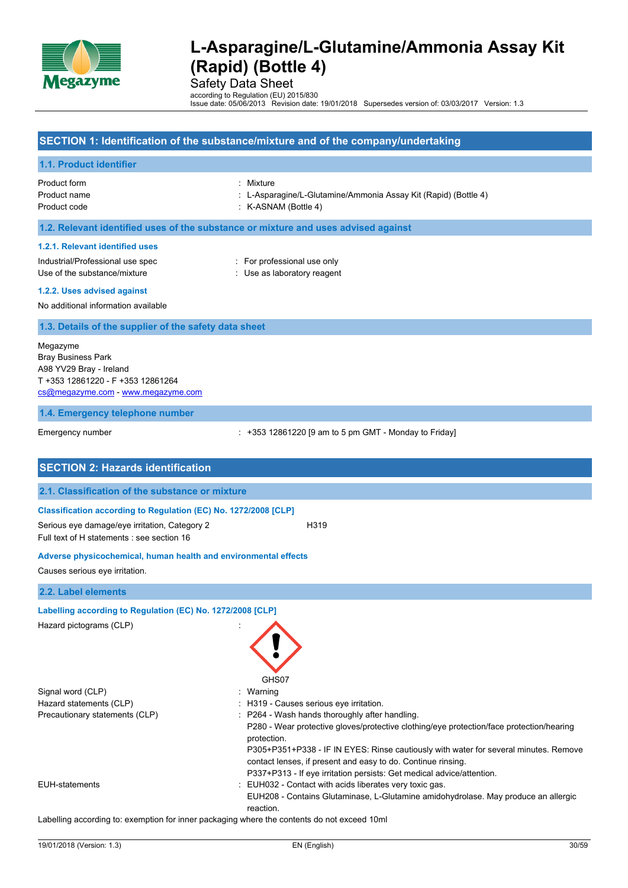

Safety Data Sheet

according to Regulation (EU) 2015/830 Issue date: 05/06/2013 Revision date: 19/01/2018 Supersedes version of: 03/03/2017 Version: 1.3

### **SECTION 1: Identification of the substance/mixture and of the company/undertaking**

#### **1.1. Product identifier**

Product form : Mixture : Mixture : Mixture : Mixture : Mixture : Mixture : Mixture : Mixture : Mixture : Mixture : Mixture : Mixture : Mixture : Mixture : Mixture : Mixture : Mixture : Mixture : Mixture : Mixture : Mixture

- Product name : L-Asparagine/L-Glutamine/Ammonia Assay Kit (Rapid) (Bottle 4)
- Product code : K-ASNAM (Bottle 4)

#### **1.2. Relevant identified uses of the substance or mixture and uses advised against**

#### **1.2.1. Relevant identified uses**

Industrial/Professional use spec : For professional use only Use of the substance/mixture in the substance/mixture in the substance of the substance in the substance of the substance of the substance of the substance of the substance of the substance of the substance of the substanc

#### **1.2.2. Uses advised against**

No additional information available

#### **1.3. Details of the supplier of the safety data sheet**

Megazyme Bray Business Park A98 YV29 Bray - Ireland T +353 12861220 - F +353 12861264 [cs@megazyme.com](mailto:cs@megazyme.com) - <www.megazyme.com>

#### **1.4. Emergency telephone number**

Emergency number : +353 12861220 [9 am to 5 pm GMT - Monday to Friday]

| <b>SECTION 2: Hazards identification</b>                                                    |                                                                                                                                                                                                                                                                                                                                                                                          |
|---------------------------------------------------------------------------------------------|------------------------------------------------------------------------------------------------------------------------------------------------------------------------------------------------------------------------------------------------------------------------------------------------------------------------------------------------------------------------------------------|
| 2.1. Classification of the substance or mixture                                             |                                                                                                                                                                                                                                                                                                                                                                                          |
| Classification according to Regulation (EC) No. 1272/2008 [CLP]                             |                                                                                                                                                                                                                                                                                                                                                                                          |
| Serious eye damage/eye irritation, Category 2<br>Full text of H statements : see section 16 | H319                                                                                                                                                                                                                                                                                                                                                                                     |
| Adverse physicochemical, human health and environmental effects                             |                                                                                                                                                                                                                                                                                                                                                                                          |
| Causes serious eye irritation.                                                              |                                                                                                                                                                                                                                                                                                                                                                                          |
| 2.2. Label elements                                                                         |                                                                                                                                                                                                                                                                                                                                                                                          |
| Labelling according to Regulation (EC) No. 1272/2008 [CLP]                                  |                                                                                                                                                                                                                                                                                                                                                                                          |
| Hazard pictograms (CLP)                                                                     | GHS07                                                                                                                                                                                                                                                                                                                                                                                    |
| Signal word (CLP)                                                                           | Warning                                                                                                                                                                                                                                                                                                                                                                                  |
| Hazard statements (CLP)                                                                     | H319 - Causes serious eye irritation.                                                                                                                                                                                                                                                                                                                                                    |
| Precautionary statements (CLP)                                                              | P264 - Wash hands thoroughly after handling.<br>P280 - Wear protective gloves/protective clothing/eye protection/face protection/hearing<br>protection.<br>P305+P351+P338 - IF IN EYES: Rinse cautiously with water for several minutes. Remove<br>contact lenses, if present and easy to do. Continue rinsing.<br>P337+P313 - If eye irritation persists: Get medical advice/attention. |
| <b>EUH-statements</b>                                                                       | EUH032 - Contact with acids liberates very toxic gas.<br>EUH208 - Contains Glutaminase, L-Glutamine amidohydrolase. May produce an allergic<br>reaction.                                                                                                                                                                                                                                 |

Labelling according to: exemption for inner packaging where the contents do not exceed 10ml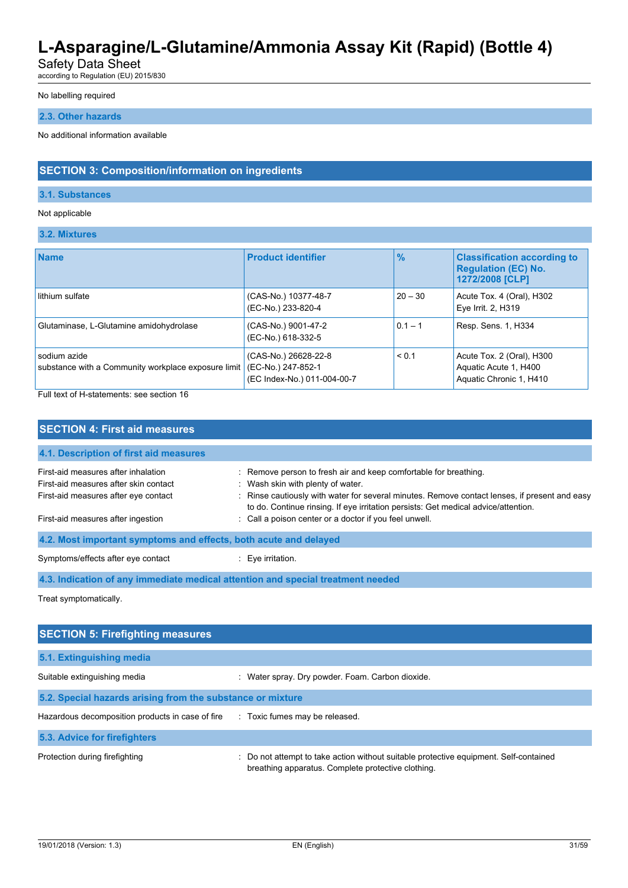Safety Data Sheet

according to Regulation (EU) 2015/830

#### No labelling required

### **2.3. Other hazards**

No additional information available

### **SECTION 3: Composition/information on ingredients**

#### **3.1. Substances**

#### Not applicable

**3.2. Mixtures**

| <b>Name</b>                                                         | <b>Product identifier</b>                                                 | $\frac{9}{6}$ | <b>Classification according to</b><br><b>Regulation (EC) No.</b><br>1272/2008 [CLP] |
|---------------------------------------------------------------------|---------------------------------------------------------------------------|---------------|-------------------------------------------------------------------------------------|
| lithium sulfate                                                     | (CAS-No.) 10377-48-7<br>(EC-No.) 233-820-4                                | $20 - 30$     | Acute Tox. 4 (Oral), H302<br>Eye Irrit. 2, H319                                     |
| Glutaminase, L-Glutamine amidohydrolase                             | (CAS-No.) 9001-47-2<br>(EC-No.) 618-332-5                                 | $0.1 - 1$     | Resp. Sens. 1, H334                                                                 |
| sodium azide<br>substance with a Community workplace exposure limit | (CAS-No.) 26628-22-8<br>(EC-No.) 247-852-1<br>(EC Index-No.) 011-004-00-7 | < 0.1         | Acute Tox. 2 (Oral), H300<br>Aquatic Acute 1, H400<br>Aquatic Chronic 1, H410       |

Full text of H-statements: see section 16

| <b>SECTION 4: First aid measures</b>                                                                                 |                                                                                                                                                                                                                                                                                              |
|----------------------------------------------------------------------------------------------------------------------|----------------------------------------------------------------------------------------------------------------------------------------------------------------------------------------------------------------------------------------------------------------------------------------------|
| 4.1. Description of first aid measures                                                                               |                                                                                                                                                                                                                                                                                              |
| First-aid measures after inhalation<br>First-aid measures after skin contact<br>First-aid measures after eye contact | : Remove person to fresh air and keep comfortable for breathing.<br>: Wash skin with plenty of water.<br>: Rinse cautiously with water for several minutes. Remove contact lenses, if present and easy<br>to do. Continue rinsing. If eye irritation persists: Get medical advice/attention. |
| First-aid measures after ingestion                                                                                   | : Call a poison center or a doctor if you feel unwell.                                                                                                                                                                                                                                       |
| 4.2. Most important symptoms and effects, both acute and delayed                                                     |                                                                                                                                                                                                                                                                                              |
| Symptoms/effects after eye contact                                                                                   | $\therefore$ Eve irritation.                                                                                                                                                                                                                                                                 |
| 4.3. Indication of any immediate medical attention and special treatment needed                                      |                                                                                                                                                                                                                                                                                              |
| Treat symptomatically.                                                                                               |                                                                                                                                                                                                                                                                                              |

| <b>SECTION 5: Firefighting measures</b>                    |                                                                                                                                             |  |
|------------------------------------------------------------|---------------------------------------------------------------------------------------------------------------------------------------------|--|
| 5.1. Extinguishing media                                   |                                                                                                                                             |  |
| Suitable extinguishing media                               | : Water spray. Dry powder. Foam. Carbon dioxide.                                                                                            |  |
| 5.2. Special hazards arising from the substance or mixture |                                                                                                                                             |  |
| Hazardous decomposition products in case of fire           | : Toxic fumes may be released.                                                                                                              |  |
| 5.3. Advice for firefighters                               |                                                                                                                                             |  |
| Protection during firefighting                             | : Do not attempt to take action without suitable protective equipment. Self-contained<br>breathing apparatus. Complete protective clothing. |  |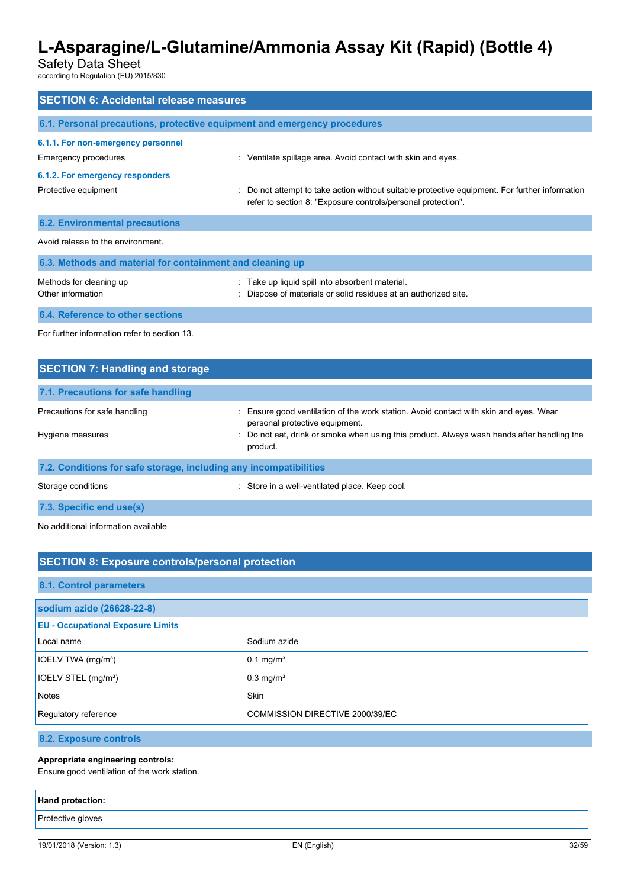Safety Data Sheet

according to Regulation (EU) 2015/830

| <b>SECTION 6: Accidental release measures</b>                            |                                                                                                                                                                |
|--------------------------------------------------------------------------|----------------------------------------------------------------------------------------------------------------------------------------------------------------|
| 6.1. Personal precautions, protective equipment and emergency procedures |                                                                                                                                                                |
| 6.1.1. For non-emergency personnel                                       |                                                                                                                                                                |
| Emergency procedures                                                     | : Ventilate spillage area. Avoid contact with skin and eyes.                                                                                                   |
| 6.1.2. For emergency responders                                          |                                                                                                                                                                |
| Protective equipment                                                     | : Do not attempt to take action without suitable protective equipment. For further information<br>refer to section 8: "Exposure controls/personal protection". |
| <b>6.2. Environmental precautions</b>                                    |                                                                                                                                                                |
| Avoid release to the environment.                                        |                                                                                                                                                                |
| 6.3. Methods and material for containment and cleaning up                |                                                                                                                                                                |
| Methods for cleaning up<br>Other information                             | : Take up liquid spill into absorbent material.<br>: Dispose of materials or solid residues at an authorized site.                                             |
| 6.4. Reference to other sections                                         |                                                                                                                                                                |
| For further information refer to section 13                              |                                                                                                                                                                |

| <b>SECTION 7: Handling and storage</b>                            |                                                                                                                         |
|-------------------------------------------------------------------|-------------------------------------------------------------------------------------------------------------------------|
| 7.1. Precautions for safe handling                                |                                                                                                                         |
| Precautions for safe handling                                     | : Ensure good ventilation of the work station. Avoid contact with skin and eyes. Wear<br>personal protective equipment. |
| Hygiene measures                                                  | : Do not eat, drink or smoke when using this product. Always wash hands after handling the<br>product.                  |
| 7.2. Conditions for safe storage, including any incompatibilities |                                                                                                                         |
| Storage conditions                                                | : Store in a well-ventilated place. Keep cool.                                                                          |
| 7.3. Specific end use(s)                                          |                                                                                                                         |

No additional information available

# **SECTION 8: Exposure controls/personal protection**

### **8.1. Control parameters**

| sodium azide (26628-22-8)                |                                 |
|------------------------------------------|---------------------------------|
| <b>EU - Occupational Exposure Limits</b> |                                 |
| Local name                               | Sodium azide                    |
| IOELV TWA (mg/m <sup>3</sup> )           | $0.1 \text{ mg/m}^3$            |
| IOELV STEL (mg/m <sup>3</sup> )          | $0.3$ mg/m <sup>3</sup>         |
| Notes                                    | <b>Skin</b>                     |
| Regulatory reference                     | COMMISSION DIRECTIVE 2000/39/EC |

**8.2. Exposure controls**

#### **Appropriate engineering controls:**

Ensure good ventilation of the work station.

| <b>Hand protection:</b> |  |
|-------------------------|--|
| Protective gloves       |  |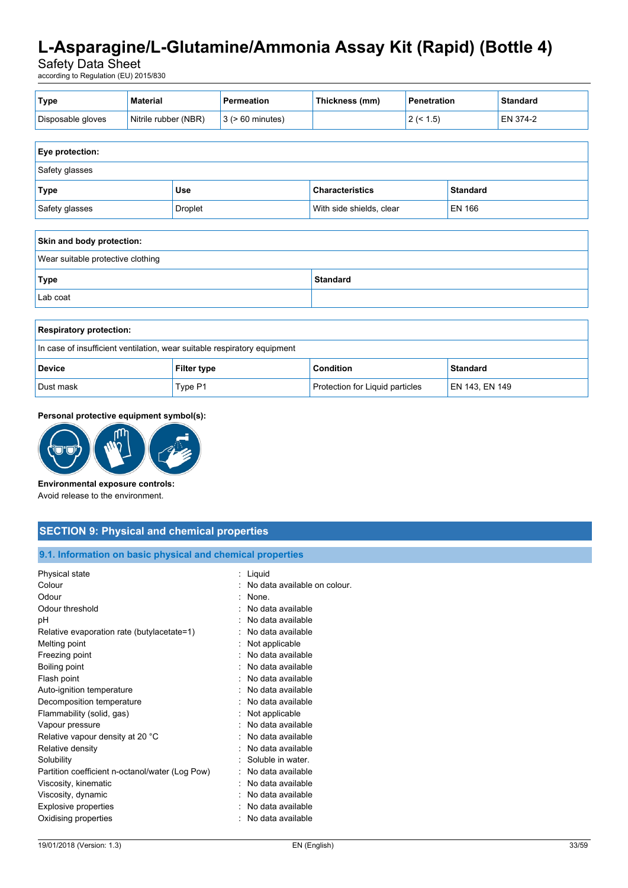Safety Data Sheet

according to Regulation (EU) 2015/830

| ' Type            | Material             | Permeation                  | Thickness (mm) | <b>Penetration</b> | <b>Standard</b> |
|-------------------|----------------------|-----------------------------|----------------|--------------------|-----------------|
| Disposable gloves | Nitrile rubber (NBR) | $\vert$ 3 ( $>$ 60 minutes) |                | $2($ < 1.5)        | EN 374-2        |

| Eye protection: |                |                          |                 |
|-----------------|----------------|--------------------------|-----------------|
| Safety glasses  |                |                          |                 |
| Type            | Use            | <b>Characteristics</b>   | <b>Standard</b> |
| Safety glasses  | <b>Droplet</b> | With side shields, clear | <b>EN 166</b>   |

| Skin and body protection:         |                 |  |
|-----------------------------------|-----------------|--|
| Wear suitable protective clothing |                 |  |
| <b>Type</b>                       | <b>Standard</b> |  |
| Lab coat                          |                 |  |

| <b>Respiratory protection:</b>                                           |                    |                                 |                 |
|--------------------------------------------------------------------------|--------------------|---------------------------------|-----------------|
| In case of insufficient ventilation, wear suitable respiratory equipment |                    |                                 |                 |
| <b>Device</b>                                                            | <b>Filter type</b> | <b>Condition</b>                | <b>Standard</b> |
| Dust mask                                                                | Type P1            | Protection for Liquid particles | EN 143, EN 149  |

#### **Personal protective equipment symbol(s):**



#### **Environmental exposure controls:**

Avoid release to the environment.

### **SECTION 9: Physical and chemical properties**

#### **9.1. Information on basic physical and chemical properties**

| : Liguid                     |
|------------------------------|
| No data available on colour. |
| None.                        |
| No data available            |
| No data available            |
| No data available            |
| Not applicable               |
| No data available            |
| No data available            |
| No data available            |
| No data available            |
| No data available            |
| Not applicable               |
| : No data available          |
| No data available            |
| No data available            |
| Soluble in water.            |
| No data available            |
| No data available            |
| No data available            |
| No data available            |
| No data available            |
|                              |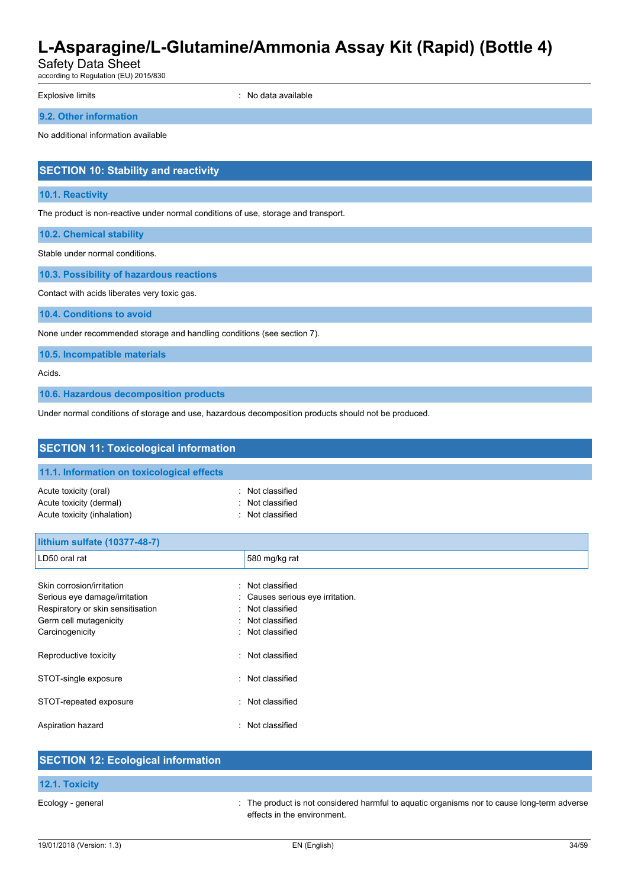Safety Data Sheet

according to Regulation (EU) 2015/830

Explosive limits **Explosive Limits Explosive Limits Explosive Limits Explosive Limits EXPLOSIVE 2018** 

**9.2. Other information**

No additional information available

# **SECTION 10: Stability and reactivity**

#### **10.1. Reactivity**

The product is non-reactive under normal conditions of use, storage and transport.

**10.2. Chemical stability**

Stable under normal conditions.

**10.3. Possibility of hazardous reactions**

Contact with acids liberates very toxic gas.

**10.4. Conditions to avoid**

None under recommended storage and handling conditions (see section 7).

**10.5. Incompatible materials**

Acids.

**10.6. Hazardous decomposition products**

Under normal conditions of storage and use, hazardous decomposition products should not be produced.

| <b>SECTION 11: Toxicological information</b>                                                                                                                                                                                           |                                                                                                                                                              |  |
|----------------------------------------------------------------------------------------------------------------------------------------------------------------------------------------------------------------------------------------|--------------------------------------------------------------------------------------------------------------------------------------------------------------|--|
| 11.1. Information on toxicological effects                                                                                                                                                                                             |                                                                                                                                                              |  |
| Acute toxicity (oral)<br>$\cdot$<br>Acute toxicity (dermal)<br>Acute toxicity (inhalation)                                                                                                                                             | Not classified<br>Not classified<br>Not classified                                                                                                           |  |
| lithium sulfate (10377-48-7)                                                                                                                                                                                                           |                                                                                                                                                              |  |
| LD50 oral rat                                                                                                                                                                                                                          | 580 mg/kg rat                                                                                                                                                |  |
| Skin corrosion/irritation<br>٠<br>Serious eye damage/irritation<br>Respiratory or skin sensitisation<br>Germ cell mutagenicity<br>Carcinogenicity<br>Reproductive toxicity<br>۰<br>STOT-single exposure<br>٠<br>STOT-repeated exposure | Not classified<br>Causes serious eye irritation.<br>Not classified<br>Not classified<br>Not classified<br>Not classified<br>Not classified<br>Not classified |  |
|                                                                                                                                                                                                                                        |                                                                                                                                                              |  |
| Aspiration hazard<br><b>OF OTION 10. F. L. L. L. L. L. C. L. L. L.</b>                                                                                                                                                                 | Not classified                                                                                                                                               |  |

# **SECTION 12: Ecological information 12.1. Toxicity** Ecology - general **interproduct is not considered harmful to aquatic organisms nor to cause long-term adverse** in effects in the environment.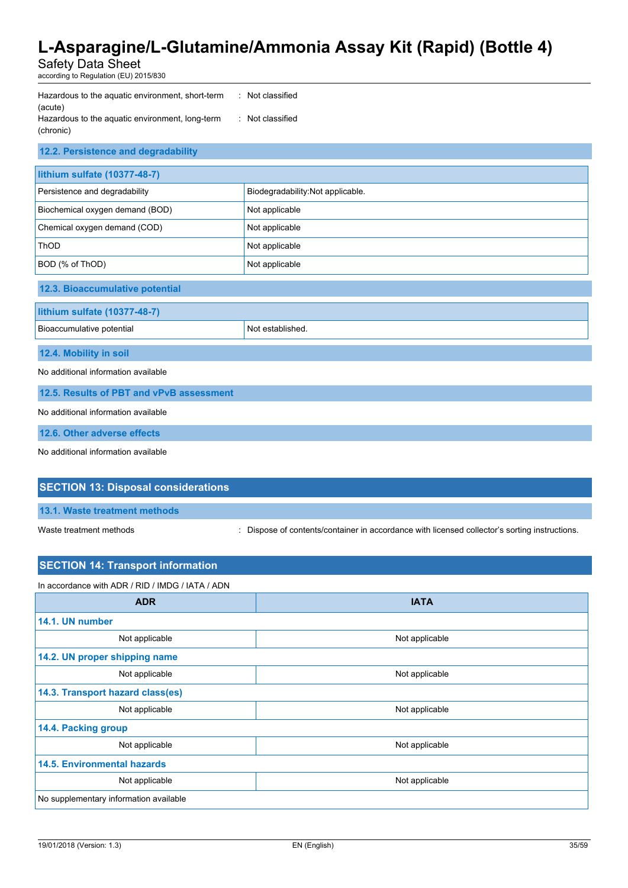Safety Data Sheet

according to Regulation (EU) 2015/830

| : Not classified |
|------------------|
|                  |
| : Not classified |
|                  |
|                  |

| 12.2. Persistence and degradability      |                                  |  |
|------------------------------------------|----------------------------------|--|
| lithium sulfate (10377-48-7)             |                                  |  |
| Persistence and degradability            | Biodegradability:Not applicable. |  |
| Biochemical oxygen demand (BOD)          | Not applicable                   |  |
| Chemical oxygen demand (COD)             | Not applicable                   |  |
| <b>ThOD</b>                              | Not applicable                   |  |
| BOD (% of ThOD)                          | Not applicable                   |  |
| 12.3. Bioaccumulative potential          |                                  |  |
| lithium sulfate (10377-48-7)             |                                  |  |
| Bioaccumulative potential                | Not established.                 |  |
| 12.4. Mobility in soil                   |                                  |  |
| No additional information available      |                                  |  |
| 12.5. Results of PBT and vPvB assessment |                                  |  |
| No additional information available      |                                  |  |

**12.6. Other adverse effects**

No additional information available

# **SECTION 13: Disposal considerations**

**13.1. Waste treatment methods**

Waste treatment methods : Dispose of contents/container in accordance with licensed collector's sorting instructions.

| <b>SECTION 14: Transport information</b>         |                |  |
|--------------------------------------------------|----------------|--|
| In accordance with ADR / RID / IMDG / IATA / ADN |                |  |
| <b>ADR</b>                                       | <b>IATA</b>    |  |
| 14.1. UN number                                  |                |  |
| Not applicable                                   | Not applicable |  |
| 14.2. UN proper shipping name                    |                |  |
| Not applicable                                   | Not applicable |  |
| 14.3. Transport hazard class(es)                 |                |  |
| Not applicable                                   | Not applicable |  |
| 14.4. Packing group                              |                |  |
| Not applicable                                   | Not applicable |  |
| <b>14.5. Environmental hazards</b>               |                |  |
| Not applicable                                   | Not applicable |  |
| No supplementary information available           |                |  |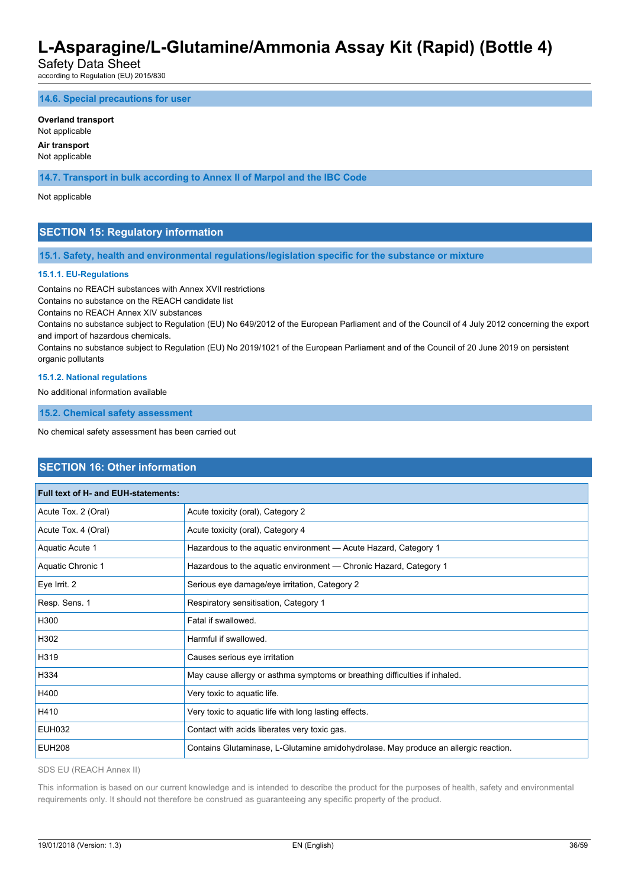Safety Data Sheet

according to Regulation (EU) 2015/830

**14.6. Special precautions for user**

#### **Overland transport**

Not applicable

#### **Air transport** Not applicable

**14.7. Transport in bulk according to Annex II of Marpol and the IBC Code**

Not applicable

### **SECTION 15: Regulatory information**

**15.1. Safety, health and environmental regulations/legislation specific for the substance or mixture**

#### **15.1.1. EU-Regulations**

Contains no REACH substances with Annex XVII restrictions

Contains no substance on the REACH candidate list

Contains no REACH Annex XIV substances

Contains no substance subject to Regulation (EU) No 649/2012 of the European Parliament and of the Council of 4 July 2012 concerning the export and import of hazardous chemicals.

Contains no substance subject to Regulation (EU) No 2019/1021 of the European Parliament and of the Council of 20 June 2019 on persistent organic pollutants

#### **15.1.2. National regulations**

No additional information available

**15.2. Chemical safety assessment**

No chemical safety assessment has been carried out

### **SECTION 16: Other information**

| Full text of H- and EUH-statements: |                                                                                     |
|-------------------------------------|-------------------------------------------------------------------------------------|
| Acute Tox. 2 (Oral)                 | Acute toxicity (oral), Category 2                                                   |
| Acute Tox. 4 (Oral)                 | Acute toxicity (oral), Category 4                                                   |
| Aquatic Acute 1                     | Hazardous to the aquatic environment - Acute Hazard, Category 1                     |
| Aquatic Chronic 1                   | Hazardous to the aquatic environment — Chronic Hazard, Category 1                   |
| Eye Irrit. 2                        | Serious eye damage/eye irritation, Category 2                                       |
| Resp. Sens. 1                       | Respiratory sensitisation, Category 1                                               |
| H300                                | Fatal if swallowed.                                                                 |
| H302                                | Harmful if swallowed.                                                               |
| H319                                | Causes serious eye irritation                                                       |
| H334                                | May cause allergy or asthma symptoms or breathing difficulties if inhaled.          |
| H400                                | Very toxic to aquatic life.                                                         |
| H410                                | Very toxic to aquatic life with long lasting effects.                               |
| EUH032                              | Contact with acids liberates very toxic gas.                                        |
| <b>EUH208</b>                       | Contains Glutaminase, L-Glutamine amidohydrolase. May produce an allergic reaction. |

SDS EU (REACH Annex II)

This information is based on our current knowledge and is intended to describe the product for the purposes of health, safety and environmental requirements only. It should not therefore be construed as guaranteeing any specific property of the product.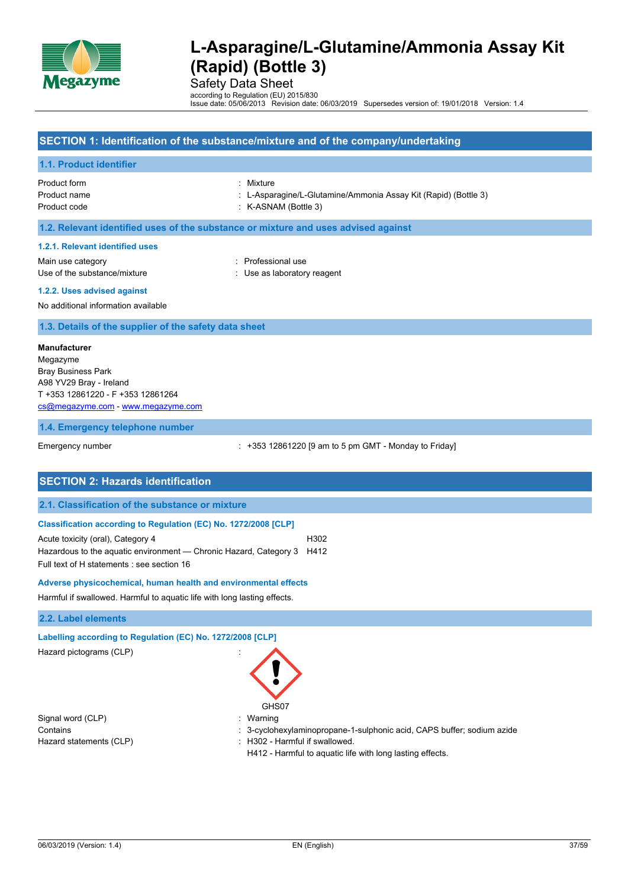

Safety Data Sheet

according to Regulation (EU) 2015/830 Issue date: 05/06/2013 Revision date: 06/03/2019 Supersedes version of: 19/01/2018 Version: 1.4

### **SECTION 1: Identification of the substance/mixture and of the company/undertaking**

#### **1.1. Product identifier**

Product form : Mixture Product code : K-ASNAM (Bottle 3)

- Product name : L-Asparagine/L-Glutamine/Ammonia Assay Kit (Rapid) (Bottle 3)
	-

#### **1.2. Relevant identified uses of the substance or mixture and uses advised against**

#### **1.2.1. Relevant identified uses**

Main use category **in the set of the COV** and Main use the Professional use Use of the substance/mixture in the substance/mixture in the substance of the substance in the substance of the substance of the substance of the substance of the substance of the substance of the substance of the substanc

**1.2.2. Uses advised against**

No additional information available

#### **1.3. Details of the supplier of the safety data sheet**

#### **Manufacturer**

Megazyme Bray Business Park A98 YV29 Bray - Ireland T +353 12861220 - F +353 12861264 [cs@megazyme.com](mailto:cs@megazyme.com) - <www.megazyme.com>

**1.4. Emergency telephone number**

Emergency number : +353 12861220 [9 am to 5 pm GMT - Monday to Friday]

#### **SECTION 2: Hazards identification**

#### **2.1. Classification of the substance or mixture**

#### **Classification according to Regulation (EC) No. 1272/2008 [CLP]**

Acute toxicity (oral), Category 4 H302 Hazardous to the aquatic environment — Chronic Hazard, Category 3 H412 Full text of H statements : see section 16

#### **Adverse physicochemical, human health and environmental effects**

Harmful if swallowed. Harmful to aquatic life with long lasting effects.

#### **2.2. Label elements**

# **Labelling according to Regulation (EC) No. 1272/2008 [CLP]**

Hazard pictograms (CLP) :

Signal word (CLP) : Warning



- Contains : 3-cyclohexylaminopropane-1-sulphonic acid, CAPS buffer; sodium azide Hazard statements (CLP) : H302 - Harmful if swallowed.
	- H412 Harmful to aquatic life with long lasting effects.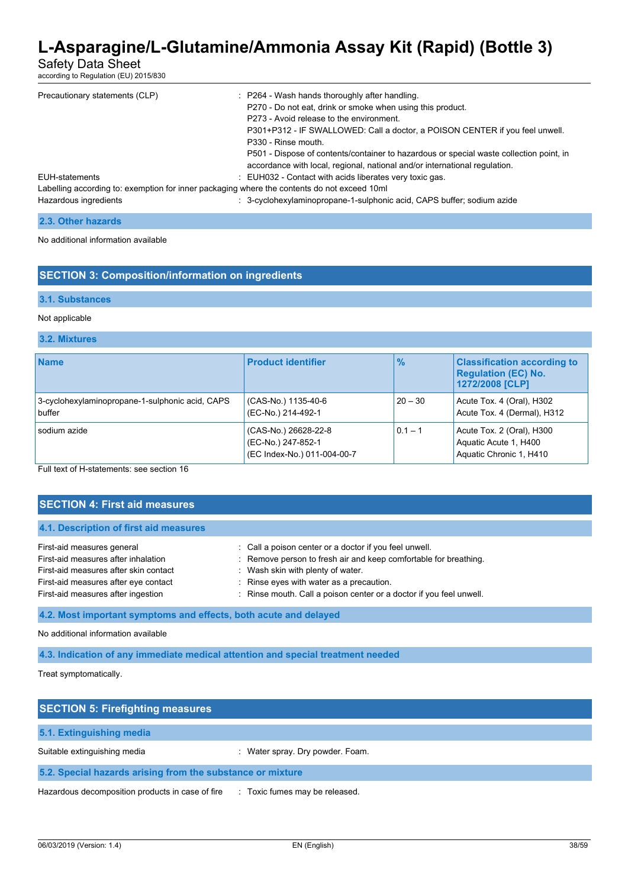Safety Data Sheet

according to Regulation (EU) 2015/830

| Precautionary statements (CLP)                                                                                       | : P264 - Wash hands thoroughly after handling.<br>P270 - Do not eat, drink or smoke when using this product.<br>P273 - Avoid release to the environment.<br>P301+P312 - IF SWALLOWED: Call a doctor, a POISON CENTER if you feel unwell.<br>P330 - Rinse mouth.<br>P501 - Dispose of contents/container to hazardous or special waste collection point, in<br>accordance with local, regional, national and/or international regulation. |
|----------------------------------------------------------------------------------------------------------------------|------------------------------------------------------------------------------------------------------------------------------------------------------------------------------------------------------------------------------------------------------------------------------------------------------------------------------------------------------------------------------------------------------------------------------------------|
| EUH-statements                                                                                                       | : EUH032 - Contact with acids liberates very toxic gas.                                                                                                                                                                                                                                                                                                                                                                                  |
| Labelling according to: exemption for inner packaging where the contents do not exceed 10ml<br>Hazardous ingredients | : 3-cyclohexylaminopropane-1-sulphonic acid, CAPS buffer; sodium azide                                                                                                                                                                                                                                                                                                                                                                   |

| 2.3. Other hazards |  |
|--------------------|--|
|--------------------|--|

No additional information available

### **SECTION 3: Composition/information on ingredients**

#### **3.1. Substances**

#### Not applicable

#### **3.2. Mixtures**

| <b>Name</b>                                               | <b>Product identifier</b>                                                 | $\frac{9}{6}$ | <b>Classification according to</b><br><b>Regulation (EC) No.</b><br>1272/2008 [CLP] |
|-----------------------------------------------------------|---------------------------------------------------------------------------|---------------|-------------------------------------------------------------------------------------|
| 3-cyclohexylaminopropane-1-sulphonic acid, CAPS<br>buffer | (CAS-No.) 1135-40-6<br>(EC-No.) 214-492-1                                 | $20 - 30$     | Acute Tox. 4 (Oral), H302<br>Acute Tox. 4 (Dermal), H312                            |
| sodium azide                                              | (CAS-No.) 26628-22-8<br>(EC-No.) 247-852-1<br>(EC Index-No.) 011-004-00-7 | $0.1 - 1$     | Acute Tox. 2 (Oral), H300<br>Aquatic Acute 1, H400<br>Aquatic Chronic 1, H410       |

Full text of H-statements: see section 16

| <b>SECTION 4: First aid measures</b>                                                                                                                                                     |                                                                                                                                                                                                                                                                                        |  |  |  |  |
|------------------------------------------------------------------------------------------------------------------------------------------------------------------------------------------|----------------------------------------------------------------------------------------------------------------------------------------------------------------------------------------------------------------------------------------------------------------------------------------|--|--|--|--|
| 4.1. Description of first aid measures                                                                                                                                                   |                                                                                                                                                                                                                                                                                        |  |  |  |  |
| First-aid measures general<br>First-aid measures after inhalation<br>First-aid measures after skin contact<br>First-aid measures after eye contact<br>First-aid measures after ingestion | : Call a poison center or a doctor if you feel unwell.<br>Remove person to fresh air and keep comfortable for breathing.<br>t.<br>: Wash skin with plenty of water.<br>: Rinse eyes with water as a precaution.<br>: Rinse mouth. Call a poison center or a doctor if you feel unwell. |  |  |  |  |
| 4.2. Most important symptoms and effects, both acute and delayed                                                                                                                         |                                                                                                                                                                                                                                                                                        |  |  |  |  |

#### No additional information available

**4.3. Indication of any immediate medical attention and special treatment needed**

Treat symptomatically.

| <b>SECTION 5: Firefighting measures</b>                    |                                       |  |
|------------------------------------------------------------|---------------------------------------|--|
| 5.1. Extinguishing media                                   |                                       |  |
| Suitable extinguishing media                               | Water spray. Dry powder. Foam.        |  |
| 5.2. Special hazards arising from the substance or mixture |                                       |  |
| Hazardous decomposition products in case of fire           | Toxic fumes may be released.<br>$\pm$ |  |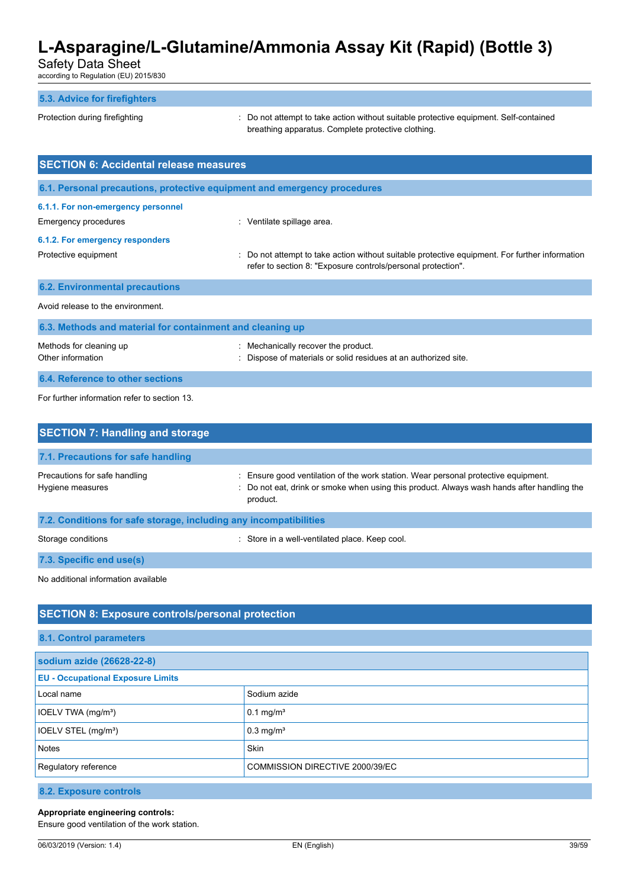Safety Data Sheet

according to Regulation (EU) 2015/830

#### **5.3. Advice for firefighters**

Protection during firefighting **interval to the CO** not attempt to take action without suitable protective equipment. Self-contained breathing apparatus. Complete protective clothing.

| <b>SECTION 6: Accidental release measures</b>             |                                                                                                                                                                |  |  |  |  |
|-----------------------------------------------------------|----------------------------------------------------------------------------------------------------------------------------------------------------------------|--|--|--|--|
|                                                           | 6.1. Personal precautions, protective equipment and emergency procedures                                                                                       |  |  |  |  |
| 6.1.1. For non-emergency personnel                        |                                                                                                                                                                |  |  |  |  |
| Emergency procedures                                      | : Ventilate spillage area.                                                                                                                                     |  |  |  |  |
| 6.1.2. For emergency responders                           |                                                                                                                                                                |  |  |  |  |
| Protective equipment                                      | : Do not attempt to take action without suitable protective equipment. For further information<br>refer to section 8: "Exposure controls/personal protection". |  |  |  |  |
| <b>6.2. Environmental precautions</b>                     |                                                                                                                                                                |  |  |  |  |
| Avoid release to the environment.                         |                                                                                                                                                                |  |  |  |  |
| 6.3. Methods and material for containment and cleaning up |                                                                                                                                                                |  |  |  |  |

| Methods for cleaning up<br>Other information | : Mechanically recover the product.<br>: Dispose of materials or solid residues at an authorized site. |
|----------------------------------------------|--------------------------------------------------------------------------------------------------------|
| 6.4. Reference to other sections             |                                                                                                        |

For further information refer to section 13.

| <b>SECTION 7: Handling and storage</b>                               |                                                                                                                                                                                            |  |  |  |  |
|----------------------------------------------------------------------|--------------------------------------------------------------------------------------------------------------------------------------------------------------------------------------------|--|--|--|--|
| 7.1. Precautions for safe handling                                   |                                                                                                                                                                                            |  |  |  |  |
| Precautions for safe handling<br>Hygiene measures                    | Ensure good ventilation of the work station. Wear personal protective equipment.<br>: Do not eat, drink or smoke when using this product. Always wash hands after handling the<br>product. |  |  |  |  |
| 7.2. Conditions for safe storage, including any incompatibilities    |                                                                                                                                                                                            |  |  |  |  |
| : Store in a well-ventilated place. Keep cool.<br>Storage conditions |                                                                                                                                                                                            |  |  |  |  |
| 7.3. Specific end use(s)                                             |                                                                                                                                                                                            |  |  |  |  |

No additional information available

### **SECTION 8: Exposure controls/personal protection**

| 8.1. Control parameters                                 |                         |  |  |  |
|---------------------------------------------------------|-------------------------|--|--|--|
| sodium azide (26628-22-8)                               |                         |  |  |  |
| <b>EU - Occupational Exposure Limits</b>                |                         |  |  |  |
| Local name                                              | Sodium azide            |  |  |  |
| IOELV TWA (mg/m <sup>3</sup> )                          | $0.1 \text{ mg/m}^3$    |  |  |  |
| IOELV STEL (mg/m <sup>3</sup> )                         | $0.3$ mg/m <sup>3</sup> |  |  |  |
| <b>Notes</b>                                            | <b>Skin</b>             |  |  |  |
| Regulatory reference<br>COMMISSION DIRECTIVE 2000/39/EC |                         |  |  |  |
|                                                         |                         |  |  |  |

**8.2. Exposure controls**

#### **Appropriate engineering controls:**

Ensure good ventilation of the work station.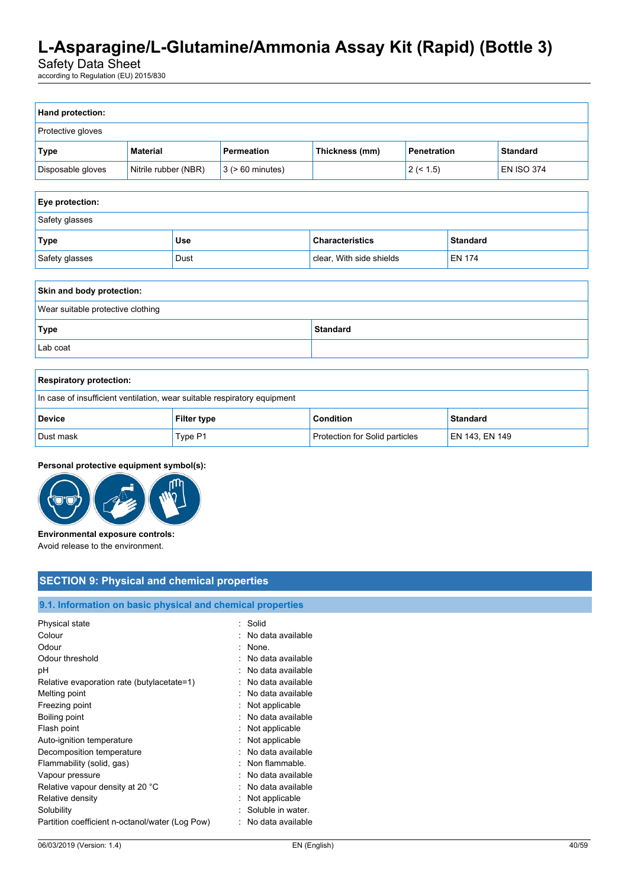Safety Data Sheet

according to Regulation (EU) 2015/830

| Hand protection:                  |                      |                                                                |                          |                                           |               |  |                   |  |
|-----------------------------------|----------------------|----------------------------------------------------------------|--------------------------|-------------------------------------------|---------------|--|-------------------|--|
| Protective gloves                 |                      |                                                                |                          |                                           |               |  |                   |  |
| <b>Type</b>                       | <b>Material</b>      | Permeation<br>Thickness (mm)<br>Penetration<br><b>Standard</b> |                          |                                           |               |  |                   |  |
| Disposable gloves                 | Nitrile rubber (NBR) |                                                                | $3$ ( $> 60$ minutes)    |                                           | 2 (< 1.5)     |  | <b>EN ISO 374</b> |  |
|                                   |                      |                                                                |                          |                                           |               |  |                   |  |
| Eye protection:                   |                      |                                                                |                          |                                           |               |  |                   |  |
| Safety glasses                    |                      |                                                                |                          |                                           |               |  |                   |  |
| <b>Type</b>                       | <b>Use</b>           |                                                                |                          | <b>Characteristics</b><br><b>Standard</b> |               |  |                   |  |
| Safety glasses                    | Dust                 |                                                                | clear, With side shields |                                           | <b>EN 174</b> |  |                   |  |
|                                   |                      |                                                                |                          |                                           |               |  |                   |  |
| Skin and body protection:         |                      |                                                                |                          |                                           |               |  |                   |  |
| Wear suitable protective clothing |                      |                                                                |                          |                                           |               |  |                   |  |
| <b>Type</b>                       | <b>Standard</b>      |                                                                |                          |                                           |               |  |                   |  |
| Lab coat                          |                      |                                                                |                          |                                           |               |  |                   |  |

| <b>Respiratory protection:</b>                                           |                    |                                |                 |  |
|--------------------------------------------------------------------------|--------------------|--------------------------------|-----------------|--|
| In case of insufficient ventilation, wear suitable respiratory equipment |                    |                                |                 |  |
| <b>Device</b>                                                            | <b>Filter type</b> | <b>Condition</b>               | <b>Standard</b> |  |
| Dust mask                                                                | Type P1            | Protection for Solid particles | EN 143, EN 149  |  |

### **Personal protective equipment symbol(s):**



**Environmental exposure controls:** Avoid release to the environment.

# **SECTION 9: Physical and chemical properties**

# **9.1. Information on basic physical and chemical properties**

| Physical state                                  |   | · Solid           |
|-------------------------------------------------|---|-------------------|
| Colour                                          |   | No data available |
| Odour                                           | ٠ | None.             |
| Odour threshold                                 |   | No data available |
| рH                                              |   | No data available |
| Relative evaporation rate (butylacetate=1)      |   | No data available |
| Melting point                                   | ٠ | No data available |
| Freezing point                                  | t | Not applicable    |
| Boiling point                                   |   | No data available |
| Flash point                                     |   | Not applicable    |
| Auto-ignition temperature                       |   | Not applicable    |
| Decomposition temperature                       |   | No data available |
| Flammability (solid, gas)                       |   | Non flammable.    |
| Vapour pressure                                 |   | No data available |
| Relative vapour density at 20 °C                |   | No data available |
| Relative density                                |   | Not applicable    |
| Solubility                                      |   | Soluble in water. |
| Partition coefficient n-octanol/water (Log Pow) |   | No data available |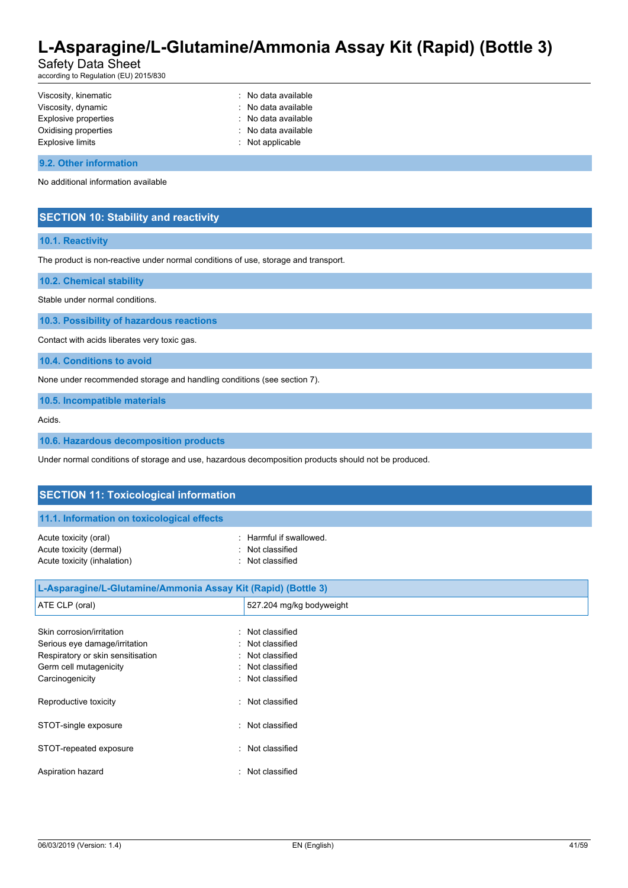Safety Data Sheet

according to Regulation (EU) 2015/830

| Viscosity, kinematic    | : No data available |
|-------------------------|---------------------|
| Viscosity, dynamic      | : No data available |
| Explosive properties    | : No data available |
| Oxidising properties    | : No data available |
| <b>Explosive limits</b> | : Not applicable    |
|                         |                     |

#### **9.2. Other information**

No additional information available

### **SECTION 10: Stability and reactivity**

#### **10.1. Reactivity**

The product is non-reactive under normal conditions of use, storage and transport.

**10.2. Chemical stability**

Stable under normal conditions.

**10.3. Possibility of hazardous reactions**

Contact with acids liberates very toxic gas.

**10.4. Conditions to avoid**

None under recommended storage and handling conditions (see section 7).

**10.5. Incompatible materials**

Acids.

**10.6. Hazardous decomposition products**

Under normal conditions of storage and use, hazardous decomposition products should not be produced.

| <b>SECTION 11: Toxicological information</b>                                                                                                                |                                                                                        |  |
|-------------------------------------------------------------------------------------------------------------------------------------------------------------|----------------------------------------------------------------------------------------|--|
| 11.1. Information on toxicological effects                                                                                                                  |                                                                                        |  |
| Acute toxicity (oral)<br>٠<br>Acute toxicity (dermal)<br>Acute toxicity (inhalation)<br>٠                                                                   | Harmful if swallowed.<br>Not classified<br>Not classified                              |  |
| L-Asparagine/L-Glutamine/Ammonia Assay Kit (Rapid) (Bottle 3)                                                                                               |                                                                                        |  |
| ATE CLP (oral)                                                                                                                                              | 527.204 mg/kg bodyweight                                                               |  |
| Skin corrosion/irritation<br>÷<br>Serious eye damage/irritation<br>٠<br>Respiratory or skin sensitisation<br>Germ cell mutagenicity<br>Carcinogenicity<br>٠ | Not classified<br>Not classified<br>Not classified<br>Not classified<br>Not classified |  |
| Reproductive toxicity<br>٠                                                                                                                                  | Not classified                                                                         |  |
| STOT-single exposure                                                                                                                                        | Not classified                                                                         |  |

STOT-repeated exposure in the state of the STOT-repeated exposure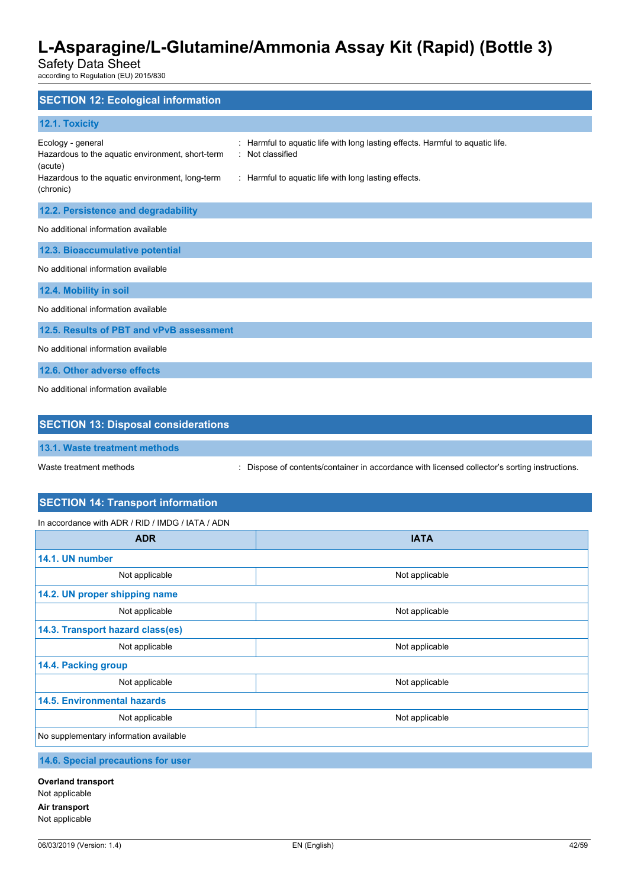Safety Data Sheet

according to Regulation (EU) 2015/830

| <b>SECTION 12: Ecological information</b>                                                                                                                                                                                                                                                         |
|---------------------------------------------------------------------------------------------------------------------------------------------------------------------------------------------------------------------------------------------------------------------------------------------------|
| 12.1. Toxicity                                                                                                                                                                                                                                                                                    |
| Harmful to aquatic life with long lasting effects. Harmful to aquatic life.<br>Ecology - general<br>÷<br>Not classified<br>Hazardous to the aquatic environment, short-term<br>(acute)<br>Hazardous to the aquatic environment, long-term<br>: Harmful to aquatic life with long lasting effects. |
| (chronic)                                                                                                                                                                                                                                                                                         |
| 12.2. Persistence and degradability                                                                                                                                                                                                                                                               |
| No additional information available                                                                                                                                                                                                                                                               |
| 12.3. Bioaccumulative potential                                                                                                                                                                                                                                                                   |
| No additional information available                                                                                                                                                                                                                                                               |
| 12.4. Mobility in soil                                                                                                                                                                                                                                                                            |
| No additional information available                                                                                                                                                                                                                                                               |
| 12.5. Results of PBT and vPvB assessment                                                                                                                                                                                                                                                          |
| No additional information available                                                                                                                                                                                                                                                               |
| 12.6. Other adverse effects                                                                                                                                                                                                                                                                       |
| No additional information available                                                                                                                                                                                                                                                               |

| <b>SECTION 13: Disposal considerations</b> |                                                                                             |
|--------------------------------------------|---------------------------------------------------------------------------------------------|
| 13.1. Waste treatment methods              |                                                                                             |
| Waste treatment methods                    | Dispose of contents/container in accordance with licensed collector's sorting instructions. |

# **SECTION 14: Transport information**

In accordance with ADR / RID / IMDG / IATA / ADN

| <b>ADR</b>                             | <b>IATA</b>    |  |  |
|----------------------------------------|----------------|--|--|
| 14.1. UN number                        |                |  |  |
| Not applicable                         | Not applicable |  |  |
| 14.2. UN proper shipping name          |                |  |  |
| Not applicable                         | Not applicable |  |  |
| 14.3. Transport hazard class(es)       |                |  |  |
| Not applicable                         | Not applicable |  |  |
| 14.4. Packing group                    |                |  |  |
| Not applicable                         | Not applicable |  |  |
| <b>14.5. Environmental hazards</b>     |                |  |  |
| Not applicable                         | Not applicable |  |  |
| No supplementary information available |                |  |  |

### **14.6. Special precautions for user**

**Overland transport** Not applicable **Air transport** Not applicable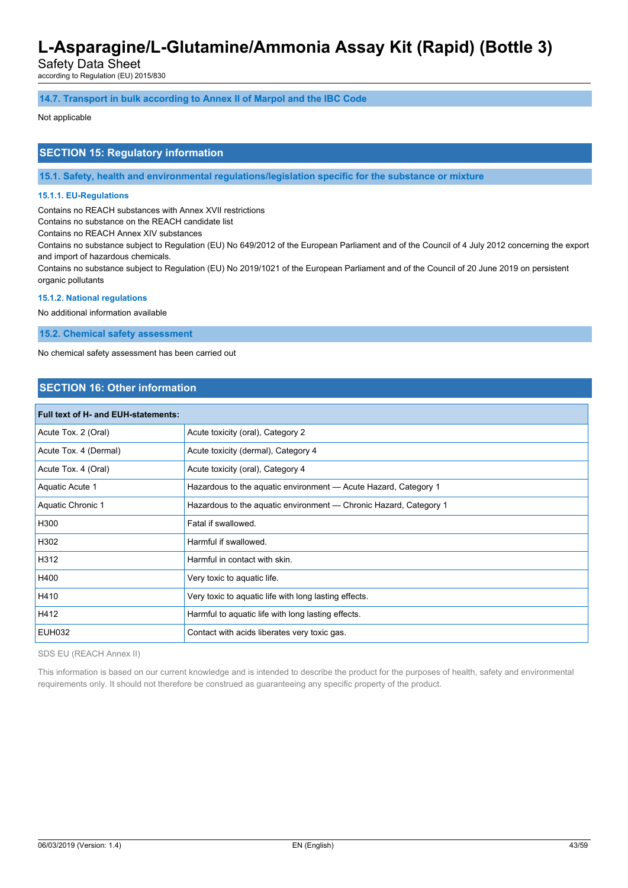Safety Data Sheet

according to Regulation (EU) 2015/830

#### **14.7. Transport in bulk according to Annex II of Marpol and the IBC Code**

#### Not applicable

### **SECTION 15: Regulatory information**

**15.1. Safety, health and environmental regulations/legislation specific for the substance or mixture**

#### **15.1.1. EU-Regulations**

Contains no REACH substances with Annex XVII restrictions

Contains no substance on the REACH candidate list

Contains no REACH Annex XIV substances

Contains no substance subject to Regulation (EU) No 649/2012 of the European Parliament and of the Council of 4 July 2012 concerning the export and import of hazardous chemicals.

Contains no substance subject to Regulation (EU) No 2019/1021 of the European Parliament and of the Council of 20 June 2019 on persistent organic pollutants

#### **15.1.2. National regulations**

No additional information available

**15.2. Chemical safety assessment**

No chemical safety assessment has been carried out

### **SECTION 16: Other information**

| <b>Full text of H- and EUH-statements:</b> |                                                                   |  |
|--------------------------------------------|-------------------------------------------------------------------|--|
| Acute Tox. 2 (Oral)                        | Acute toxicity (oral), Category 2                                 |  |
| Acute Tox. 4 (Dermal)                      | Acute toxicity (dermal), Category 4                               |  |
| Acute Tox. 4 (Oral)                        | Acute toxicity (oral), Category 4                                 |  |
| Aquatic Acute 1                            | Hazardous to the aquatic environment - Acute Hazard, Category 1   |  |
| <b>Aquatic Chronic 1</b>                   | Hazardous to the aquatic environment — Chronic Hazard, Category 1 |  |
| H300                                       | Fatal if swallowed.                                               |  |
| H302                                       | Harmful if swallowed.                                             |  |
| H312                                       | Harmful in contact with skin.                                     |  |
| H400                                       | Very toxic to aquatic life.                                       |  |
| H410                                       | Very toxic to aquatic life with long lasting effects.             |  |
| H412                                       | Harmful to aquatic life with long lasting effects.                |  |
| <b>EUH032</b>                              | Contact with acids liberates very toxic gas.                      |  |

SDS EU (REACH Annex II)

This information is based on our current knowledge and is intended to describe the product for the purposes of health, safety and environmental requirements only. It should not therefore be construed as guaranteeing any specific property of the product.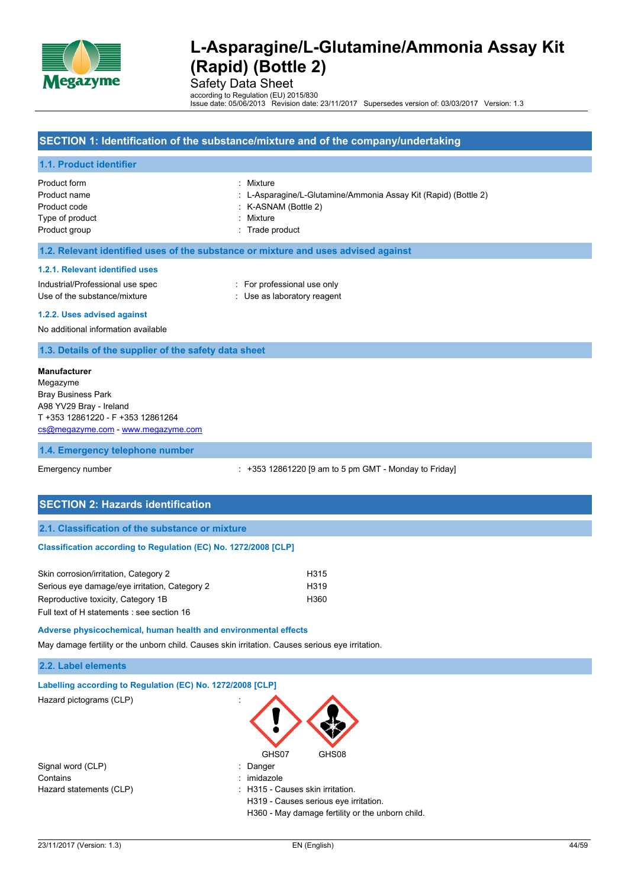

Safety Data Sheet

according to Regulation (EU) 2015/830 Issue date: 05/06/2013 Revision date: 23/11/2017 Supersedes version of: 03/03/2017 Version: 1.3

# **SECTION 1: Identification of the substance/mixture and of the company/undertaking 1.1. Product identifier** Product form : Mixture Product name : L-Asparagine/L-Glutamine/Ammonia Assay Kit (Rapid) (Bottle 2) Product code : K-ASNAM (Bottle 2) Type of product in the set of the Mixture in the Mixture in the Mixture in the Mixture in the Mixture in the Mixture Product group **Example 20** and 20 and 20 and 20 and 20 and 20 and 20 and 20 and 20 and 20 and 20 and 20 and 20 and 20 and 20 and 20 and 20 and 20 and 20 and 20 and 20 and 20 and 20 and 20 and 20 and 20 and 20 and 20 and 20 **1.2. Relevant identified uses of the substance or mixture and uses advised against 1.2.1. Relevant identified uses** Industrial/Professional use spec : For professional use only Use of the substance/mixture in the substance in the set of the substance/mixture in the set of the substance of the substance in the set of the set of the substance in the set of the set of the set of the set of the set o

**1.2.2. Uses advised against**

No additional information available

**1.3. Details of the supplier of the safety data sheet**

#### **Manufacturer**

Megazyme Bray Business Park A98 YV29 Bray - Ireland T +353 12861220 - F +353 12861264 [cs@megazyme.com](mailto:cs@megazyme.com) - <www.megazyme.com>

#### **1.4. Emergency telephone number**

Emergency number **Emergency** number : +353 12861220 [9 am to 5 pm GMT - Monday to Friday]

### **SECTION 2: Hazards identification**

#### **2.1. Classification of the substance or mixture**

#### **Classification according to Regulation (EC) No. 1272/2008 [CLP]**

| Skin corrosion/irritation, Category 2         | H315             |
|-----------------------------------------------|------------------|
| Serious eye damage/eye irritation, Category 2 | H <sub>319</sub> |
| Reproductive toxicity, Category 1B            | H360             |
| Full text of H statements : see section 16    |                  |

#### **Adverse physicochemical, human health and environmental effects**

May damage fertility or the unborn child. Causes skin irritation. Causes serious eye irritation.

#### **2.2. Label elements**

|  | Labelling according to Regulation (EC) No. 1272/2008 [CLP] |  |  |  |  |
|--|------------------------------------------------------------|--|--|--|--|
|--|------------------------------------------------------------|--|--|--|--|

Hazard pictograms (CLP) :





| Danger |
|--------|
|        |

- 
- Hazard statements (CLP) : H315 Causes skin irritation.
	- H319 Causes serious eye irritation.

H360 - May damage fertility or the unborn child.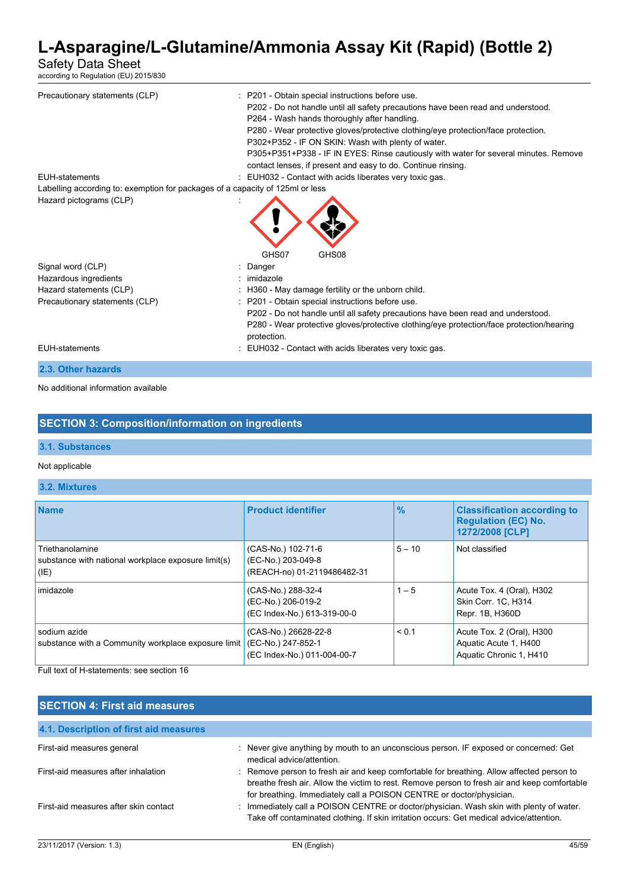### Safety Data Sheet

according to Regulation (EU) 2015/830

| Precautionary statements (CLP)<br><b>EUH-statements</b><br>Labelling according to: exemption for packages of a capacity of 125ml or less | : P201 - Obtain special instructions before use.<br>P202 - Do not handle until all safety precautions have been read and understood.<br>P264 - Wash hands thoroughly after handling.<br>P280 - Wear protective gloves/protective clothing/eye protection/face protection.<br>P302+P352 - IF ON SKIN: Wash with plenty of water.<br>P305+P351+P338 - IF IN EYES: Rinse cautiously with water for several minutes. Remove<br>contact lenses, if present and easy to do. Continue rinsing.<br>: EUH032 - Contact with acids liberates very toxic gas. |
|------------------------------------------------------------------------------------------------------------------------------------------|----------------------------------------------------------------------------------------------------------------------------------------------------------------------------------------------------------------------------------------------------------------------------------------------------------------------------------------------------------------------------------------------------------------------------------------------------------------------------------------------------------------------------------------------------|
| Hazard pictograms (CLP)                                                                                                                  | GHS07<br>GHS08                                                                                                                                                                                                                                                                                                                                                                                                                                                                                                                                     |
| Signal word (CLP)                                                                                                                        | : Danger                                                                                                                                                                                                                                                                                                                                                                                                                                                                                                                                           |
| Hazardous ingredients                                                                                                                    | : imidazole                                                                                                                                                                                                                                                                                                                                                                                                                                                                                                                                        |
| Hazard statements (CLP)                                                                                                                  | : H360 - May damage fertility or the unborn child.                                                                                                                                                                                                                                                                                                                                                                                                                                                                                                 |
| Precautionary statements (CLP)                                                                                                           | : P201 - Obtain special instructions before use.<br>P202 - Do not handle until all safety precautions have been read and understood.<br>P280 - Wear protective gloves/protective clothing/eye protection/face protection/hearing<br>protection.                                                                                                                                                                                                                                                                                                    |
| <b>EUH-statements</b>                                                                                                                    | : EUH032 - Contact with acids liberates very toxic gas.                                                                                                                                                                                                                                                                                                                                                                                                                                                                                            |
| 2.3. Other hazards                                                                                                                       |                                                                                                                                                                                                                                                                                                                                                                                                                                                                                                                                                    |

No additional information available

# **SECTION 3: Composition/information on ingredients**

### **3.1. Substances**

#### Not applicable

### **3.2. Mixtures**

| <b>Name</b>                                                                    | <b>Product identifier</b>                                                 | $\frac{9}{6}$ | <b>Classification according to</b><br><b>Regulation (EC) No.</b><br>1272/2008 [CLP] |
|--------------------------------------------------------------------------------|---------------------------------------------------------------------------|---------------|-------------------------------------------------------------------------------------|
| Triethanolamine<br>substance with national workplace exposure limit(s)<br>(IE) | (CAS-No.) 102-71-6<br>(EC-No.) 203-049-8<br>(REACH-no) 01-2119486482-31   | $5 - 10$      | Not classified                                                                      |
| imidazole                                                                      | (CAS-No.) 288-32-4<br>(EC-No.) 206-019-2<br>(EC Index-No.) 613-319-00-0   | $1 - 5$       | Acute Tox. 4 (Oral), H302<br>Skin Corr. 1C, H314<br>Repr. 1B, H360D                 |
| sodium azide<br>substance with a Community workplace exposure limit            | (CAS-No.) 26628-22-8<br>(EC-No.) 247-852-1<br>(EC Index-No.) 011-004-00-7 | < 0.1         | Acute Tox. 2 (Oral), H300<br>Aguatic Acute 1, H400<br>Aquatic Chronic 1, H410       |

Full text of H-statements: see section 16

### **SECTION 4: First aid measures**

| 4.1. Description of first aid measures |                                                                                                                                                                                                                                                                 |
|----------------------------------------|-----------------------------------------------------------------------------------------------------------------------------------------------------------------------------------------------------------------------------------------------------------------|
| First-aid measures general             | Never give anything by mouth to an unconscious person. IF exposed or concerned: Get<br>medical advice/attention.                                                                                                                                                |
| First-aid measures after inhalation    | Remove person to fresh air and keep comfortable for breathing. Allow affected person to<br>breathe fresh air. Allow the victim to rest. Remove person to fresh air and keep comfortable<br>for breathing. Immediately call a POISON CENTRE or doctor/physician. |
| First-aid measures after skin contact  | Immediately call a POISON CENTRE or doctor/physician. Wash skin with plenty of water.<br>Take off contaminated clothing. If skin irritation occurs: Get medical advice/attention.                                                                               |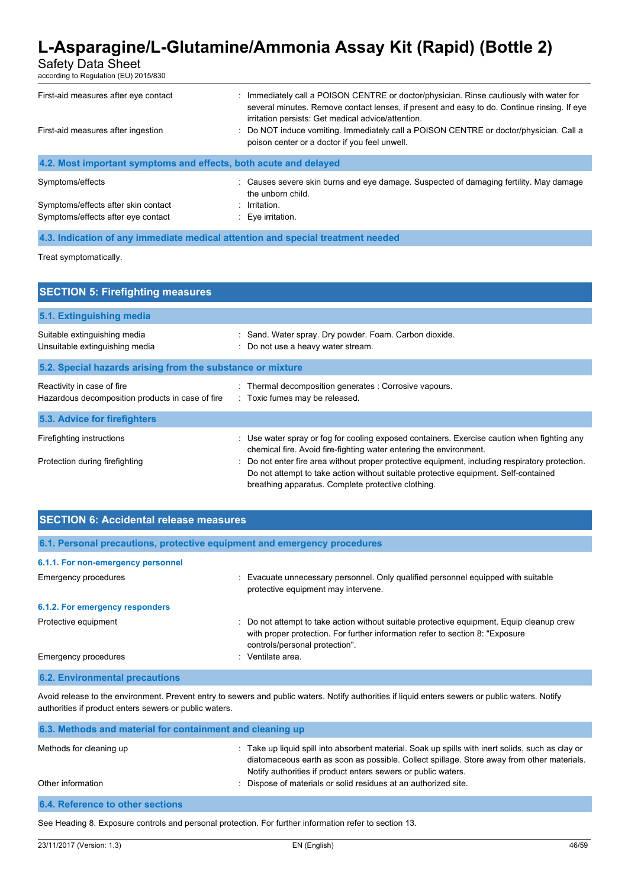Safety Data Sheet

according to Regulation (EU) 2015/830

| First-aid measures after eye contact<br>First-aid measures after ingestion | Immediately call a POISON CENTRE or doctor/physician. Rinse cautiously with water for<br>several minutes. Remove contact lenses, if present and easy to do. Continue rinsing. If eye<br>irritation persists: Get medical advice/attention.<br>: Do NOT induce vomiting. Immediately call a POISON CENTRE or doctor/physician. Call a<br>poison center or a doctor if you feel unwell. |
|----------------------------------------------------------------------------|---------------------------------------------------------------------------------------------------------------------------------------------------------------------------------------------------------------------------------------------------------------------------------------------------------------------------------------------------------------------------------------|
| 4.2. Most important symptoms and effects, both acute and delayed           |                                                                                                                                                                                                                                                                                                                                                                                       |
| Symptoms/effects                                                           | : Causes severe skin burns and eye damage. Suspected of damaging fertility. May damage<br>the unborn child.                                                                                                                                                                                                                                                                           |
| Symptoms/effects after skin contact<br>Symptoms/effects after eye contact  | Irritation.<br>$\therefore$ Eve irritation.                                                                                                                                                                                                                                                                                                                                           |

**4.3. Indication of any immediate medical attention and special treatment needed**

Treat symptomatically.

| <b>SECTION 5: Firefighting measures</b>                                        |                                                                                                                                                                                                                                              |  |  |  |
|--------------------------------------------------------------------------------|----------------------------------------------------------------------------------------------------------------------------------------------------------------------------------------------------------------------------------------------|--|--|--|
| 5.1. Extinguishing media                                                       |                                                                                                                                                                                                                                              |  |  |  |
| Suitable extinguishing media<br>Unsuitable extinguishing media                 | : Sand. Water spray. Dry powder. Foam. Carbon dioxide.<br>: Do not use a heavy water stream.                                                                                                                                                 |  |  |  |
| 5.2. Special hazards arising from the substance or mixture                     |                                                                                                                                                                                                                                              |  |  |  |
| Reactivity in case of fire<br>Hazardous decomposition products in case of fire | : Thermal decomposition generates : Corrosive vapours.<br>: Toxic fumes may be released.                                                                                                                                                     |  |  |  |
| 5.3. Advice for firefighters                                                   |                                                                                                                                                                                                                                              |  |  |  |
| Firefighting instructions                                                      | : Use water spray or fog for cooling exposed containers. Exercise caution when fighting any<br>chemical fire. Avoid fire-fighting water entering the environment.                                                                            |  |  |  |
| Protection during firefighting                                                 | : Do not enter fire area without proper protective equipment, including respiratory protection.<br>Do not attempt to take action without suitable protective equipment. Self-contained<br>breathing apparatus. Complete protective clothing. |  |  |  |

| <b>SECTION 6: Accidental release measures</b>                            |                                                                                                                                                                                                              |  |  |
|--------------------------------------------------------------------------|--------------------------------------------------------------------------------------------------------------------------------------------------------------------------------------------------------------|--|--|
| 6.1. Personal precautions, protective equipment and emergency procedures |                                                                                                                                                                                                              |  |  |
| 6.1.1. For non-emergency personnel                                       |                                                                                                                                                                                                              |  |  |
| <b>Emergency procedures</b>                                              | : Evacuate unnecessary personnel. Only qualified personnel equipped with suitable<br>protective equipment may intervene.                                                                                     |  |  |
| 6.1.2. For emergency responders                                          |                                                                                                                                                                                                              |  |  |
| Protective equipment                                                     | : Do not attempt to take action without suitable protective equipment. Equip cleanup crew<br>with proper protection. For further information refer to section 8: "Exposure<br>controls/personal protection". |  |  |
| Emergency procedures                                                     | Ventilate area.                                                                                                                                                                                              |  |  |

#### **6.2. Environmental precautions**

Avoid release to the environment. Prevent entry to sewers and public waters. Notify authorities if liquid enters sewers or public waters. Notify authorities if product enters sewers or public waters.

| 6.3. Methods and material for containment and cleaning up |                                                                                                                                                                                                                                                                  |  |  |
|-----------------------------------------------------------|------------------------------------------------------------------------------------------------------------------------------------------------------------------------------------------------------------------------------------------------------------------|--|--|
| Methods for cleaning up                                   | : Take up liquid spill into absorbent material. Soak up spills with inert solids, such as clay or<br>diatomaceous earth as soon as possible. Collect spillage. Store away from other materials.<br>Notify authorities if product enters sewers or public waters. |  |  |
| Other information                                         | : Dispose of materials or solid residues at an authorized site.                                                                                                                                                                                                  |  |  |
| 6.4. Reference to other sections                          |                                                                                                                                                                                                                                                                  |  |  |

See Heading 8. Exposure controls and personal protection. For further information refer to section 13.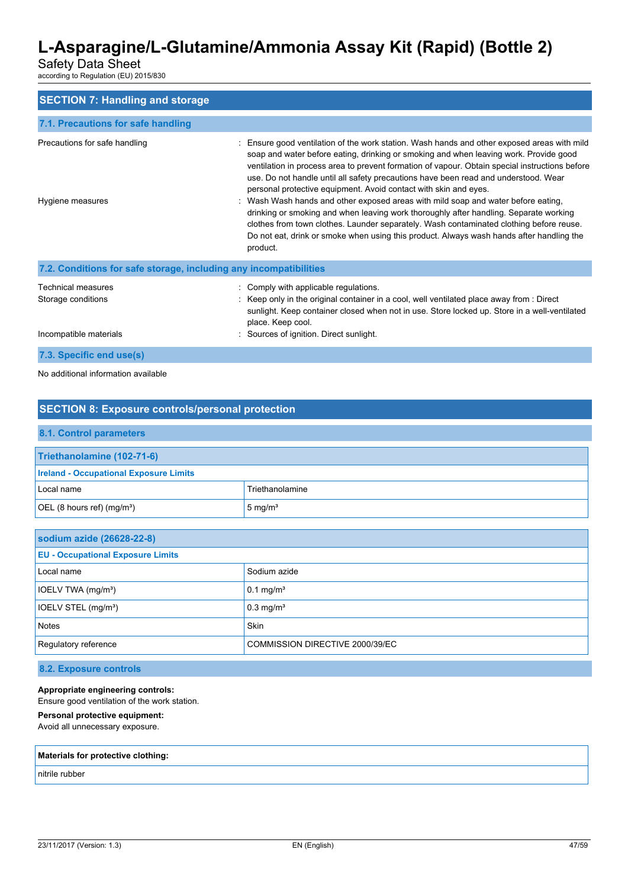Safety Data Sheet

according to Regulation (EU) 2015/830

| <b>SECTION 7: Handling and storage</b>                             |                                                                                                                                                                                                                                                                                                                                                                                                                                                                                                                                                                                                                                                                                                                                                                                                                                  |
|--------------------------------------------------------------------|----------------------------------------------------------------------------------------------------------------------------------------------------------------------------------------------------------------------------------------------------------------------------------------------------------------------------------------------------------------------------------------------------------------------------------------------------------------------------------------------------------------------------------------------------------------------------------------------------------------------------------------------------------------------------------------------------------------------------------------------------------------------------------------------------------------------------------|
| 7.1. Precautions for safe handling                                 |                                                                                                                                                                                                                                                                                                                                                                                                                                                                                                                                                                                                                                                                                                                                                                                                                                  |
| Precautions for safe handling<br>Hygiene measures                  | Ensure good ventilation of the work station. Wash hands and other exposed areas with mild<br>soap and water before eating, drinking or smoking and when leaving work. Provide good<br>ventilation in process area to prevent formation of vapour. Obtain special instructions before<br>use. Do not handle until all safety precautions have been read and understood. Wear<br>personal protective equipment. Avoid contact with skin and eyes.<br>: Wash Wash hands and other exposed areas with mild soap and water before eating,<br>drinking or smoking and when leaving work thoroughly after handling. Separate working<br>clothes from town clothes. Launder separately. Wash contaminated clothing before reuse.<br>Do not eat, drink or smoke when using this product. Always wash hands after handling the<br>product. |
| 7.2. Conditions for safe storage, including any incompatibilities  |                                                                                                                                                                                                                                                                                                                                                                                                                                                                                                                                                                                                                                                                                                                                                                                                                                  |
| Technical measures<br>Storage conditions<br>Incompatible materials | : Comply with applicable regulations.<br>: Keep only in the original container in a cool, well ventilated place away from : Direct<br>sunlight. Keep container closed when not in use. Store locked up. Store in a well-ventilated<br>place. Keep cool.<br>Sources of ignition. Direct sunlight.                                                                                                                                                                                                                                                                                                                                                                                                                                                                                                                                 |
| 7.3. Specific end use(s)                                           |                                                                                                                                                                                                                                                                                                                                                                                                                                                                                                                                                                                                                                                                                                                                                                                                                                  |

No additional information available

# **SECTION 8: Exposure controls/personal protection**

# **8.1. Control parameters Triethanolamine (102-71-6) Ireland - Occupational Exposure Limits** Local name Triethanolamine OEL (8 hours ref) (mg/m<sup>3</sup>)  $\Big| 5 \text{ mg/m}^3$

| sodium azide (26628-22-8)                               |                         |  |
|---------------------------------------------------------|-------------------------|--|
| <b>EU - Occupational Exposure Limits</b>                |                         |  |
| Local name                                              | Sodium azide            |  |
| IOELV TWA (mg/m <sup>3</sup> )                          | $0.1$ mg/m <sup>3</sup> |  |
| IOELV STEL (mg/m <sup>3</sup> )                         | $0.3$ mg/m <sup>3</sup> |  |
| <b>Notes</b>                                            | <b>Skin</b>             |  |
| Regulatory reference<br>COMMISSION DIRECTIVE 2000/39/EC |                         |  |

### **8.2. Exposure controls**

**Appropriate engineering controls:**

Ensure good ventilation of the work station.

### **Personal protective equipment:**

Avoid all unnecessary exposure.

### **Materials for protective clothing:**

nitrile rubber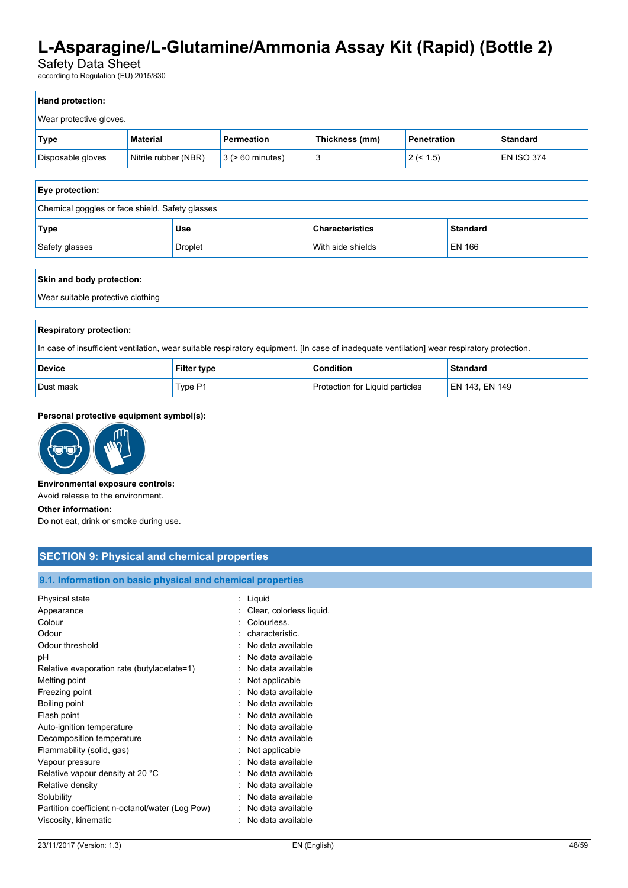Safety Data Sheet

according to Regulation (EU) 2015/830

| Hand protection:        |                      |                       |                |             |                   |
|-------------------------|----------------------|-----------------------|----------------|-------------|-------------------|
| Wear protective gloves. |                      |                       |                |             |                   |
| Type                    | <b>Material</b>      | Permeation            | Thickness (mm) | Penetration | <b>Standard</b>   |
| Disposable gloves       | Nitrile rubber (NBR) | $3$ ( $> 60$ minutes) |                | 2 (< 1.5)   | <b>EN ISO 374</b> |

#### **Eye protection:**

| Chemical goggles or face shield. Safety glasses |                |                        |          |
|-------------------------------------------------|----------------|------------------------|----------|
| Type                                            | Use            | <b>Characteristics</b> | Standard |
| Safety glasses                                  | <b>Droplet</b> | With side shields      | EN 166   |

| Skin and body protection:         |
|-----------------------------------|
| Wear suitable protective clothing |
|                                   |

| <b>Respiratory protection:</b>                                                                                                             |                    |                                 |                |  |
|--------------------------------------------------------------------------------------------------------------------------------------------|--------------------|---------------------------------|----------------|--|
| In case of insufficient ventilation, wear suitable respiratory equipment. [In case of inadequate ventilation] wear respiratory protection. |                    |                                 |                |  |
| <b>Device</b>                                                                                                                              | <b>Filter type</b> | <b>Condition</b>                | Standard       |  |
| Dust mask                                                                                                                                  | Type P1            | Protection for Liquid particles | EN 143. EN 149 |  |

#### **Personal protective equipment symbol(s):**



#### **Environmental exposure controls:**

Avoid release to the environment.

#### **Other information:**

Do not eat, drink or smoke during use.

# **SECTION 9: Physical and chemical properties**

### **9.1. Information on basic physical and chemical properties**

| Physical state                                  | Liquid                   |
|-------------------------------------------------|--------------------------|
| Appearance                                      | Clear, colorless liquid. |
| Colour                                          | Colourless.              |
| Odour                                           | characteristic.          |
| Odour threshold                                 | No data available        |
| рH                                              | No data available        |
| Relative evaporation rate (butylacetate=1)      | No data available        |
| Melting point                                   | Not applicable           |
| Freezing point                                  | No data available        |
| Boiling point                                   | No data available        |
| Flash point                                     | No data available        |
| Auto-ignition temperature                       | No data available        |
| Decomposition temperature                       | No data available        |
| Flammability (solid, gas)                       | Not applicable           |
| Vapour pressure                                 | No data available        |
| Relative vapour density at 20 °C                | No data available        |
| Relative density                                | No data available        |
| Solubility                                      | No data available        |
| Partition coefficient n-octanol/water (Log Pow) | No data available        |
| Viscosity, kinematic                            | No data available        |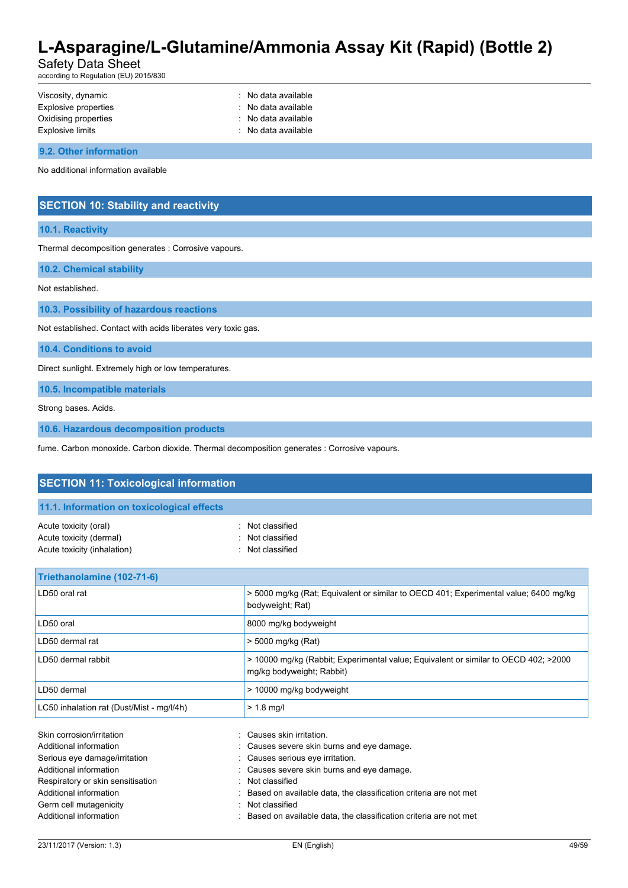Safety Data Sheet

according to Regulation (EU) 2015/830

| Viscosity, dynamic   | : No data available |
|----------------------|---------------------|
| Explosive properties | : No data available |
| Oxidising properties | : No data available |
| Explosive limits     | : No data available |

**9.2. Other information**

No additional information available

### **SECTION 10: Stability and reactivity**

#### **10.1. Reactivity**

Thermal decomposition generates : Corrosive vapours.

**10.2. Chemical stability**

Not established.

**10.3. Possibility of hazardous reactions**

Not established. Contact with acids liberates very toxic gas.

**10.4. Conditions to avoid**

Direct sunlight. Extremely high or low temperatures.

**10.5. Incompatible materials**

Strong bases. Acids.

**10.6. Hazardous decomposition products**

fume. Carbon monoxide. Carbon dioxide. Thermal decomposition generates : Corrosive vapours.

| <b>SECTION 11: Toxicological information</b>                                                                                                                                                                                      |                                                                                                                                                                                                                                                                                                                               |  |  |
|-----------------------------------------------------------------------------------------------------------------------------------------------------------------------------------------------------------------------------------|-------------------------------------------------------------------------------------------------------------------------------------------------------------------------------------------------------------------------------------------------------------------------------------------------------------------------------|--|--|
| 11.1. Information on toxicological effects                                                                                                                                                                                        |                                                                                                                                                                                                                                                                                                                               |  |  |
| Acute toxicity (oral)<br>Acute toxicity (dermal)<br>Acute toxicity (inhalation)                                                                                                                                                   | Not classified<br>Not classified<br>Not classified                                                                                                                                                                                                                                                                            |  |  |
| Triethanolamine (102-71-6)                                                                                                                                                                                                        |                                                                                                                                                                                                                                                                                                                               |  |  |
| LD50 oral rat                                                                                                                                                                                                                     | > 5000 mg/kg (Rat; Equivalent or similar to OECD 401; Experimental value; 6400 mg/kg<br>bodyweight; Rat)                                                                                                                                                                                                                      |  |  |
| LD50 oral                                                                                                                                                                                                                         | 8000 mg/kg bodyweight                                                                                                                                                                                                                                                                                                         |  |  |
| LD50 dermal rat                                                                                                                                                                                                                   | > 5000 mg/kg (Rat)                                                                                                                                                                                                                                                                                                            |  |  |
| LD50 dermal rabbit                                                                                                                                                                                                                | > 10000 mg/kg (Rabbit; Experimental value; Equivalent or similar to OECD 402; >2000<br>mg/kg bodyweight; Rabbit)                                                                                                                                                                                                              |  |  |
| LD50 dermal                                                                                                                                                                                                                       | > 10000 mg/kg bodyweight                                                                                                                                                                                                                                                                                                      |  |  |
| LC50 inhalation rat (Dust/Mist - mg/l/4h)                                                                                                                                                                                         | $> 1.8$ mg/l                                                                                                                                                                                                                                                                                                                  |  |  |
| Skin corrosion/irritation<br>Additional information<br>Serious eye damage/irritation<br>Additional information<br>Respiratory or skin sensitisation<br>Additional information<br>Germ cell mutagenicity<br>Additional information | Causes skin irritation.<br>Causes severe skin burns and eye damage.<br>Causes serious eye irritation.<br>Causes severe skin burns and eye damage.<br>Not classified<br>Based on available data, the classification criteria are not met<br>Not classified<br>Based on available data, the classification criteria are not met |  |  |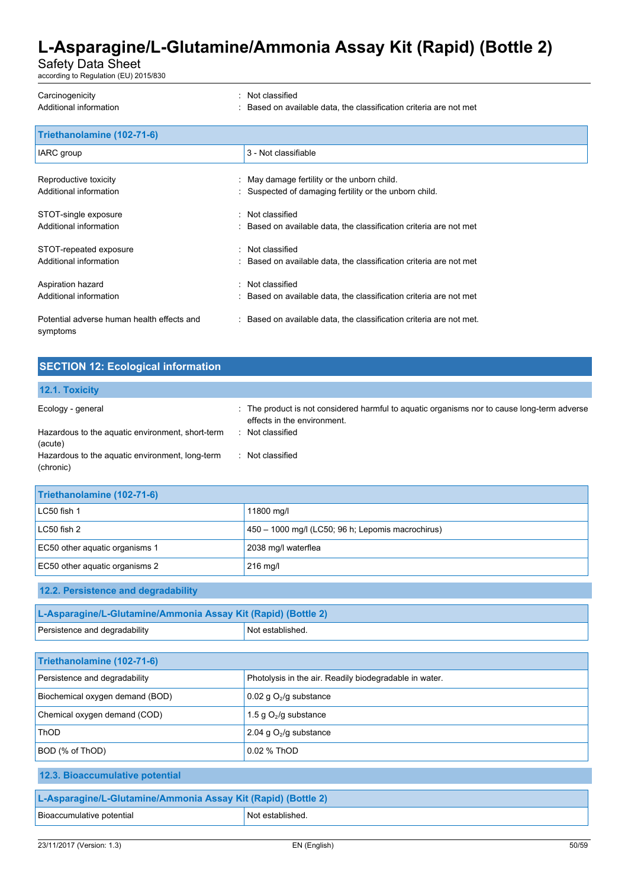Safety Data Sheet

according to Regulation (EU) 2015/830

| Carcinogenicity                                        | : Not classified                                                    |
|--------------------------------------------------------|---------------------------------------------------------------------|
| Additional information                                 | Based on available data, the classification criteria are not met    |
| Triethanolamine (102-71-6)                             |                                                                     |
| IARC group                                             | 3 - Not classifiable                                                |
| Reproductive toxicity                                  | : May damage fertility or the unborn child.                         |
| Additional information                                 | Suspected of damaging fertility or the unborn child.                |
| STOT-single exposure                                   | : Not classified                                                    |
| Additional information                                 | : Based on available data, the classification criteria are not met  |
| STOT-repeated exposure                                 | : Not classified                                                    |
| Additional information                                 | Based on available data, the classification criteria are not met    |
| Aspiration hazard                                      | : Not classified                                                    |
| Additional information                                 | : Based on available data, the classification criteria are not met  |
| Potential adverse human health effects and<br>symptoms | : Based on available data, the classification criteria are not met. |

### **SECTION 12: Ecological information**

# **12.1. Toxicity**

| Ecology - general                                | : The product is not considered harmful to aguatic organisms nor to cause long-term adverse<br>effects in the environment. |
|--------------------------------------------------|----------------------------------------------------------------------------------------------------------------------------|
| Hazardous to the aquatic environment, short-term | Not classified                                                                                                             |
| (acute)                                          |                                                                                                                            |
| Hazardous to the aquatic environment, long-term  | Not classified                                                                                                             |
| (chronic)                                        |                                                                                                                            |

| Triethanolamine (102-71-6)     |                                                   |  |
|--------------------------------|---------------------------------------------------|--|
| LC50 fish 1                    | 11800 mg/l                                        |  |
| LC50 fish 2                    | 450 - 1000 mg/l (LC50; 96 h; Lepomis macrochirus) |  |
| EC50 other aquatic organisms 1 | 2038 mg/l waterflea                               |  |
| EC50 other aquatic organisms 2 | 216 mg/l                                          |  |

### **12.2. Persistence and degradability**

| L-Asparagine/L-Glutamine/Ammonia Assay Kit (Rapid) (Bottle 2) |                  |  |
|---------------------------------------------------------------|------------------|--|
| Persistence and degradability                                 | Not established. |  |

| Triethanolamine (102-71-6)      |                                                        |  |
|---------------------------------|--------------------------------------------------------|--|
| Persistence and degradability   | Photolysis in the air. Readily biodegradable in water. |  |
| Biochemical oxygen demand (BOD) | 0.02 g $O2/g$ substance                                |  |
| Chemical oxygen demand (COD)    | 1.5 g $O_2$ /g substance                               |  |
| <b>ThOD</b>                     | 2.04 g $O_2$ /g substance                              |  |
| BOD (% of ThOD)                 | 0.02 % ThOD                                            |  |

### **12.3. Bioaccumulative potential**

| L-Asparagine/L-Glutamine/Ammonia Assay Kit (Rapid) (Bottle 2) |                  |  |
|---------------------------------------------------------------|------------------|--|
| Bioaccumulative potential                                     | Not established. |  |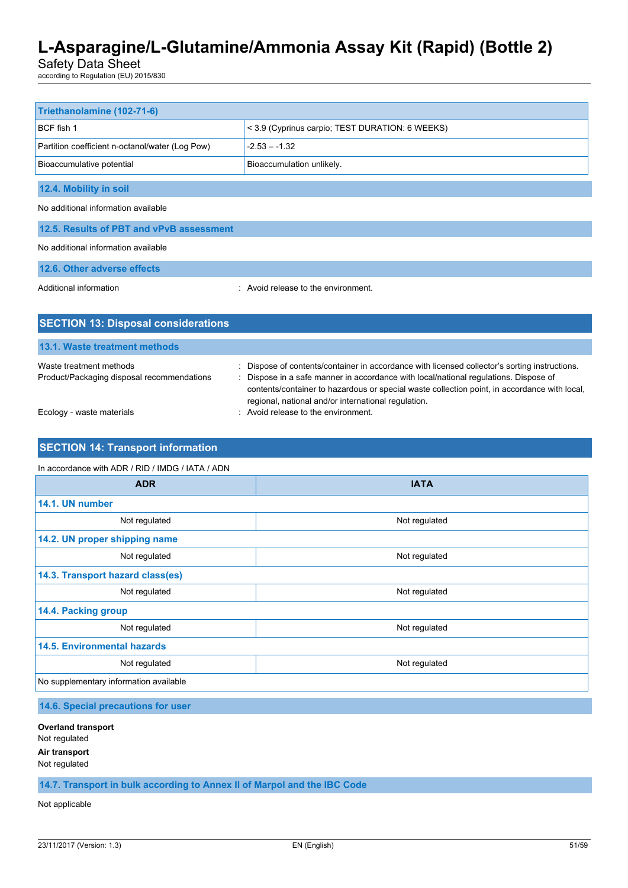Safety Data Sheet

according to Regulation (EU) 2015/830

| Triethanolamine (102-71-6)                      |                                                 |  |
|-------------------------------------------------|-------------------------------------------------|--|
| BCF fish 1                                      | < 3.9 (Cyprinus carpio; TEST DURATION: 6 WEEKS) |  |
| Partition coefficient n-octanol/water (Log Pow) | $-2.53 - -1.32$                                 |  |
| Bioaccumulative potential                       | Bioaccumulation unlikely.                       |  |
| 12.4. Mobility in soil                          |                                                 |  |
| No additional information available             |                                                 |  |
| 12.5. Results of PBT and vPvB assessment        |                                                 |  |
| No additional information available             |                                                 |  |
| 12.6. Other adverse effects                     |                                                 |  |
| Additional information                          | : Avoid release to the environment.             |  |
|                                                 |                                                 |  |
| <b>SECTION 13: Disposal considerations</b>      |                                                 |  |

| <b>TV.I. MOJIV HVAHIIVIII IIIVIIIVAJ</b>                              |                                                                                                                                                                                                                                                                                                                                              |
|-----------------------------------------------------------------------|----------------------------------------------------------------------------------------------------------------------------------------------------------------------------------------------------------------------------------------------------------------------------------------------------------------------------------------------|
| Waste treatment methods<br>Product/Packaging disposal recommendations | : Dispose of contents/container in accordance with licensed collector's sorting instructions.<br>: Dispose in a safe manner in accordance with local/national regulations. Dispose of<br>contents/container to hazardous or special waste collection point, in accordance with local,<br>regional, national and/or international regulation. |
| Ecology - waste materials                                             | : Avoid release to the environment.                                                                                                                                                                                                                                                                                                          |

### **SECTION 14: Transport information**

**13.1. Waste treatment methods**

#### In accordance with ADR / RID / IMDG / IATA / ADN

| <b>ADR</b>                             | <b>IATA</b>   |  |
|----------------------------------------|---------------|--|
| 14.1. UN number                        |               |  |
| Not regulated                          | Not regulated |  |
| 14.2. UN proper shipping name          |               |  |
| Not regulated                          | Not regulated |  |
| 14.3. Transport hazard class(es)       |               |  |
| Not regulated                          | Not regulated |  |
| 14.4. Packing group                    |               |  |
| Not regulated                          | Not regulated |  |
| <b>14.5. Environmental hazards</b>     |               |  |
| Not regulated                          | Not regulated |  |
| No supplementary information available |               |  |

**14.6. Special precautions for user**

**Overland transport** Not regulated **Air transport** Not regulated

**14.7. Transport in bulk according to Annex II of Marpol and the IBC Code**

Not applicable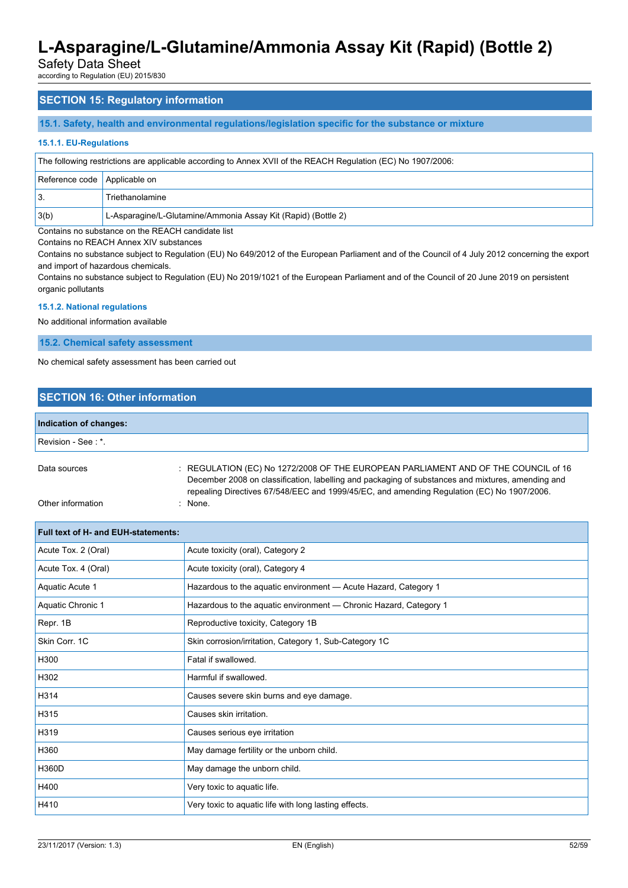Safety Data Sheet

according to Regulation (EU) 2015/830

### **SECTION 15: Regulatory information**

#### **15.1. Safety, health and environmental regulations/legislation specific for the substance or mixture**

#### **15.1.1. EU-Regulations**

| The following restrictions are applicable according to Annex XVII of the REACH Regulation (EC) No 1907/2006: |                                                               |  |
|--------------------------------------------------------------------------------------------------------------|---------------------------------------------------------------|--|
| Reference code   Applicable on                                                                               |                                                               |  |
|                                                                                                              | Triethanolamine                                               |  |
| 3(b)                                                                                                         | L-Asparagine/L-Glutamine/Ammonia Assay Kit (Rapid) (Bottle 2) |  |

Contains no substance on the REACH candidate list

Contains no REACH Annex XIV substances

Contains no substance subject to Regulation (EU) No 649/2012 of the European Parliament and of the Council of 4 July 2012 concerning the export and import of hazardous chemicals.

Contains no substance subject to Regulation (EU) No 2019/1021 of the European Parliament and of the Council of 20 June 2019 on persistent organic pollutants

#### **15.1.2. National regulations**

No additional information available

**15.2. Chemical safety assessment**

No chemical safety assessment has been carried out

### **SECTION 16: Other information**

| Indication of changes: |  |
|------------------------|--|
| Revision - See: *.     |  |

: REGULATION (EC) No 1272/2008 OF THE EUROPEAN PARLIAMENT AND OF THE COUNCIL of 16 December 2008 on classification, labelling and packaging of substances and mixtures, amending and repealing Directives 67/548/EEC and 1999/45/EC, and amending Regulation (EC) No 1907/2006.

Other information : None.

| <b>Full text of H- and EUH-statements:</b> |                                                                   |
|--------------------------------------------|-------------------------------------------------------------------|
| Acute Tox. 2 (Oral)                        | Acute toxicity (oral), Category 2                                 |
| Acute Tox. 4 (Oral)                        | Acute toxicity (oral), Category 4                                 |
| Aquatic Acute 1                            | Hazardous to the aquatic environment - Acute Hazard, Category 1   |
| Aquatic Chronic 1                          | Hazardous to the aquatic environment - Chronic Hazard, Category 1 |
| Repr. 1B                                   | Reproductive toxicity, Category 1B                                |
| Skin Corr. 1C                              | Skin corrosion/irritation, Category 1, Sub-Category 1C            |
| H300                                       | Fatal if swallowed.                                               |
| H302                                       | Harmful if swallowed.                                             |
| H314                                       | Causes severe skin burns and eye damage.                          |
| H315                                       | Causes skin irritation.                                           |
| H319                                       | Causes serious eye irritation                                     |
| H360                                       | May damage fertility or the unborn child.                         |
| H360D                                      | May damage the unborn child.                                      |
| H400                                       | Very toxic to aquatic life.                                       |
| H410                                       | Very toxic to aquatic life with long lasting effects.             |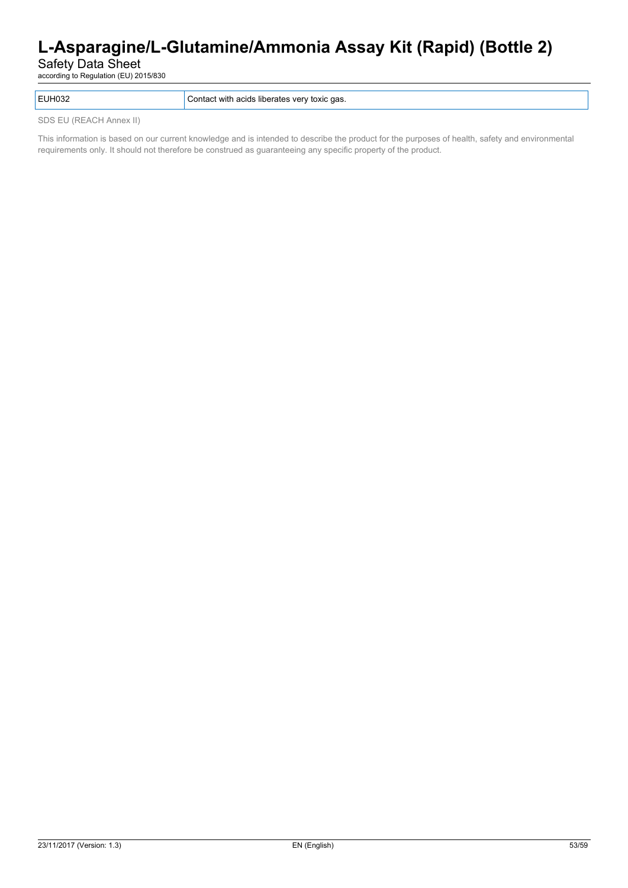Safety Data Sheet

according to Regulation (EU) 2015/830

EUH032 Contact with acids liberates very toxic gas.

SDS EU (REACH Annex II)

This information is based on our current knowledge and is intended to describe the product for the purposes of health, safety and environmental requirements only. It should not therefore be construed as guaranteeing any specific property of the product.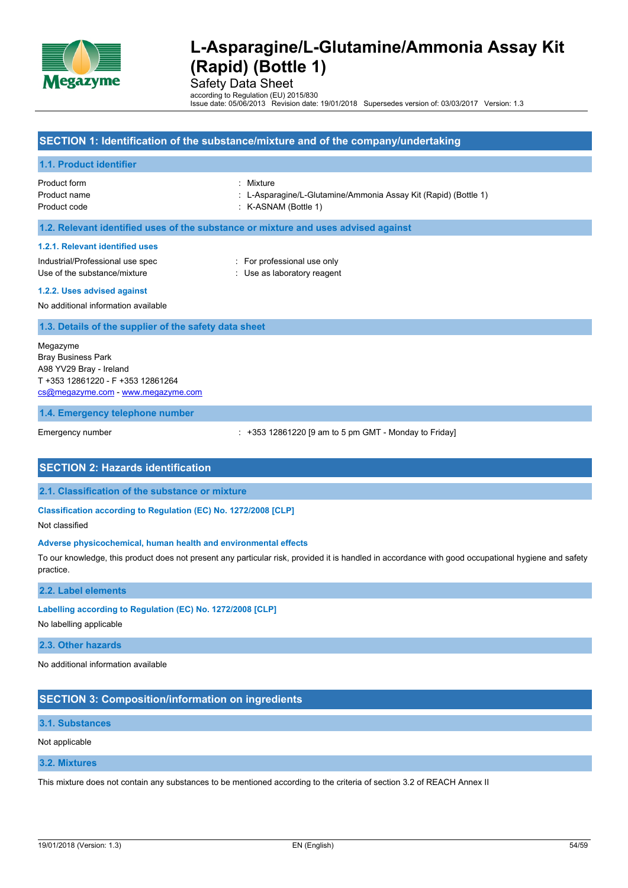

Safety Data Sheet

according to Regulation (EU) 2015/830 Issue date: 05/06/2013 Revision date: 19/01/2018 Supersedes version of: 03/03/2017 Version: 1.3

#### **SECTION 1: Identification of the substance/mixture and of the company/undertaking**

#### **1.1. Product identifier**

Product form : Mixture

Product name : L-Asparagine/L-Glutamine/Ammonia Assay Kit (Rapid) (Bottle 1)

Product code : K-ASNAM (Bottle 1)

**1.2. Relevant identified uses of the substance or mixture and uses advised against**

#### **1.2.1. Relevant identified uses**

Industrial/Professional use spec : For professional use only Use of the substance/mixture in the substance/mixture in the substance of the substance in the substance of the substance of the substance of the substance of the substance of the substance of the substance of the substanc

**1.2.2. Uses advised against**

No additional information available

#### **1.3. Details of the supplier of the safety data sheet**

Megazyme Bray Business Park A98 YV29 Bray - Ireland T +353 12861220 - F +353 12861264 [cs@megazyme.com](mailto:cs@megazyme.com) - <www.megazyme.com>

#### **1.4. Emergency telephone number**

Emergency number : +353 12861220 [9 am to 5 pm GMT - Monday to Friday]

#### **SECTION 2: Hazards identification**

**2.1. Classification of the substance or mixture**

**Classification according to Regulation (EC) No. 1272/2008 [CLP]**

Not classified

#### **Adverse physicochemical, human health and environmental effects**

To our knowledge, this product does not present any particular risk, provided it is handled in accordance with good occupational hygiene and safety practice.

**2.2. Label elements**

**Labelling according to Regulation (EC) No. 1272/2008 [CLP]**

No labelling applicable

**2.3. Other hazards**

No additional information available

### **SECTION 3: Composition/information on ingredients**

#### **3.1. Substances**

Not applicable

#### **3.2. Mixtures**

This mixture does not contain any substances to be mentioned according to the criteria of section 3.2 of REACH Annex II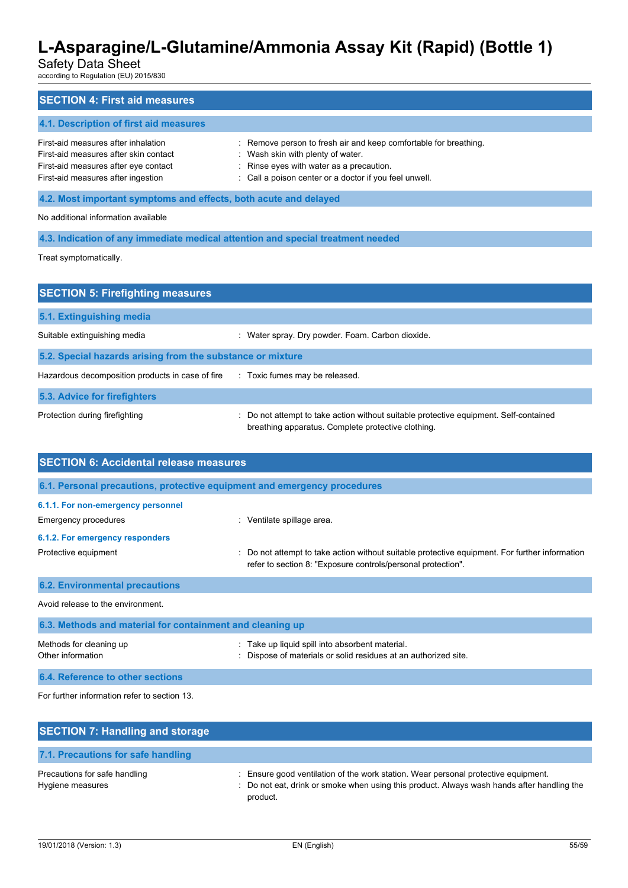# Safety Data Sheet

according to Regulation (EU) 2015/830

| <b>SECTION 4: First aid measures</b>                                                                                                                       |                                                                                                                                                                                                             |  |
|------------------------------------------------------------------------------------------------------------------------------------------------------------|-------------------------------------------------------------------------------------------------------------------------------------------------------------------------------------------------------------|--|
| 4.1. Description of first aid measures                                                                                                                     |                                                                                                                                                                                                             |  |
| First-aid measures after inhalation<br>First-aid measures after skin contact<br>First-aid measures after eye contact<br>First-aid measures after ingestion | : Remove person to fresh air and keep comfortable for breathing.<br>: Wash skin with plenty of water.<br>: Rinse eyes with water as a precaution.<br>: Call a poison center or a doctor if you feel unwell. |  |
| 4.2. Most important symptoms and effects, both acute and delayed                                                                                           |                                                                                                                                                                                                             |  |
| No additional information available                                                                                                                        |                                                                                                                                                                                                             |  |
|                                                                                                                                                            | 4.3. Indication of any immediate medical attention and special treatment needed                                                                                                                             |  |
| Treat symptomatically.                                                                                                                                     |                                                                                                                                                                                                             |  |
|                                                                                                                                                            |                                                                                                                                                                                                             |  |
| <b>SECTION 5: Firefighting measures</b>                                                                                                                    |                                                                                                                                                                                                             |  |

| 5.1. Extinguishing media                                   |                                                                                                                                             |
|------------------------------------------------------------|---------------------------------------------------------------------------------------------------------------------------------------------|
| Suitable extinguishing media                               | Water spray. Dry powder. Foam. Carbon dioxide.                                                                                              |
| 5.2. Special hazards arising from the substance or mixture |                                                                                                                                             |
| Hazardous decomposition products in case of fire           | : Toxic fumes may be released.                                                                                                              |
| 5.3. Advice for firefighters                               |                                                                                                                                             |
| Protection during firefighting                             | : Do not attempt to take action without suitable protective equipment. Self-contained<br>breathing apparatus. Complete protective clothing. |

| <b>SECTION 6: Accidental release measures</b>                            |                                                                                                                                                                |
|--------------------------------------------------------------------------|----------------------------------------------------------------------------------------------------------------------------------------------------------------|
| 6.1. Personal precautions, protective equipment and emergency procedures |                                                                                                                                                                |
| 6.1.1. For non-emergency personnel                                       |                                                                                                                                                                |
| Emergency procedures                                                     | Ventilate spillage area.                                                                                                                                       |
| 6.1.2. For emergency responders                                          |                                                                                                                                                                |
| Protective equipment                                                     | : Do not attempt to take action without suitable protective equipment. For further information<br>refer to section 8: "Exposure controls/personal protection". |
| <b>6.2. Environmental precautions</b>                                    |                                                                                                                                                                |
| Avoid release to the environment.                                        |                                                                                                                                                                |
| 6.3. Methods and material for containment and cleaning up                |                                                                                                                                                                |
| Methods for cleaning up<br>Other information                             | Take up liquid spill into absorbent material.<br>Dispose of materials or solid residues at an authorized site.                                                 |

**6.4. Reference to other sections**

For further information refer to section 13.

| <b>SECTION 7: Handling and storage</b>            |                                                                                                                                                                                              |
|---------------------------------------------------|----------------------------------------------------------------------------------------------------------------------------------------------------------------------------------------------|
| 7.1. Precautions for safe handling                |                                                                                                                                                                                              |
| Precautions for safe handling<br>Hygiene measures | : Ensure good ventilation of the work station. Wear personal protective equipment.<br>: Do not eat, drink or smoke when using this product. Always wash hands after handling the<br>product. |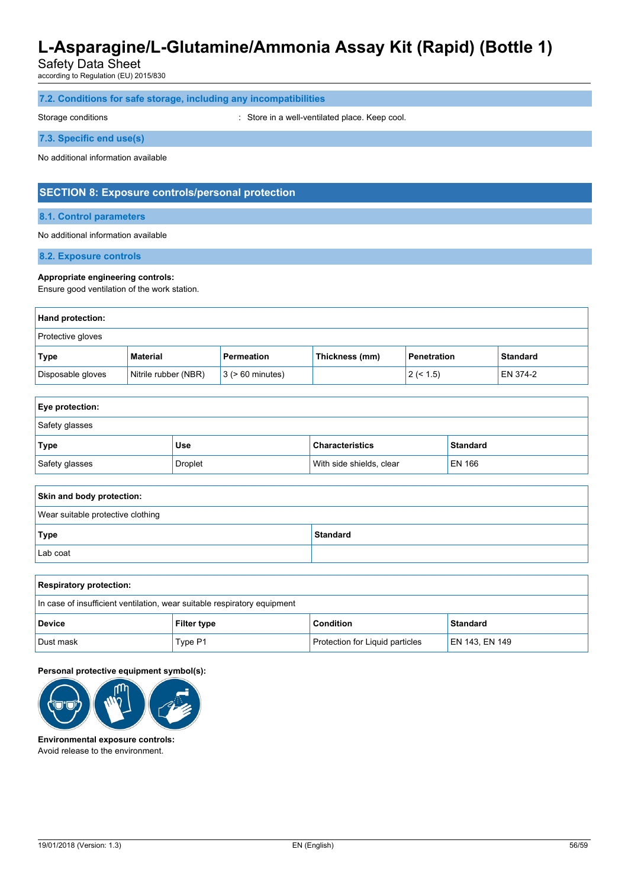Safety Data Sheet

according to Regulation (EU) 2015/830

|  |  |  |  |  | 7.2. Conditions for safe storage, including any incompatibilities |
|--|--|--|--|--|-------------------------------------------------------------------|
|--|--|--|--|--|-------------------------------------------------------------------|

Storage conditions **Storage conditions** : Store in a well-ventilated place. Keep cool.

**7.3. Specific end use(s)**

No additional information available

### **SECTION 8: Exposure controls/personal protection**

**8.1. Control parameters**

No additional information available

**8.2. Exposure controls**

#### **Appropriate engineering controls:**

Ensure good ventilation of the work station.

| <b>Hand protection:</b>  |                      |                       |                |                    |                 |
|--------------------------|----------------------|-----------------------|----------------|--------------------|-----------------|
| <b>Protective gloves</b> |                      |                       |                |                    |                 |
| Type                     | Material             | Permeation            | Thickness (mm) | <b>Penetration</b> | <b>Standard</b> |
| Disposable gloves        | Nitrile rubber (NBR) | $3$ ( $> 60$ minutes) |                | 2 (< 1.5)          | <b>EN 374-2</b> |

| <b>Eye protection:</b> |                |                          |                 |
|------------------------|----------------|--------------------------|-----------------|
| Safety glasses         |                |                          |                 |
| Type                   | Use            | <b>Characteristics</b>   | <b>Standard</b> |
| Safety glasses         | <b>Droplet</b> | With side shields, clear | EN 166          |

| Skin and body protection:         |                 |
|-----------------------------------|-----------------|
| Wear suitable protective clothing |                 |
| Type                              | <b>Standard</b> |
| Lab coat                          |                 |

| <b>Respiratory protection:</b>                                           |                    |                                 |                |
|--------------------------------------------------------------------------|--------------------|---------------------------------|----------------|
| In case of insufficient ventilation, wear suitable respiratory equipment |                    |                                 |                |
| <b>Device</b>                                                            | <b>Filter type</b> | <b>Condition</b>                | Standard       |
| Dust mask                                                                | Type P1            | Protection for Liquid particles | EN 143, EN 149 |

**Personal protective equipment symbol(s):**



**Environmental exposure controls:** Avoid release to the environment.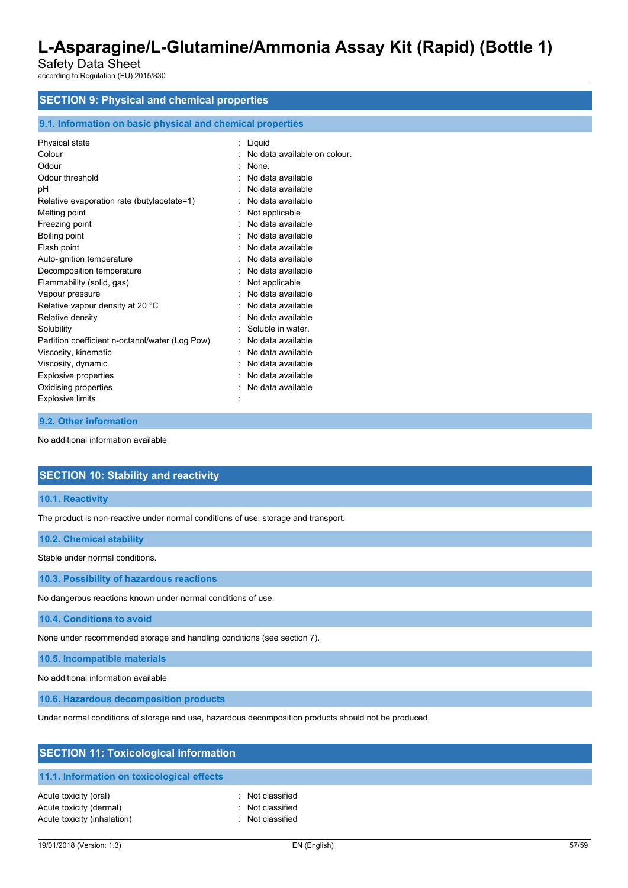Safety Data Sheet according to Regulation (EU) 2015/830

# **SECTION 9: Physical and chemical properties**

### **9.1. Information on basic physical and chemical properties**

| Physical state                                  | Liguid                       |
|-------------------------------------------------|------------------------------|
| Colour                                          | No data available on colour. |
| Odour                                           | <b>None</b>                  |
| Odour threshold                                 | No data available            |
| рH                                              | No data available            |
| Relative evaporation rate (butylacetate=1)      | No data available            |
| Melting point                                   | Not applicable               |
| Freezing point                                  | No data available            |
| Boiling point                                   | No data available            |
| Flash point                                     | No data available            |
| Auto-ignition temperature                       | No data available            |
| Decomposition temperature                       | No data available            |
| Flammability (solid, gas)                       | Not applicable               |
| Vapour pressure                                 | No data available            |
| Relative vapour density at 20 °C                | No data available            |
| Relative density                                | No data available            |
| Solubility                                      | Soluble in water.            |
| Partition coefficient n-octanol/water (Log Pow) | No data available            |
| Viscosity, kinematic                            | No data available            |
| Viscosity, dynamic                              | No data available            |
| <b>Explosive properties</b>                     | No data available            |
| Oxidising properties                            | No data available            |
| <b>Explosive limits</b>                         |                              |
|                                                 |                              |

#### **9.2. Other information**

No additional information available

### **SECTION 10: Stability and reactivity**

**10.1. Reactivity**

The product is non-reactive under normal conditions of use, storage and transport.

| 10.2. Chemical stability |
|--------------------------|
|--------------------------|

Stable under normal conditions.

**10.3. Possibility of hazardous reactions**

No dangerous reactions known under normal conditions of use.

**10.4. Conditions to avoid**

None under recommended storage and handling conditions (see section 7).

**10.5. Incompatible materials**

No additional information available

**10.6. Hazardous decomposition products**

Under normal conditions of storage and use, hazardous decomposition products should not be produced.

| <b>SECTION 11: Toxicological information</b>                                    |                                                          |  |  |
|---------------------------------------------------------------------------------|----------------------------------------------------------|--|--|
| 11.1. Information on toxicological effects                                      |                                                          |  |  |
| Acute toxicity (oral)<br>Acute toxicity (dermal)<br>Acute toxicity (inhalation) | : Not classified<br>: Not classified<br>: Not classified |  |  |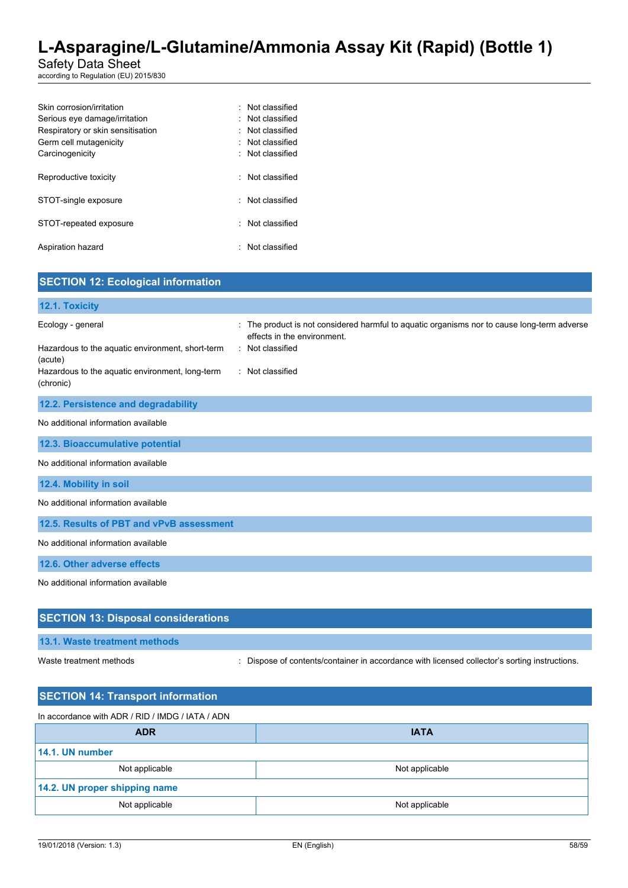Safety Data Sheet

according to Regulation (EU) 2015/830

| Skin corrosion/irritation         | · Not classified |
|-----------------------------------|------------------|
| Serious eye damage/irritation     | Not classified   |
| Respiratory or skin sensitisation | Not classified   |
| Germ cell mutagenicity            | : Not classified |
| Carcinogenicity                   | Not classified   |
|                                   |                  |
| Reproductive toxicity             | Not classified   |
|                                   |                  |
| STOT-single exposure              | : Not classified |
|                                   |                  |
| STOT-repeated exposure            | Not classified   |
|                                   |                  |
| Aspiration hazard                 | Not classified   |
|                                   |                  |

| <b>SECTION 12: Ecological information</b>                                                                                                        |                                                                                                                                                                  |
|--------------------------------------------------------------------------------------------------------------------------------------------------|------------------------------------------------------------------------------------------------------------------------------------------------------------------|
| 12.1. Toxicity                                                                                                                                   |                                                                                                                                                                  |
| Ecology - general<br>Hazardous to the aquatic environment, short-term<br>(acute)<br>Hazardous to the aquatic environment, long-term<br>(chronic) | The product is not considered harmful to aquatic organisms nor to cause long-term adverse<br>effects in the environment.<br>: Not classified<br>: Not classified |
| 12.2. Persistence and degradability                                                                                                              |                                                                                                                                                                  |
| No additional information available                                                                                                              |                                                                                                                                                                  |
| 12.3. Bioaccumulative potential                                                                                                                  |                                                                                                                                                                  |
| No additional information available                                                                                                              |                                                                                                                                                                  |
| 12.4. Mobility in soil                                                                                                                           |                                                                                                                                                                  |
| No additional information available                                                                                                              |                                                                                                                                                                  |
| 12.5. Results of PBT and vPvB assessment                                                                                                         |                                                                                                                                                                  |
| No additional information available                                                                                                              |                                                                                                                                                                  |
| 12.6. Other adverse effects                                                                                                                      |                                                                                                                                                                  |
| No additional information available                                                                                                              |                                                                                                                                                                  |
| <b>SECTION 13: Disposal considerations</b>                                                                                                       |                                                                                                                                                                  |
| 13.1. Waste treatment methods                                                                                                                    |                                                                                                                                                                  |

Waste treatment methods : Dispose of contents/container in accordance with licensed collector's sorting instructions.

| <b>SECTION 14: Transport information</b> |  |  |  |  |
|------------------------------------------|--|--|--|--|
|                                          |  |  |  |  |
| <b>IATA</b>                              |  |  |  |  |
|                                          |  |  |  |  |
| Not applicable                           |  |  |  |  |
| 14.2. UN proper shipping name            |  |  |  |  |
| Not applicable                           |  |  |  |  |
|                                          |  |  |  |  |